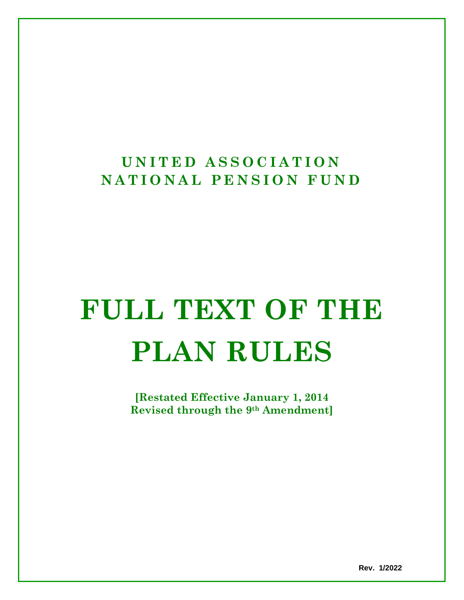# **UNITED ASSOCIATION NATIONAL PENSION FUN D**

# **FULL TEXT OF THE PLAN RULES**

**[Restated Effective January 1, 2014 Revised through the 9th Amendment]**

**Rev. 1/2022**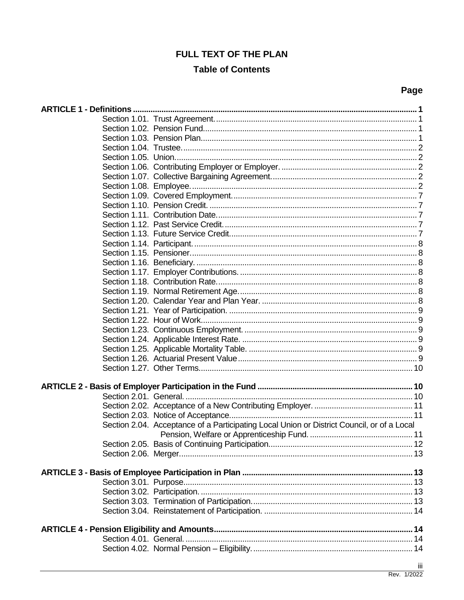# **FULL TEXT OF THE PLAN**

# **Table of Contents**

| -<br>٠<br>×<br>۰.<br>۰, |
|-------------------------|
|-------------------------|

| Section 2.04. Acceptance of a Participating Local Union or District Council, or of a Local |     |
|--------------------------------------------------------------------------------------------|-----|
|                                                                                            |     |
|                                                                                            |     |
|                                                                                            |     |
|                                                                                            |     |
|                                                                                            |     |
|                                                                                            |     |
|                                                                                            |     |
|                                                                                            |     |
|                                                                                            |     |
|                                                                                            |     |
|                                                                                            |     |
|                                                                                            |     |
|                                                                                            |     |
|                                                                                            |     |
|                                                                                            | iii |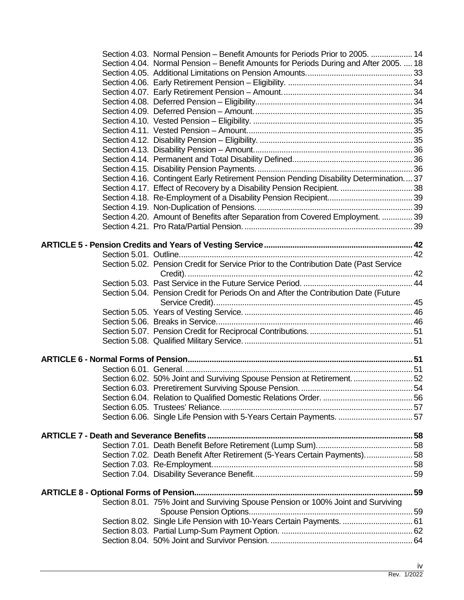| Section 4.03. Normal Pension – Benefit Amounts for Periods Prior to 2005.  14         |  |
|---------------------------------------------------------------------------------------|--|
| Section 4.04. Normal Pension – Benefit Amounts for Periods During and After 2005.  18 |  |
|                                                                                       |  |
|                                                                                       |  |
|                                                                                       |  |
|                                                                                       |  |
|                                                                                       |  |
|                                                                                       |  |
|                                                                                       |  |
|                                                                                       |  |
|                                                                                       |  |
|                                                                                       |  |
|                                                                                       |  |
| Section 4.16. Contingent Early Retirement Pension Pending Disability Determination37  |  |
| Section 4.17. Effect of Recovery by a Disability Pension Recipient.  38               |  |
|                                                                                       |  |
|                                                                                       |  |
| Section 4.20. Amount of Benefits after Separation from Covered Employment.  39        |  |
|                                                                                       |  |
|                                                                                       |  |
|                                                                                       |  |
|                                                                                       |  |
| Section 5.02. Pension Credit for Service Prior to the Contribution Date (Past Service |  |
|                                                                                       |  |
| Section 5.04. Pension Credit for Periods On and After the Contribution Date (Future   |  |
|                                                                                       |  |
|                                                                                       |  |
|                                                                                       |  |
|                                                                                       |  |
|                                                                                       |  |
|                                                                                       |  |
|                                                                                       |  |
| Section 6.02. 50% Joint and Surviving Spouse Pension at Retirement.  52               |  |
|                                                                                       |  |
|                                                                                       |  |
|                                                                                       |  |
| Section 6.06. Single Life Pension with 5-Years Certain Payments.  57                  |  |
|                                                                                       |  |
|                                                                                       |  |
| Section 7.02. Death Benefit After Retirement (5-Years Certain Payments) 58            |  |
|                                                                                       |  |
|                                                                                       |  |
|                                                                                       |  |
|                                                                                       |  |
| Section 8.01. 75% Joint and Surviving Spouse Pension or 100% Joint and Surviving      |  |
|                                                                                       |  |
| Section 8.02. Single Life Pension with 10-Years Certain Payments.  61                 |  |
|                                                                                       |  |
|                                                                                       |  |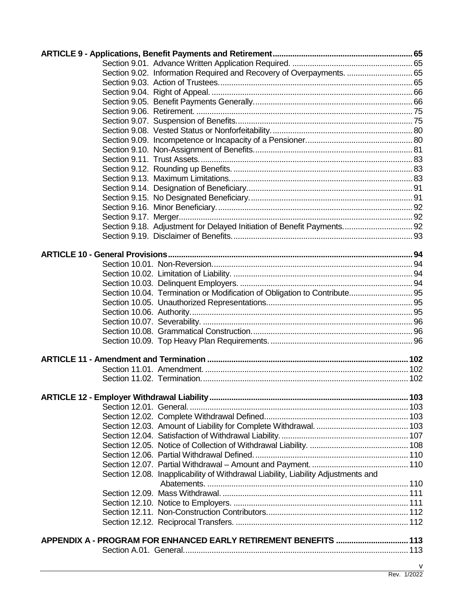| Section 9.02. Information Required and Recovery of Overpayments.  65              |   |
|-----------------------------------------------------------------------------------|---|
|                                                                                   |   |
|                                                                                   |   |
|                                                                                   |   |
|                                                                                   |   |
|                                                                                   |   |
|                                                                                   |   |
|                                                                                   |   |
|                                                                                   |   |
|                                                                                   |   |
|                                                                                   |   |
|                                                                                   |   |
|                                                                                   |   |
|                                                                                   |   |
|                                                                                   |   |
|                                                                                   |   |
| Section 9.18. Adjustment for Delayed Initiation of Benefit Payments 92            |   |
|                                                                                   |   |
|                                                                                   |   |
|                                                                                   |   |
|                                                                                   |   |
|                                                                                   |   |
|                                                                                   |   |
| Section 10.04. Termination or Modification of Obligation to Contribute 95         |   |
|                                                                                   |   |
|                                                                                   |   |
|                                                                                   |   |
|                                                                                   |   |
|                                                                                   |   |
|                                                                                   |   |
|                                                                                   |   |
|                                                                                   |   |
|                                                                                   |   |
|                                                                                   |   |
|                                                                                   |   |
|                                                                                   |   |
|                                                                                   |   |
|                                                                                   |   |
|                                                                                   |   |
|                                                                                   |   |
|                                                                                   |   |
| Section 12.08. Inapplicability of Withdrawal Liability, Liability Adjustments and |   |
|                                                                                   |   |
|                                                                                   |   |
|                                                                                   |   |
|                                                                                   |   |
|                                                                                   |   |
| APPENDIX A - PROGRAM FOR ENHANCED EARLY RETIREMENT BENEFITS  113                  |   |
|                                                                                   |   |
|                                                                                   | ۷ |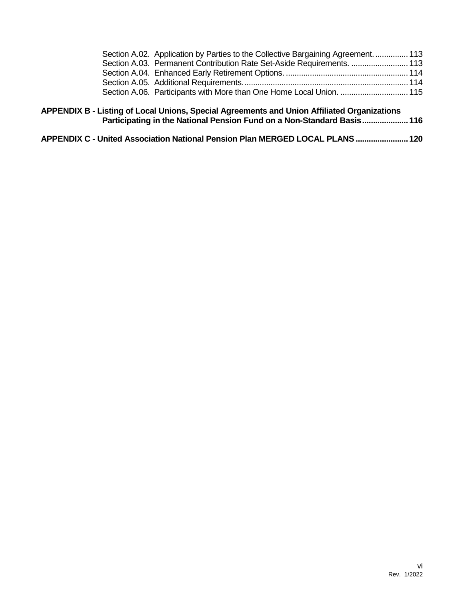|  | Section A.02. Application by Parties to the Collective Bargaining Agreement.  113 |  |
|--|-----------------------------------------------------------------------------------|--|
|  | Section A.03. Permanent Contribution Rate Set-Aside Requirements.  113            |  |
|  |                                                                                   |  |
|  |                                                                                   |  |
|  |                                                                                   |  |
|  |                                                                                   |  |

| APPENDIX B - Listing of Local Unions, Special Agreements and Union Affiliated Organizations |  |
|---------------------------------------------------------------------------------------------|--|
| Participating in the National Pension Fund on a Non-Standard Basis 116                      |  |

| APPENDIX C - United Association National Pension Plan MERGED LOCAL PLANS  120 |
|-------------------------------------------------------------------------------|
|-------------------------------------------------------------------------------|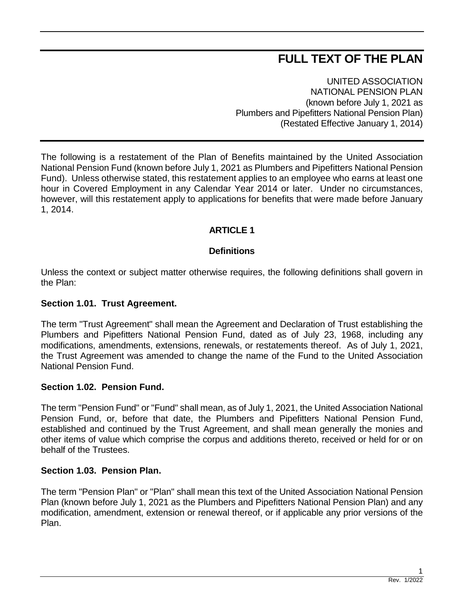# **FULL TEXT OF THE PLAN**

UNITED ASSOCIATION NATIONAL PENSION PLAN (known before July 1, 2021 as Plumbers and Pipefitters National Pension Plan) (Restated Effective January 1, 2014)

The following is a restatement of the Plan of Benefits maintained by the United Association National Pension Fund (known before July 1, 2021 as Plumbers and Pipefitters National Pension Fund). Unless otherwise stated, this restatement applies to an employee who earns at least one hour in Covered Employment in any Calendar Year 2014 or later. Under no circumstances, however, will this restatement apply to applications for benefits that were made before January 1, 2014.

# **ARTICLE 1**

# **Definitions**

Unless the context or subject matter otherwise requires, the following definitions shall govern in the Plan:

# **Section 1.01. Trust Agreement.**

The term "Trust Agreement" shall mean the Agreement and Declaration of Trust establishing the Plumbers and Pipefitters National Pension Fund, dated as of July 23, 1968, including any modifications, amendments, extensions, renewals, or restatements thereof. As of July 1, 2021, the Trust Agreement was amended to change the name of the Fund to the United Association National Pension Fund.

# **Section 1.02. Pension Fund.**

The term "Pension Fund" or "Fund" shall mean, as of July 1, 2021, the United Association National Pension Fund, or, before that date, the Plumbers and Pipefitters National Pension Fund, established and continued by the Trust Agreement, and shall mean generally the monies and other items of value which comprise the corpus and additions thereto, received or held for or on behalf of the Trustees.

# **Section 1.03. Pension Plan.**

The term "Pension Plan" or "Plan" shall mean this text of the United Association National Pension Plan (known before July 1, 2021 as the Plumbers and Pipefitters National Pension Plan) and any modification, amendment, extension or renewal thereof, or if applicable any prior versions of the Plan.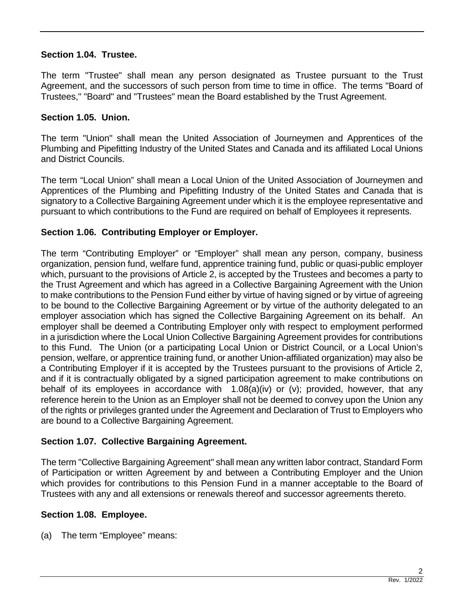# **Section 1.04. Trustee.**

The term "Trustee" shall mean any person designated as Trustee pursuant to the Trust Agreement, and the successors of such person from time to time in office. The terms "Board of Trustees," "Board" and "Trustees" mean the Board established by the Trust Agreement.

# **Section 1.05. Union.**

The term "Union" shall mean the United Association of Journeymen and Apprentices of the Plumbing and Pipefitting Industry of the United States and Canada and its affiliated Local Unions and District Councils.

The term "Local Union" shall mean a Local Union of the United Association of Journeymen and Apprentices of the Plumbing and Pipefitting Industry of the United States and Canada that is signatory to a Collective Bargaining Agreement under which it is the employee representative and pursuant to which contributions to the Fund are required on behalf of Employees it represents.

# **Section 1.06. Contributing Employer or Employer.**

The term "Contributing Employer" or "Employer" shall mean any person, company, business organization, pension fund, welfare fund, apprentice training fund, public or quasi-public employer which, pursuant to the provisions of Article 2, is accepted by the Trustees and becomes a party to the Trust Agreement and which has agreed in a Collective Bargaining Agreement with the Union to make contributions to the Pension Fund either by virtue of having signed or by virtue of agreeing to be bound to the Collective Bargaining Agreement or by virtue of the authority delegated to an employer association which has signed the Collective Bargaining Agreement on its behalf. An employer shall be deemed a Contributing Employer only with respect to employment performed in a jurisdiction where the Local Union Collective Bargaining Agreement provides for contributions to this Fund. The Union (or a participating Local Union or District Council, or a Local Union's pension, welfare, or apprentice training fund, or another Union-affiliated organization) may also be a Contributing Employer if it is accepted by the Trustees pursuant to the provisions of Article 2, and if it is contractually obligated by a signed participation agreement to make contributions on behalf of its employees in accordance with  $1.08(a)(iv)$  or (v); provided, however, that any reference herein to the Union as an Employer shall not be deemed to convey upon the Union any of the rights or privileges granted under the Agreement and Declaration of Trust to Employers who are bound to a Collective Bargaining Agreement.

# **Section 1.07. Collective Bargaining Agreement.**

The term "Collective Bargaining Agreement" shall mean any written labor contract, Standard Form of Participation or written Agreement by and between a Contributing Employer and the Union which provides for contributions to this Pension Fund in a manner acceptable to the Board of Trustees with any and all extensions or renewals thereof and successor agreements thereto.

# **Section 1.08. Employee.**

(a) The term "Employee" means: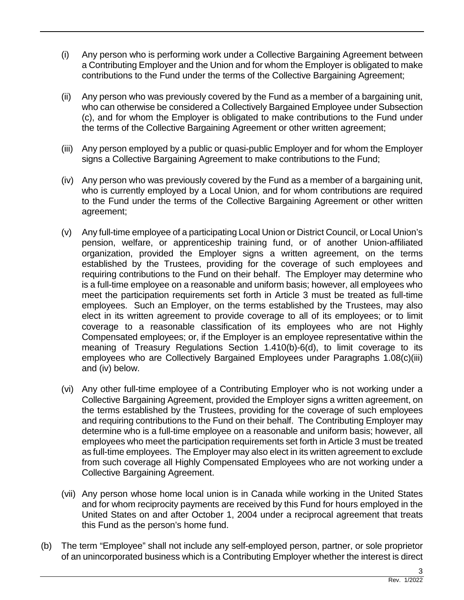- (i) Any person who is performing work under a Collective Bargaining Agreement between a Contributing Employer and the Union and for whom the Employer is obligated to make contributions to the Fund under the terms of the Collective Bargaining Agreement;
- (ii) Any person who was previously covered by the Fund as a member of a bargaining unit, who can otherwise be considered a Collectively Bargained Employee under Subsection (c), and for whom the Employer is obligated to make contributions to the Fund under the terms of the Collective Bargaining Agreement or other written agreement;
- (iii) Any person employed by a public or quasi-public Employer and for whom the Employer signs a Collective Bargaining Agreement to make contributions to the Fund:
- (iv) Any person who was previously covered by the Fund as a member of a bargaining unit, who is currently employed by a Local Union, and for whom contributions are required to the Fund under the terms of the Collective Bargaining Agreement or other written agreement;
- (v) Any full-time employee of a participating Local Union or District Council, or Local Union's pension, welfare, or apprenticeship training fund, or of another Union-affiliated organization, provided the Employer signs a written agreement, on the terms established by the Trustees, providing for the coverage of such employees and requiring contributions to the Fund on their behalf. The Employer may determine who is a full-time employee on a reasonable and uniform basis; however, all employees who meet the participation requirements set forth in Article 3 must be treated as full-time employees. Such an Employer, on the terms established by the Trustees, may also elect in its written agreement to provide coverage to all of its employees; or to limit coverage to a reasonable classification of its employees who are not Highly Compensated employees; or, if the Employer is an employee representative within the meaning of Treasury Regulations Section 1.410(b)-6(d), to limit coverage to its employees who are Collectively Bargained Employees under Paragraphs 1.08(c)(iii) and (iv) below.
- (vi) Any other full-time employee of a Contributing Employer who is not working under a Collective Bargaining Agreement, provided the Employer signs a written agreement, on the terms established by the Trustees, providing for the coverage of such employees and requiring contributions to the Fund on their behalf. The Contributing Employer may determine who is a full-time employee on a reasonable and uniform basis; however, all employees who meet the participation requirements set forth in Article 3 must be treated as full-time employees. The Employer may also elect in its written agreement to exclude from such coverage all Highly Compensated Employees who are not working under a Collective Bargaining Agreement.
- (vii) Any person whose home local union is in Canada while working in the United States and for whom reciprocity payments are received by this Fund for hours employed in the United States on and after October 1, 2004 under a reciprocal agreement that treats this Fund as the person's home fund.
- (b) The term "Employee" shall not include any self-employed person, partner, or sole proprietor of an unincorporated business which is a Contributing Employer whether the interest is direct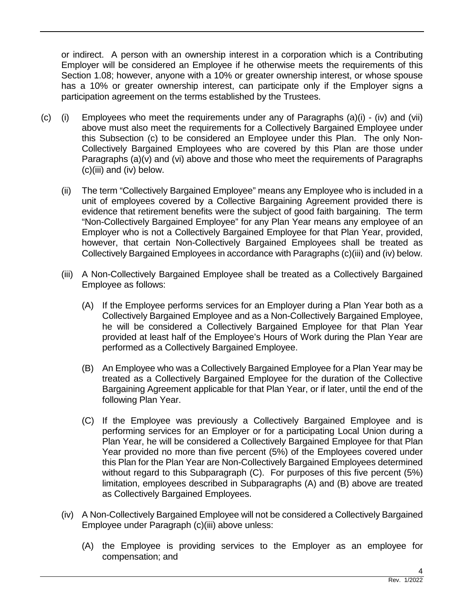or indirect. A person with an ownership interest in a corporation which is a Contributing Employer will be considered an Employee if he otherwise meets the requirements of this Section 1.08; however, anyone with a 10% or greater ownership interest, or whose spouse has a 10% or greater ownership interest, can participate only if the Employer signs a participation agreement on the terms established by the Trustees.

- (c) (i) Employees who meet the requirements under any of Paragraphs (a)(i) (iv) and (vii) above must also meet the requirements for a Collectively Bargained Employee under this Subsection (c) to be considered an Employee under this Plan. The only Non-Collectively Bargained Employees who are covered by this Plan are those under Paragraphs (a)(y) and (yi) above and those who meet the requirements of Paragraphs (c)(iii) and (iv) below.
	- (ii) The term "Collectively Bargained Employee" means any Employee who is included in a unit of employees covered by a Collective Bargaining Agreement provided there is evidence that retirement benefits were the subject of good faith bargaining. The term "Non-Collectively Bargained Employee" for any Plan Year means any employee of an Employer who is not a Collectively Bargained Employee for that Plan Year, provided, however, that certain Non-Collectively Bargained Employees shall be treated as Collectively Bargained Employees in accordance with Paragraphs (c)(iii) and (iv) below.
	- (iii) A Non-Collectively Bargained Employee shall be treated as a Collectively Bargained Employee as follows:
		- (A) If the Employee performs services for an Employer during a Plan Year both as a Collectively Bargained Employee and as a Non-Collectively Bargained Employee, he will be considered a Collectively Bargained Employee for that Plan Year provided at least half of the Employee's Hours of Work during the Plan Year are performed as a Collectively Bargained Employee.
		- (B) An Employee who was a Collectively Bargained Employee for a Plan Year may be treated as a Collectively Bargained Employee for the duration of the Collective Bargaining Agreement applicable for that Plan Year, or if later, until the end of the following Plan Year.
		- (C) If the Employee was previously a Collectively Bargained Employee and is performing services for an Employer or for a participating Local Union during a Plan Year, he will be considered a Collectively Bargained Employee for that Plan Year provided no more than five percent (5%) of the Employees covered under this Plan for the Plan Year are Non-Collectively Bargained Employees determined without regard to this Subparagraph (C). For purposes of this five percent (5%) limitation, employees described in Subparagraphs (A) and (B) above are treated as Collectively Bargained Employees.
	- (iv) A Non-Collectively Bargained Employee will not be considered a Collectively Bargained Employee under Paragraph (c)(iii) above unless:
		- (A) the Employee is providing services to the Employer as an employee for compensation; and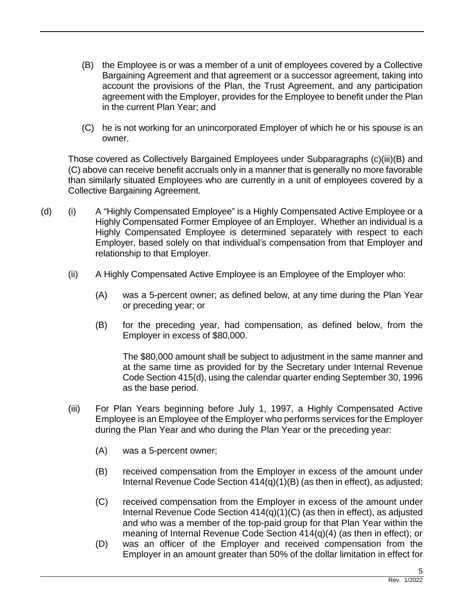- (B) the Employee is or was a member of a unit of employees covered by a Collective Bargaining Agreement and that agreement or a successor agreement, taking into account the provisions of the Plan, the Trust Agreement, and any participation agreement with the Employer, provides for the Employee to benefit under the Plan in the current Plan Year; and
- (C) he is not working for an unincorporated Employer of which he or his spouse is an owner.

Those covered as Collectively Bargained Employees under Subparagraphs (c)(iii)(B) and (C) above can receive benefit accruals only in a manner that is generally no more favorable than similarly situated Employees who are currently in a unit of employees covered by a Collective Bargaining Agreement.

- (d) (i) A "Highly Compensated Employee" is a Highly Compensated Active Employee or a Highly Compensated Former Employee of an Employer. Whether an individual is a Highly Compensated Employee is determined separately with respect to each Employer, based solely on that individual's compensation from that Employer and relationship to that Employer.
	- (ii) A Highly Compensated Active Employee is an Employee of the Employer who:
		- (A) was a 5-percent owner; as defined below, at any time during the Plan Year or preceding year; or
		- (B) for the preceding year, had compensation, as defined below, from the Employer in excess of \$80,000.

The \$80,000 amount shall be subject to adjustment in the same manner and at the same time as provided for by the Secretary under Internal Revenue Code Section 415(d), using the calendar quarter ending September 30, 1996 as the base period.

- (iii) For Plan Years beginning before July 1, 1997, a Highly Compensated Active Employee is an Employee of the Employer who performs services for the Employer during the Plan Year and who during the Plan Year or the preceding year:
	- (A) was a 5-percent owner;
	- (B) received compensation from the Employer in excess of the amount under Internal Revenue Code Section 414(q)(1)(B) (as then in effect), as adjusted;
	- (C) received compensation from the Employer in excess of the amount under Internal Revenue Code Section 414(q)(1)(C) (as then in effect), as adjusted and who was a member of the top-paid group for that Plan Year within the meaning of Internal Revenue Code Section 414(q)(4) (as then in effect); or
	- (D) was an officer of the Employer and received compensation from the Employer in an amount greater than 50% of the dollar limitation in effect for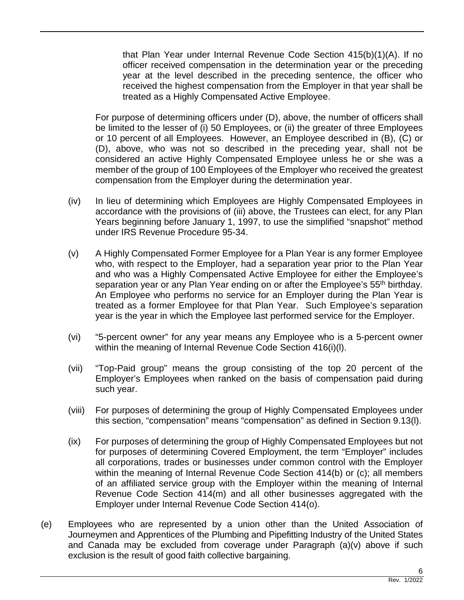that Plan Year under Internal Revenue Code Section 415(b)(1)(A). If no officer received compensation in the determination year or the preceding year at the level described in the preceding sentence, the officer who received the highest compensation from the Employer in that year shall be treated as a Highly Compensated Active Employee.

For purpose of determining officers under (D), above, the number of officers shall be limited to the lesser of (i) 50 Employees, or (ii) the greater of three Employees or 10 percent of all Employees. However, an Employee described in (B), (C) or (D), above, who was not so described in the preceding year, shall not be considered an active Highly Compensated Employee unless he or she was a member of the group of 100 Employees of the Employer who received the greatest compensation from the Employer during the determination year.

- (iv) In lieu of determining which Employees are Highly Compensated Employees in accordance with the provisions of (iii) above, the Trustees can elect, for any Plan Years beginning before January 1, 1997, to use the simplified "snapshot" method under IRS Revenue Procedure 95-34.
- (v) A Highly Compensated Former Employee for a Plan Year is any former Employee who, with respect to the Employer, had a separation year prior to the Plan Year and who was a Highly Compensated Active Employee for either the Employee's separation year or any Plan Year ending on or after the Employee's 55<sup>th</sup> birthday. An Employee who performs no service for an Employer during the Plan Year is treated as a former Employee for that Plan Year. Such Employee's separation year is the year in which the Employee last performed service for the Employer.
- (vi) "5-percent owner" for any year means any Employee who is a 5-percent owner within the meaning of Internal Revenue Code Section 416(i)(l).
- (vii) "Top-Paid group" means the group consisting of the top 20 percent of the Employer's Employees when ranked on the basis of compensation paid during such year.
- (viii) For purposes of determining the group of Highly Compensated Employees under this section, "compensation" means "compensation" as defined in Section 9.13(l).
- (ix) For purposes of determining the group of Highly Compensated Employees but not for purposes of determining Covered Employment, the term "Employer" includes all corporations, trades or businesses under common control with the Employer within the meaning of Internal Revenue Code Section 414(b) or (c); all members of an affiliated service group with the Employer within the meaning of Internal Revenue Code Section 414(m) and all other businesses aggregated with the Employer under Internal Revenue Code Section 414(o).
- (e) Employees who are represented by a union other than the United Association of Journeymen and Apprentices of the Plumbing and Pipefitting Industry of the United States and Canada may be excluded from coverage under Paragraph (a)(v) above if such exclusion is the result of good faith collective bargaining.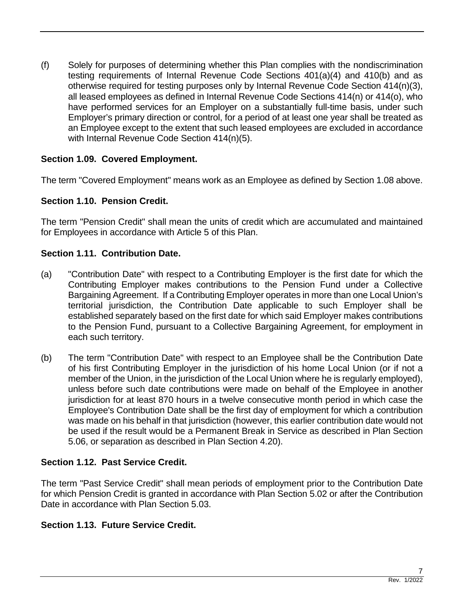(f) Solely for purposes of determining whether this Plan complies with the nondiscrimination testing requirements of Internal Revenue Code Sections 401(a)(4) and 410(b) and as otherwise required for testing purposes only by Internal Revenue Code Section 414(n)(3), all leased employees as defined in Internal Revenue Code Sections 414(n) or 414(o), who have performed services for an Employer on a substantially full-time basis, under such Employer's primary direction or control, for a period of at least one year shall be treated as an Employee except to the extent that such leased employees are excluded in accordance with Internal Revenue Code Section 414(n)(5).

# **Section 1.09. Covered Employment.**

The term "Covered Employment" means work as an Employee as defined by Section 1.08 above.

# **Section 1.10. Pension Credit.**

The term "Pension Credit" shall mean the units of credit which are accumulated and maintained for Employees in accordance with Article 5 of this Plan.

# **Section 1.11. Contribution Date.**

- (a) "Contribution Date" with respect to a Contributing Employer is the first date for which the Contributing Employer makes contributions to the Pension Fund under a Collective Bargaining Agreement. If a Contributing Employer operates in more than one Local Union's territorial jurisdiction, the Contribution Date applicable to such Employer shall be established separately based on the first date for which said Employer makes contributions to the Pension Fund, pursuant to a Collective Bargaining Agreement, for employment in each such territory.
- (b) The term "Contribution Date" with respect to an Employee shall be the Contribution Date of his first Contributing Employer in the jurisdiction of his home Local Union (or if not a member of the Union, in the jurisdiction of the Local Union where he is regularly employed), unless before such date contributions were made on behalf of the Employee in another jurisdiction for at least 870 hours in a twelve consecutive month period in which case the Employee's Contribution Date shall be the first day of employment for which a contribution was made on his behalf in that jurisdiction (however, this earlier contribution date would not be used if the result would be a Permanent Break in Service as described in Plan Section 5.06, or separation as described in Plan Section 4.20).

# **Section 1.12. Past Service Credit.**

The term "Past Service Credit" shall mean periods of employment prior to the Contribution Date for which Pension Credit is granted in accordance with Plan Section 5.02 or after the Contribution Date in accordance with Plan Section 5.03.

# **Section 1.13. Future Service Credit.**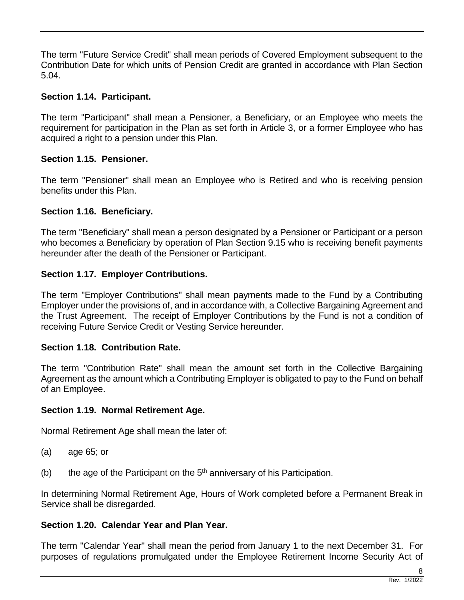The term "Future Service Credit" shall mean periods of Covered Employment subsequent to the Contribution Date for which units of Pension Credit are granted in accordance with Plan Section 5.04.

# **Section 1.14. Participant.**

The term "Participant" shall mean a Pensioner, a Beneficiary, or an Employee who meets the requirement for participation in the Plan as set forth in Article 3, or a former Employee who has acquired a right to a pension under this Plan.

# **Section 1.15. Pensioner.**

The term "Pensioner" shall mean an Employee who is Retired and who is receiving pension benefits under this Plan.

# **Section 1.16. Beneficiary.**

The term "Beneficiary" shall mean a person designated by a Pensioner or Participant or a person who becomes a Beneficiary by operation of Plan Section 9.15 who is receiving benefit payments hereunder after the death of the Pensioner or Participant.

# **Section 1.17. Employer Contributions.**

The term "Employer Contributions" shall mean payments made to the Fund by a Contributing Employer under the provisions of, and in accordance with, a Collective Bargaining Agreement and the Trust Agreement. The receipt of Employer Contributions by the Fund is not a condition of receiving Future Service Credit or Vesting Service hereunder.

# **Section 1.18. Contribution Rate.**

The term "Contribution Rate" shall mean the amount set forth in the Collective Bargaining Agreement as the amount which a Contributing Employer is obligated to pay to the Fund on behalf of an Employee.

# **Section 1.19. Normal Retirement Age.**

Normal Retirement Age shall mean the later of:

- (a) age 65; or
- (b) the age of the Participant on the  $5<sup>th</sup>$  anniversary of his Participation.

In determining Normal Retirement Age, Hours of Work completed before a Permanent Break in Service shall be disregarded.

# **Section 1.20. Calendar Year and Plan Year.**

The term "Calendar Year" shall mean the period from January 1 to the next December 31. For purposes of regulations promulgated under the Employee Retirement Income Security Act of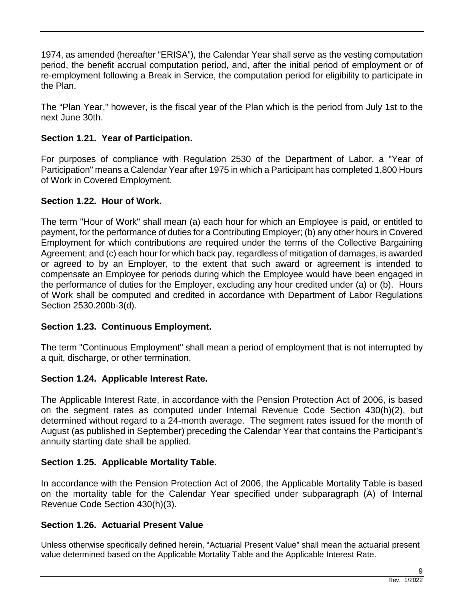1974, as amended (hereafter "ERISA"), the Calendar Year shall serve as the vesting computation period, the benefit accrual computation period, and, after the initial period of employment or of re-employment following a Break in Service, the computation period for eligibility to participate in the Plan.

The "Plan Year," however, is the fiscal year of the Plan which is the period from July 1st to the next June 30th.

# **Section 1.21. Year of Participation.**

For purposes of compliance with Regulation 2530 of the Department of Labor, a "Year of Participation" means a Calendar Year after 1975 in which a Participant has completed 1,800 Hours of Work in Covered Employment.

# **Section 1.22. Hour of Work.**

The term "Hour of Work" shall mean (a) each hour for which an Employee is paid, or entitled to payment, for the performance of duties for a Contributing Employer; (b) any other hours in Covered Employment for which contributions are required under the terms of the Collective Bargaining Agreement; and (c) each hour for which back pay, regardless of mitigation of damages, is awarded or agreed to by an Employer, to the extent that such award or agreement is intended to compensate an Employee for periods during which the Employee would have been engaged in the performance of duties for the Employer, excluding any hour credited under (a) or (b). Hours of Work shall be computed and credited in accordance with Department of Labor Regulations Section 2530.200b-3(d).

# **Section 1.23. Continuous Employment.**

The term "Continuous Employment" shall mean a period of employment that is not interrupted by a quit, discharge, or other termination.

# **Section 1.24. Applicable Interest Rate.**

The Applicable Interest Rate, in accordance with the Pension Protection Act of 2006, is based on the segment rates as computed under Internal Revenue Code Section 430(h)(2), but determined without regard to a 24-month average. The segment rates issued for the month of August (as published in September) preceding the Calendar Year that contains the Participant's annuity starting date shall be applied.

# **Section 1.25. Applicable Mortality Table.**

In accordance with the Pension Protection Act of 2006, the Applicable Mortality Table is based on the mortality table for the Calendar Year specified under subparagraph (A) of Internal Revenue Code Section 430(h)(3).

# **Section 1.26. Actuarial Present Value**

Unless otherwise specifically defined herein, "Actuarial Present Value" shall mean the actuarial present value determined based on the Applicable Mortality Table and the Applicable Interest Rate.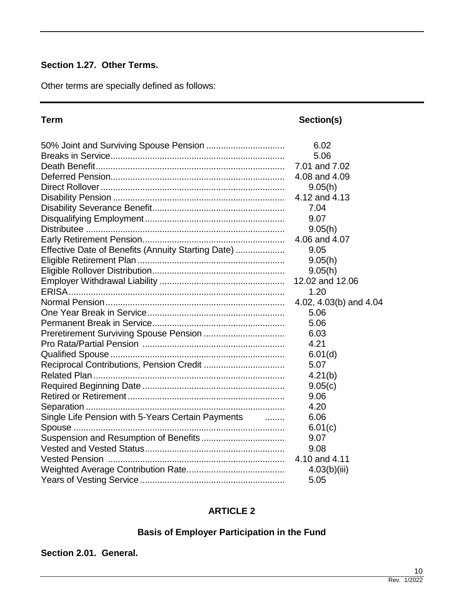# **Section 1.27. Other Terms.**

Other terms are specially defined as follows:

**Term Section(s)** 

|                                                                               | 6.02                   |
|-------------------------------------------------------------------------------|------------------------|
|                                                                               | 5.06                   |
|                                                                               | 7.01 and 7.02          |
|                                                                               | 4.08 and 4.09          |
|                                                                               | 9.05(h)                |
|                                                                               | 4.12 and 4.13          |
|                                                                               | 7.04                   |
|                                                                               | 9.07                   |
|                                                                               | 9.05(h)                |
|                                                                               | 4.06 and 4.07          |
| Effective Date of Benefits (Annuity Starting Date)                            | 9.05                   |
|                                                                               | 9.05(h)                |
|                                                                               | 9.05(h)                |
|                                                                               | 12.02 and 12.06        |
|                                                                               | 1.20                   |
|                                                                               | 4.02, 4.03(b) and 4.04 |
|                                                                               | 5.06                   |
|                                                                               | 5.06                   |
|                                                                               | 6.03                   |
|                                                                               | 4.21                   |
|                                                                               | 6.01(d)                |
|                                                                               | 5.07                   |
|                                                                               | 4.21(b)                |
|                                                                               | 9.05(c)                |
|                                                                               | 9.06                   |
|                                                                               | 4.20                   |
| Single Life Pension with 5-Years Certain Payments<br>$\overline{\phantom{a}}$ | 6.06                   |
|                                                                               | 6.01(c)                |
|                                                                               | 9.07                   |
|                                                                               | 9.08                   |
|                                                                               | 4.10 and 4.11          |
|                                                                               | 4.03(b)(iii)           |
|                                                                               | 5.05                   |

# **ARTICLE 2**

# **Basis of Employer Participation in the Fund**

## **Section 2.01. General.**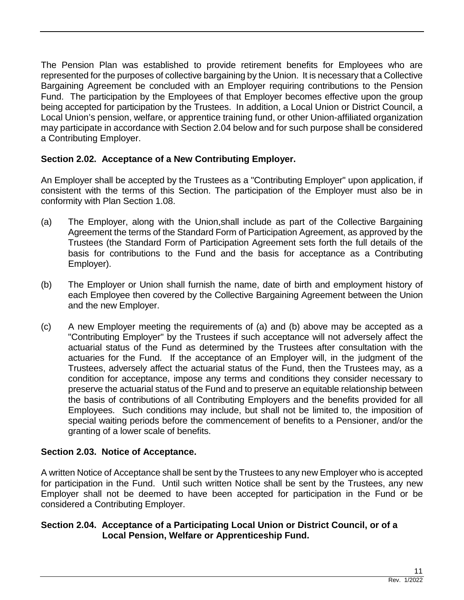The Pension Plan was established to provide retirement benefits for Employees who are represented for the purposes of collective bargaining by the Union. It is necessary that a Collective Bargaining Agreement be concluded with an Employer requiring contributions to the Pension Fund. The participation by the Employees of that Employer becomes effective upon the group being accepted for participation by the Trustees. In addition, a Local Union or District Council, a Local Union's pension, welfare, or apprentice training fund, or other Union-affiliated organization may participate in accordance with Section 2.04 below and for such purpose shall be considered a Contributing Employer.

# **Section 2.02. Acceptance of a New Contributing Employer.**

An Employer shall be accepted by the Trustees as a "Contributing Employer" upon application, if consistent with the terms of this Section. The participation of the Employer must also be in conformity with Plan Section 1.08.

- (a) The Employer, along with the Union,shall include as part of the Collective Bargaining Agreement the terms of the Standard Form of Participation Agreement, as approved by the Trustees (the Standard Form of Participation Agreement sets forth the full details of the basis for contributions to the Fund and the basis for acceptance as a Contributing Employer).
- (b) The Employer or Union shall furnish the name, date of birth and employment history of each Employee then covered by the Collective Bargaining Agreement between the Union and the new Employer.
- (c) A new Employer meeting the requirements of (a) and (b) above may be accepted as a "Contributing Employer" by the Trustees if such acceptance will not adversely affect the actuarial status of the Fund as determined by the Trustees after consultation with the actuaries for the Fund. If the acceptance of an Employer will, in the judgment of the Trustees, adversely affect the actuarial status of the Fund, then the Trustees may, as a condition for acceptance, impose any terms and conditions they consider necessary to preserve the actuarial status of the Fund and to preserve an equitable relationship between the basis of contributions of all Contributing Employers and the benefits provided for all Employees. Such conditions may include, but shall not be limited to, the imposition of special waiting periods before the commencement of benefits to a Pensioner, and/or the granting of a lower scale of benefits.

# **Section 2.03. Notice of Acceptance.**

A written Notice of Acceptance shall be sent by the Trustees to any new Employer who is accepted for participation in the Fund. Until such written Notice shall be sent by the Trustees, any new Employer shall not be deemed to have been accepted for participation in the Fund or be considered a Contributing Employer.

# **Section 2.04. Acceptance of a Participating Local Union or District Council, or of a Local Pension, Welfare or Apprenticeship Fund.**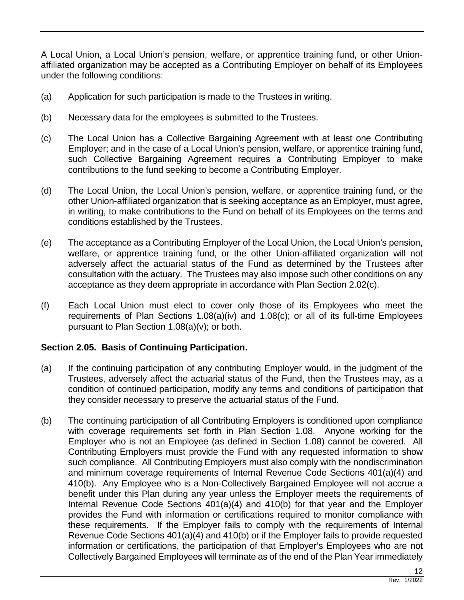A Local Union, a Local Union's pension, welfare, or apprentice training fund, or other Unionaffiliated organization may be accepted as a Contributing Employer on behalf of its Employees under the following conditions:

- (a) Application for such participation is made to the Trustees in writing.
- (b) Necessary data for the employees is submitted to the Trustees.
- (c) The Local Union has a Collective Bargaining Agreement with at least one Contributing Employer; and in the case of a Local Union's pension, welfare, or apprentice training fund, such Collective Bargaining Agreement requires a Contributing Employer to make contributions to the fund seeking to become a Contributing Employer.
- (d) The Local Union, the Local Union's pension, welfare, or apprentice training fund, or the other Union-affiliated organization that is seeking acceptance as an Employer, must agree, in writing, to make contributions to the Fund on behalf of its Employees on the terms and conditions established by the Trustees.
- (e) The acceptance as a Contributing Employer of the Local Union, the Local Union's pension, welfare, or apprentice training fund, or the other Union-affiliated organization will not adversely affect the actuarial status of the Fund as determined by the Trustees after consultation with the actuary. The Trustees may also impose such other conditions on any acceptance as they deem appropriate in accordance with Plan Section 2.02(c).
- (f) Each Local Union must elect to cover only those of its Employees who meet the requirements of Plan Sections 1.08(a)(iv) and 1.08(c); or all of its full-time Employees pursuant to Plan Section 1.08(a)(v); or both.

# **Section 2.05. Basis of Continuing Participation.**

- (a) If the continuing participation of any contributing Employer would, in the judgment of the Trustees, adversely affect the actuarial status of the Fund, then the Trustees may, as a condition of continued participation, modify any terms and conditions of participation that they consider necessary to preserve the actuarial status of the Fund.
- (b) The continuing participation of all Contributing Employers is conditioned upon compliance with coverage requirements set forth in Plan Section 1.08. Anyone working for the Employer who is not an Employee (as defined in Section 1.08) cannot be covered. All Contributing Employers must provide the Fund with any requested information to show such compliance. All Contributing Employers must also comply with the nondiscrimination and minimum coverage requirements of Internal Revenue Code Sections 401(a)(4) and 410(b). Any Employee who is a Non-Collectively Bargained Employee will not accrue a benefit under this Plan during any year unless the Employer meets the requirements of Internal Revenue Code Sections 401(a)(4) and 410(b) for that year and the Employer provides the Fund with information or certifications required to monitor compliance with these requirements. If the Employer fails to comply with the requirements of Internal Revenue Code Sections 401(a)(4) and 410(b) or if the Employer fails to provide requested information or certifications, the participation of that Employer's Employees who are not Collectively Bargained Employees will terminate as of the end of the Plan Year immediately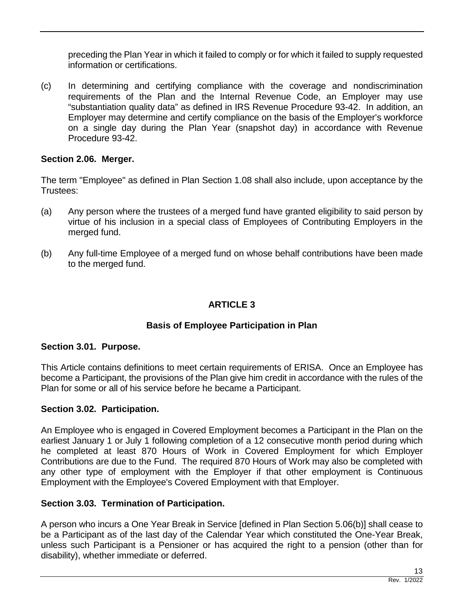preceding the Plan Year in which it failed to comply or for which it failed to supply requested information or certifications.

(c) In determining and certifying compliance with the coverage and nondiscrimination requirements of the Plan and the Internal Revenue Code, an Employer may use "substantiation quality data" as defined in IRS Revenue Procedure 93-42. In addition, an Employer may determine and certify compliance on the basis of the Employer's workforce on a single day during the Plan Year (snapshot day) in accordance with Revenue Procedure 93-42.

# **Section 2.06. Merger.**

The term "Employee" as defined in Plan Section 1.08 shall also include, upon acceptance by the Trustees:

- (a) Any person where the trustees of a merged fund have granted eligibility to said person by virtue of his inclusion in a special class of Employees of Contributing Employers in the merged fund.
- (b) Any full-time Employee of a merged fund on whose behalf contributions have been made to the merged fund.

# **ARTICLE 3**

# **Basis of Employee Participation in Plan**

# **Section 3.01. Purpose.**

This Article contains definitions to meet certain requirements of ERISA. Once an Employee has become a Participant, the provisions of the Plan give him credit in accordance with the rules of the Plan for some or all of his service before he became a Participant.

# **Section 3.02. Participation.**

An Employee who is engaged in Covered Employment becomes a Participant in the Plan on the earliest January 1 or July 1 following completion of a 12 consecutive month period during which he completed at least 870 Hours of Work in Covered Employment for which Employer Contributions are due to the Fund. The required 870 Hours of Work may also be completed with any other type of employment with the Employer if that other employment is Continuous Employment with the Employee's Covered Employment with that Employer.

# **Section 3.03. Termination of Participation.**

A person who incurs a One Year Break in Service [defined in Plan Section 5.06(b)] shall cease to be a Participant as of the last day of the Calendar Year which constituted the One-Year Break, unless such Participant is a Pensioner or has acquired the right to a pension (other than for disability), whether immediate or deferred.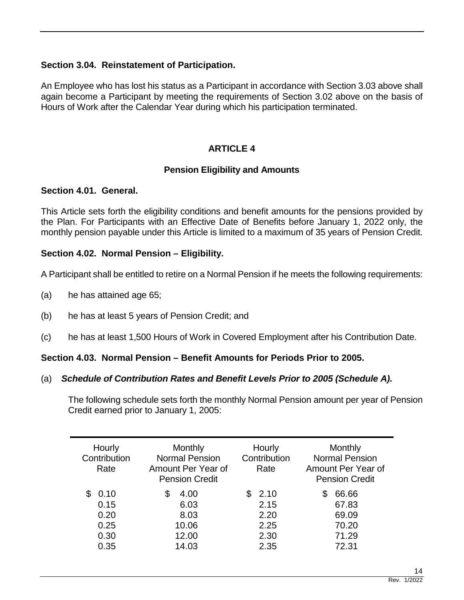# **Section 3.04. Reinstatement of Participation.**

An Employee who has lost his status as a Participant in accordance with Section 3.03 above shall again become a Participant by meeting the requirements of Section 3.02 above on the basis of Hours of Work after the Calendar Year during which his participation terminated.

# **ARTICLE 4**

# **Pension Eligibility and Amounts**

# **Section 4.01. General.**

This Article sets forth the eligibility conditions and benefit amounts for the pensions provided by the Plan. For Participants with an Effective Date of Benefits before January 1, 2022 only, the monthly pension payable under this Article is limited to a maximum of 35 years of Pension Credit.

# **Section 4.02. Normal Pension – Eligibility.**

A Participant shall be entitled to retire on a Normal Pension if he meets the following requirements:

- (a) he has attained age 65;
- (b) he has at least 5 years of Pension Credit; and
- (c) he has at least 1,500 Hours of Work in Covered Employment after his Contribution Date.

### **Section 4.03. Normal Pension – Benefit Amounts for Periods Prior to 2005.**

### (a) *Schedule of Contribution Rates and Benefit Levels Prior to 2005 (Schedule A).*

The following schedule sets forth the monthly Normal Pension amount per year of Pension Credit earned prior to January 1, 2005:

| Hourly<br>Contribution<br>Rate               | Monthly<br><b>Normal Pension</b><br>Amount Per Year of<br><b>Pension Credit</b> | Hourly<br>Contribution<br>Rate               | Monthly<br><b>Normal Pension</b><br>Amount Per Year of<br><b>Pension Credit</b> |
|----------------------------------------------|---------------------------------------------------------------------------------|----------------------------------------------|---------------------------------------------------------------------------------|
| 0.10<br>0.15<br>0.20<br>0.25<br>0.30<br>0.35 | 4.00<br>S<br>6.03<br>8.03<br>10.06<br>12.00<br>14.03                            | 2.10<br>2.15<br>2.20<br>2.25<br>2.30<br>2.35 | 66.66<br>S<br>67.83<br>69.09<br>70.20<br>71.29<br>72.31                         |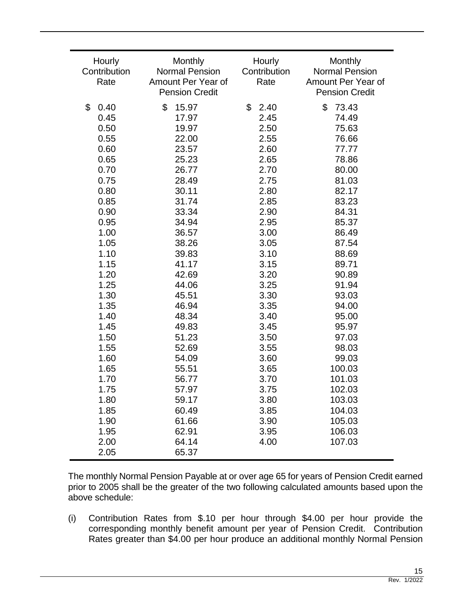| Hourly<br>Contribution<br>Rate | Monthly<br><b>Normal Pension</b><br>Amount Per Year of<br><b>Pension Credit</b> | Hourly<br>Contribution<br>Rate | Monthly<br><b>Normal Pension</b><br>Amount Per Year of<br><b>Pension Credit</b> |
|--------------------------------|---------------------------------------------------------------------------------|--------------------------------|---------------------------------------------------------------------------------|
| \$<br>0.40                     | \$<br>15.97                                                                     | \$<br>2.40                     | \$<br>73.43                                                                     |
| 0.45                           | 17.97                                                                           | 2.45                           | 74.49                                                                           |
| 0.50                           | 19.97                                                                           | 2.50                           | 75.63                                                                           |
| 0.55                           | 22.00                                                                           | 2.55                           | 76.66                                                                           |
| 0.60                           | 23.57                                                                           | 2.60                           | 77.77                                                                           |
| 0.65                           | 25.23                                                                           | 2.65                           | 78.86                                                                           |
| 0.70                           | 26.77                                                                           | 2.70                           | 80.00                                                                           |
| 0.75                           | 28.49                                                                           | 2.75                           | 81.03                                                                           |
| 0.80                           | 30.11                                                                           | 2.80                           | 82.17                                                                           |
| 0.85                           | 31.74                                                                           | 2.85                           | 83.23                                                                           |
| 0.90                           | 33.34                                                                           | 2.90                           | 84.31                                                                           |
| 0.95                           | 34.94                                                                           | 2.95                           | 85.37                                                                           |
| 1.00                           | 36.57                                                                           | 3.00                           | 86.49                                                                           |
| 1.05                           | 38.26                                                                           | 3.05                           | 87.54                                                                           |
| 1.10                           | 39.83                                                                           | 3.10                           | 88.69                                                                           |
| 1.15                           | 41.17                                                                           | 3.15                           | 89.71                                                                           |
| 1.20                           | 42.69                                                                           | 3.20                           | 90.89                                                                           |
| 1.25                           | 44.06                                                                           | 3.25                           | 91.94                                                                           |
| 1.30                           | 45.51                                                                           | 3.30                           | 93.03                                                                           |
| 1.35                           | 46.94                                                                           | 3.35                           | 94.00                                                                           |
| 1.40                           | 48.34                                                                           | 3.40                           | 95.00                                                                           |
| 1.45                           | 49.83                                                                           | 3.45                           | 95.97                                                                           |
| 1.50                           | 51.23                                                                           | 3.50                           | 97.03                                                                           |
| 1.55                           | 52.69                                                                           | 3.55                           | 98.03                                                                           |
| 1.60                           | 54.09                                                                           | 3.60                           | 99.03                                                                           |
| 1.65                           | 55.51                                                                           | 3.65                           | 100.03                                                                          |
| 1.70                           | 56.77                                                                           | 3.70                           | 101.03                                                                          |
| 1.75                           | 57.97                                                                           | 3.75                           | 102.03                                                                          |
| 1.80                           | 59.17                                                                           | 3.80                           | 103.03                                                                          |
| 1.85                           | 60.49                                                                           | 3.85                           | 104.03                                                                          |
| 1.90                           | 61.66                                                                           | 3.90                           | 105.03                                                                          |
| 1.95                           | 62.91                                                                           | 3.95                           | 106.03                                                                          |
| 2.00                           | 64.14                                                                           | 4.00                           | 107.03                                                                          |
| 2.05                           | 65.37                                                                           |                                |                                                                                 |

The monthly Normal Pension Payable at or over age 65 for years of Pension Credit earned prior to 2005 shall be the greater of the two following calculated amounts based upon the above schedule:

(i) Contribution Rates from \$.10 per hour through \$4.00 per hour provide the corresponding monthly benefit amount per year of Pension Credit. Contribution Rates greater than \$4.00 per hour produce an additional monthly Normal Pension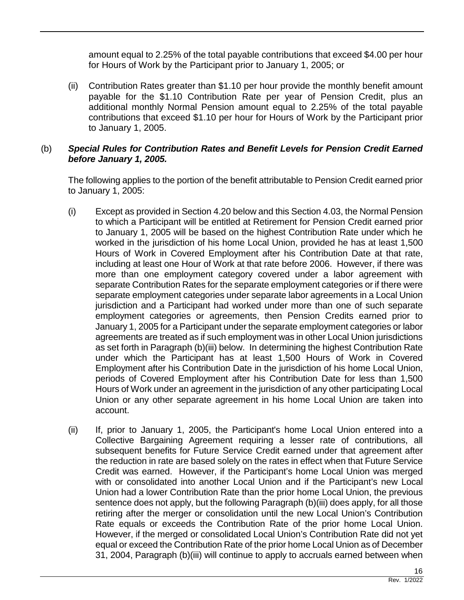amount equal to 2.25% of the total payable contributions that exceed \$4.00 per hour for Hours of Work by the Participant prior to January 1, 2005; or

(ii) Contribution Rates greater than \$1.10 per hour provide the monthly benefit amount payable for the \$1.10 Contribution Rate per year of Pension Credit, plus an additional monthly Normal Pension amount equal to 2.25% of the total payable contributions that exceed \$1.10 per hour for Hours of Work by the Participant prior to January 1, 2005.

# (b) *Special Rules for Contribution Rates and Benefit Levels for Pension Credit Earned before January 1, 2005.*

The following applies to the portion of the benefit attributable to Pension Credit earned prior to January 1, 2005:

- (i) Except as provided in Section 4.20 below and this Section 4.03, the Normal Pension to which a Participant will be entitled at Retirement for Pension Credit earned prior to January 1, 2005 will be based on the highest Contribution Rate under which he worked in the jurisdiction of his home Local Union, provided he has at least 1,500 Hours of Work in Covered Employment after his Contribution Date at that rate, including at least one Hour of Work at that rate before 2006. However, if there was more than one employment category covered under a labor agreement with separate Contribution Rates for the separate employment categories or if there were separate employment categories under separate labor agreements in a Local Union jurisdiction and a Participant had worked under more than one of such separate employment categories or agreements, then Pension Credits earned prior to January 1, 2005 for a Participant under the separate employment categories or labor agreements are treated as if such employment was in other Local Union jurisdictions as set forth in Paragraph (b)(iii) below. In determining the highest Contribution Rate under which the Participant has at least 1,500 Hours of Work in Covered Employment after his Contribution Date in the jurisdiction of his home Local Union, periods of Covered Employment after his Contribution Date for less than 1,500 Hours of Work under an agreement in the jurisdiction of any other participating Local Union or any other separate agreement in his home Local Union are taken into account.
- (ii) If, prior to January 1, 2005, the Participant's home Local Union entered into a Collective Bargaining Agreement requiring a lesser rate of contributions, all subsequent benefits for Future Service Credit earned under that agreement after the reduction in rate are based solely on the rates in effect when that Future Service Credit was earned. However, if the Participant's home Local Union was merged with or consolidated into another Local Union and if the Participant's new Local Union had a lower Contribution Rate than the prior home Local Union, the previous sentence does not apply, but the following Paragraph (b)(iii) does apply, for all those retiring after the merger or consolidation until the new Local Union's Contribution Rate equals or exceeds the Contribution Rate of the prior home Local Union. However, if the merged or consolidated Local Union's Contribution Rate did not yet equal or exceed the Contribution Rate of the prior home Local Union as of December 31, 2004, Paragraph (b)(iii) will continue to apply to accruals earned between when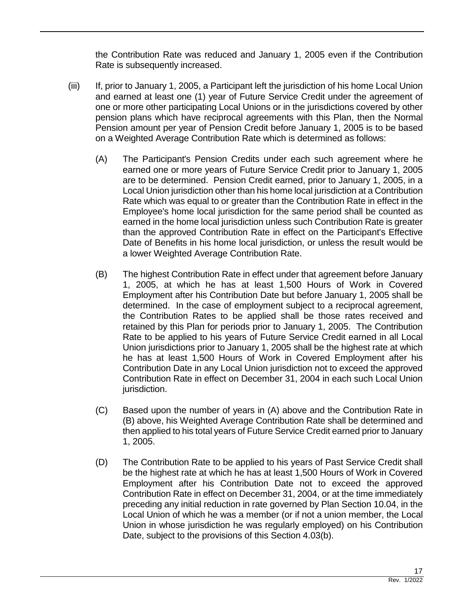the Contribution Rate was reduced and January 1, 2005 even if the Contribution Rate is subsequently increased.

- (iii) If, prior to January 1, 2005, a Participant left the jurisdiction of his home Local Union and earned at least one (1) year of Future Service Credit under the agreement of one or more other participating Local Unions or in the jurisdictions covered by other pension plans which have reciprocal agreements with this Plan, then the Normal Pension amount per year of Pension Credit before January 1, 2005 is to be based on a Weighted Average Contribution Rate which is determined as follows:
	- (A) The Participant's Pension Credits under each such agreement where he earned one or more years of Future Service Credit prior to January 1, 2005 are to be determined. Pension Credit earned, prior to January 1, 2005, in a Local Union jurisdiction other than his home local jurisdiction at a Contribution Rate which was equal to or greater than the Contribution Rate in effect in the Employee's home local jurisdiction for the same period shall be counted as earned in the home local jurisdiction unless such Contribution Rate is greater than the approved Contribution Rate in effect on the Participant's Effective Date of Benefits in his home local jurisdiction, or unless the result would be a lower Weighted Average Contribution Rate.
	- (B) The highest Contribution Rate in effect under that agreement before January 1, 2005, at which he has at least 1,500 Hours of Work in Covered Employment after his Contribution Date but before January 1, 2005 shall be determined. In the case of employment subject to a reciprocal agreement, the Contribution Rates to be applied shall be those rates received and retained by this Plan for periods prior to January 1, 2005. The Contribution Rate to be applied to his years of Future Service Credit earned in all Local Union jurisdictions prior to January 1, 2005 shall be the highest rate at which he has at least 1,500 Hours of Work in Covered Employment after his Contribution Date in any Local Union jurisdiction not to exceed the approved Contribution Rate in effect on December 31, 2004 in each such Local Union jurisdiction.
	- (C) Based upon the number of years in (A) above and the Contribution Rate in (B) above, his Weighted Average Contribution Rate shall be determined and then applied to his total years of Future Service Credit earned prior to January 1, 2005.
	- (D) The Contribution Rate to be applied to his years of Past Service Credit shall be the highest rate at which he has at least 1,500 Hours of Work in Covered Employment after his Contribution Date not to exceed the approved Contribution Rate in effect on December 31, 2004, or at the time immediately preceding any initial reduction in rate governed by Plan Section 10.04, in the Local Union of which he was a member (or if not a union member, the Local Union in whose jurisdiction he was regularly employed) on his Contribution Date, subject to the provisions of this Section 4.03(b).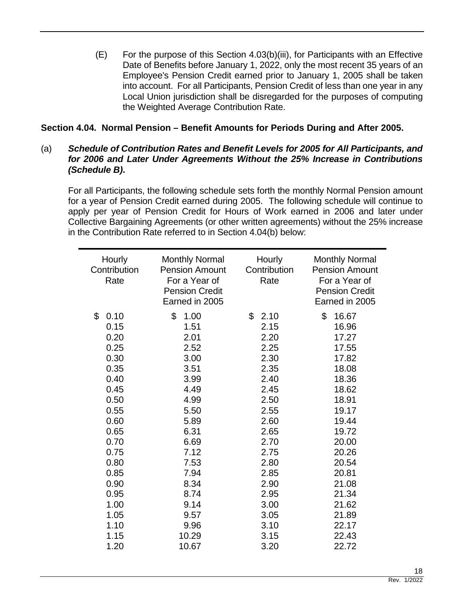$(E)$  For the purpose of this Section 4.03(b)(iii), for Participants with an Effective Date of Benefits before January 1, 2022, only the most recent 35 years of an Employee's Pension Credit earned prior to January 1, 2005 shall be taken into account. For all Participants, Pension Credit of less than one year in any Local Union jurisdiction shall be disregarded for the purposes of computing the Weighted Average Contribution Rate.

# **Section 4.04. Normal Pension – Benefit Amounts for Periods During and After 2005.**

# (a) *Schedule of Contribution Rates and Benefit Levels for 2005 for All Participants, and for 2006 and Later Under Agreements Without the 25% Increase in Contributions (Schedule B)***.**

For all Participants, the following schedule sets forth the monthly Normal Pension amount for a year of Pension Credit earned during 2005. The following schedule will continue to apply per year of Pension Credit for Hours of Work earned in 2006 and later under Collective Bargaining Agreements (or other written agreements) without the 25% increase in the Contribution Rate referred to in Section 4.04(b) below:

| Hourly<br>Contribution<br>Rate | <b>Monthly Normal</b><br><b>Pension Amount</b><br>For a Year of<br><b>Pension Credit</b><br>Earned in 2005 | Hourly<br>Contribution<br>Rate | <b>Monthly Normal</b><br><b>Pension Amount</b><br>For a Year of<br><b>Pension Credit</b><br>Earned in 2005 |
|--------------------------------|------------------------------------------------------------------------------------------------------------|--------------------------------|------------------------------------------------------------------------------------------------------------|
| \$                             | \$                                                                                                         | \$                             | \$                                                                                                         |
| 0.10                           | 1.00                                                                                                       | 2.10                           | 16.67                                                                                                      |
| 0.15                           | 1.51                                                                                                       | 2.15                           | 16.96                                                                                                      |
| 0.20                           | 2.01                                                                                                       | 2.20                           | 17.27                                                                                                      |
| 0.25                           | 2.52                                                                                                       | 2.25                           | 17.55                                                                                                      |
| 0.30                           | 3.00                                                                                                       | 2.30                           | 17.82                                                                                                      |
| 0.35                           | 3.51                                                                                                       | 2.35                           | 18.08                                                                                                      |
| 0.40                           | 3.99                                                                                                       | 2.40                           | 18.36                                                                                                      |
| 0.45                           | 4.49                                                                                                       | 2.45                           | 18.62                                                                                                      |
| 0.50                           | 4.99                                                                                                       | 2.50                           | 18.91                                                                                                      |
| 0.55                           | 5.50                                                                                                       | 2.55                           | 19.17                                                                                                      |
| 0.60                           | 5.89                                                                                                       | 2.60                           | 19.44                                                                                                      |
| 0.65                           | 6.31                                                                                                       | 2.65                           | 19.72                                                                                                      |
| 0.70                           | 6.69                                                                                                       | 2.70                           | 20.00                                                                                                      |
| 0.75                           | 7.12                                                                                                       | 2.75                           | 20.26                                                                                                      |
| 0.80                           | 7.53                                                                                                       | 2.80                           | 20.54                                                                                                      |
| 0.85                           | 7.94                                                                                                       | 2.85                           | 20.81                                                                                                      |
| 0.90                           | 8.34                                                                                                       | 2.90                           | 21.08                                                                                                      |
| 0.95                           | 8.74                                                                                                       | 2.95                           | 21.34                                                                                                      |
| 1.00                           | 9.14                                                                                                       | 3.00                           | 21.62                                                                                                      |
| 1.05                           | 9.57                                                                                                       | 3.05                           | 21.89                                                                                                      |
| 1.10                           | 9.96                                                                                                       | 3.10                           | 22.17                                                                                                      |
| 1.15                           | 10.29                                                                                                      | 3.15                           | 22.43                                                                                                      |
| 1.20                           | 10.67                                                                                                      | 3.20                           | 22.72                                                                                                      |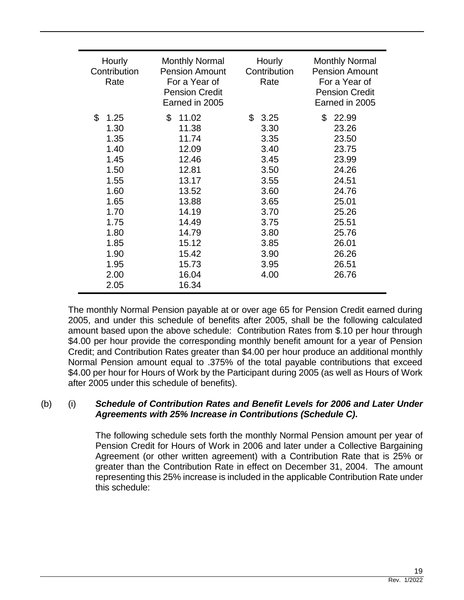| Hourly<br>Contribution<br>Rate                                                                                             | <b>Monthly Normal</b><br><b>Pension Amount</b><br>For a Year of<br><b>Pension Credit</b><br>Earned in 2005                                | Hourly<br>Contribution<br>Rate                                                                                                         | <b>Monthly Normal</b><br><b>Pension Amount</b><br>For a Year of<br><b>Pension Credit</b><br>Earned in 2005                                |
|----------------------------------------------------------------------------------------------------------------------------|-------------------------------------------------------------------------------------------------------------------------------------------|----------------------------------------------------------------------------------------------------------------------------------------|-------------------------------------------------------------------------------------------------------------------------------------------|
| \$<br>1.25<br>1.30<br>1.35<br>1.40<br>1.45<br>1.50<br>1.55<br>1.60<br>1.65<br>1.70<br>1.75<br>1.80<br>1.85<br>1.90<br>1.95 | \$<br>11.02<br>11.38<br>11.74<br>12.09<br>12.46<br>12.81<br>13.17<br>13.52<br>13.88<br>14.19<br>14.49<br>14.79<br>15.12<br>15.42<br>15.73 | $\mathfrak{L}$<br>3.25<br>3.30<br>3.35<br>3.40<br>3.45<br>3.50<br>3.55<br>3.60<br>3.65<br>3.70<br>3.75<br>3.80<br>3.85<br>3.90<br>3.95 | \$<br>22.99<br>23.26<br>23.50<br>23.75<br>23.99<br>24.26<br>24.51<br>24.76<br>25.01<br>25.26<br>25.51<br>25.76<br>26.01<br>26.26<br>26.51 |
| 2.00<br>2.05                                                                                                               | 16.04<br>16.34                                                                                                                            | 4.00                                                                                                                                   | 26.76                                                                                                                                     |

The monthly Normal Pension payable at or over age 65 for Pension Credit earned during 2005, and under this schedule of benefits after 2005, shall be the following calculated amount based upon the above schedule: Contribution Rates from \$.10 per hour through \$4.00 per hour provide the corresponding monthly benefit amount for a year of Pension Credit; and Contribution Rates greater than \$4.00 per hour produce an additional monthly Normal Pension amount equal to .375% of the total payable contributions that exceed \$4.00 per hour for Hours of Work by the Participant during 2005 (as well as Hours of Work after 2005 under this schedule of benefits).

# (b) (i) *Schedule of Contribution Rates and Benefit Levels for 2006 and Later Under Agreements with 25% Increase in Contributions (Schedule C)***.**

The following schedule sets forth the monthly Normal Pension amount per year of Pension Credit for Hours of Work in 2006 and later under a Collective Bargaining Agreement (or other written agreement) with a Contribution Rate that is 25% or greater than the Contribution Rate in effect on December 31, 2004. The amount representing this 25% increase is included in the applicable Contribution Rate under this schedule: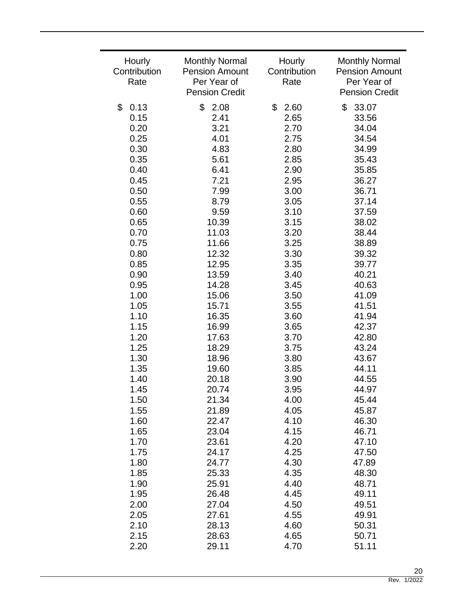| Hourly       | <b>Monthly Normal</b> | Hourly       | <b>Monthly Normal</b> |
|--------------|-----------------------|--------------|-----------------------|
| Contribution | <b>Pension Amount</b> | Contribution | <b>Pension Amount</b> |
| Rate         | Per Year of           | Rate         | Per Year of           |
|              | <b>Pension Credit</b> |              | <b>Pension Credit</b> |
| \$<br>0.13   | \$<br>2.08            | \$<br>2.60   | \$<br>33.07           |
| 0.15         | 2.41                  | 2.65         | 33.56                 |
| 0.20         | 3.21                  | 2.70         | 34.04                 |
| 0.25         | 4.01                  | 2.75         | 34.54                 |
| 0.30         | 4.83                  | 2.80         | 34.99                 |
| 0.35         | 5.61                  | 2.85         | 35.43                 |
| 0.40         | 6.41                  | 2.90         | 35.85                 |
| 0.45         | 7.21                  | 2.95         | 36.27                 |
| 0.50         | 7.99                  | 3.00         | 36.71                 |
| 0.55         | 8.79                  | 3.05         | 37.14                 |
| 0.60         | 9.59                  | 3.10         | 37.59                 |
| 0.65         | 10.39                 | 3.15         | 38.02                 |
| 0.70         | 11.03                 | 3.20         | 38.44                 |
| 0.75         | 11.66                 | 3.25         | 38.89                 |
| 0.80         | 12.32                 | 3.30         | 39.32                 |
| 0.85         | 12.95                 | 3.35         | 39.77                 |
| 0.90         | 13.59                 | 3.40         | 40.21                 |
| 0.95         | 14.28                 | 3.45         | 40.63                 |
| 1.00         | 15.06                 | 3.50         | 41.09                 |
| 1.05         | 15.71                 | 3.55         | 41.51                 |
| 1.10         | 16.35                 | 3.60         | 41.94                 |
| 1.15         | 16.99                 | 3.65         | 42.37                 |
| 1.20         | 17.63                 | 3.70         | 42.80                 |
| 1.25         | 18.29                 | 3.75         | 43.24                 |
| 1.30         | 18.96                 | 3.80         | 43.67                 |
| 1.35         | 19.60                 | 3.85         | 44.11                 |
| 1.40         | 20.18                 | 3.90         | 44.55                 |
| 1.45         | 20.74                 | 3.95         | 44.97                 |
| 1.50         | 21.34                 | 4.00         | 45.44                 |
| 1.55         | 21.89                 | 4.05         | 45.87                 |
| 1.60         | 22.47                 | 4.10         | 46.30                 |
| 1.65         | 23.04                 | 4.15         | 46.71                 |
| 1.70         | 23.61                 | 4.20         | 47.10                 |
| 1.75         | 24.17                 | 4.25         | 47.50                 |
| 1.80         | 24.77                 | 4.30         | 47.89                 |
| 1.85         | 25.33                 | 4.35         | 48.30                 |
| 1.90         | 25.91                 | 4.40         | 48.71                 |
| 1.95         | 26.48                 | 4.45         | 49.11                 |
| 2.00         | 27.04                 | 4.50         | 49.51                 |
| 2.05         | 27.61                 | 4.55         | 49.91                 |
| 2.10         | 28.13                 | 4.60         | 50.31                 |
| 2.15         | 28.63                 | 4.65         | 50.71                 |
| 2.20         | 29.11                 | 4.70         | 51.11                 |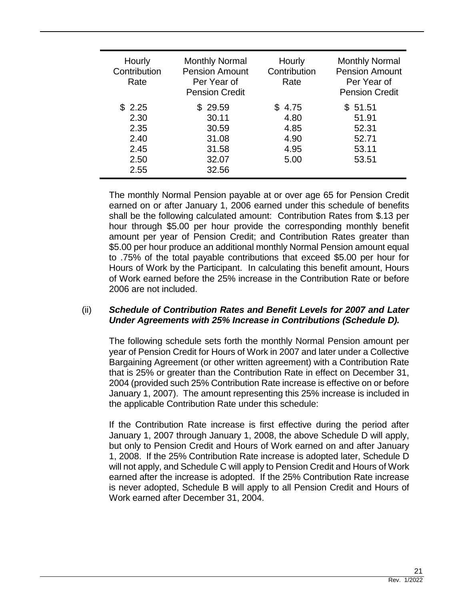| Hourly<br>Contribution<br>Rate                         | <b>Monthly Normal</b><br><b>Pension Amount</b><br>Per Year of<br><b>Pension Credit</b> | Hourly<br>Contribution<br>Rate                 | <b>Monthly Normal</b><br><b>Pension Amount</b><br>Per Year of<br><b>Pension Credit</b> |
|--------------------------------------------------------|----------------------------------------------------------------------------------------|------------------------------------------------|----------------------------------------------------------------------------------------|
| \$2.25<br>2.30<br>2.35<br>2.40<br>2.45<br>2.50<br>2.55 | \$29.59<br>30.11<br>30.59<br>31.08<br>31.58<br>32.07<br>32.56                          | \$4.75<br>4.80<br>4.85<br>4.90<br>4.95<br>5.00 | \$51.51<br>51.91<br>52.31<br>52.71<br>53.11<br>53.51                                   |

The monthly Normal Pension payable at or over age 65 for Pension Credit earned on or after January 1, 2006 earned under this schedule of benefits shall be the following calculated amount: Contribution Rates from \$.13 per hour through \$5.00 per hour provide the corresponding monthly benefit amount per year of Pension Credit; and Contribution Rates greater than \$5.00 per hour produce an additional monthly Normal Pension amount equal to .75% of the total payable contributions that exceed \$5.00 per hour for Hours of Work by the Participant. In calculating this benefit amount, Hours of Work earned before the 25% increase in the Contribution Rate or before 2006 are not included.

# (ii) *Schedule of Contribution Rates and Benefit Levels for 2007 and Later Under Agreements with 25% Increase in Contributions (Schedule D).*

The following schedule sets forth the monthly Normal Pension amount per year of Pension Credit for Hours of Work in 2007 and later under a Collective Bargaining Agreement (or other written agreement) with a Contribution Rate that is 25% or greater than the Contribution Rate in effect on December 31, 2004 (provided such 25% Contribution Rate increase is effective on or before January 1, 2007). The amount representing this 25% increase is included in the applicable Contribution Rate under this schedule:

If the Contribution Rate increase is first effective during the period after January 1, 2007 through January 1, 2008, the above Schedule D will apply, but only to Pension Credit and Hours of Work earned on and after January 1, 2008. If the 25% Contribution Rate increase is adopted later, Schedule D will not apply, and Schedule C will apply to Pension Credit and Hours of Work earned after the increase is adopted. If the 25% Contribution Rate increase is never adopted, Schedule B will apply to all Pension Credit and Hours of Work earned after December 31, 2004.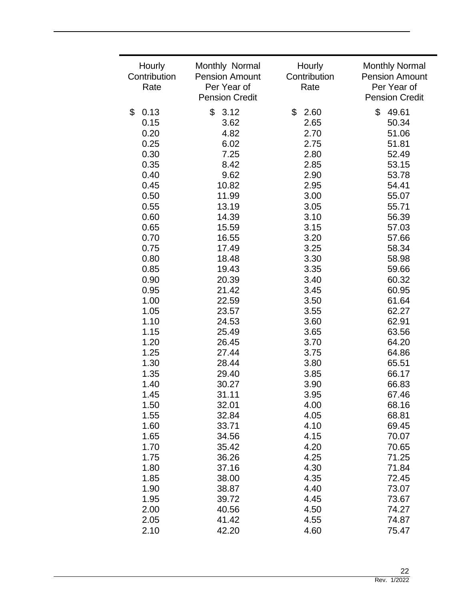| Hourly<br>Contribution<br>Rate | Monthly Normal<br><b>Pension Amount</b><br>Per Year of<br><b>Pension Credit</b> | Hourly<br>Contribution<br>Rate | <b>Monthly Normal</b><br><b>Pension Amount</b><br>Per Year of<br><b>Pension Credit</b> |
|--------------------------------|---------------------------------------------------------------------------------|--------------------------------|----------------------------------------------------------------------------------------|
|                                |                                                                                 |                                |                                                                                        |
| \$<br>0.13                     | \$<br>3.12                                                                      | \$<br>2.60                     | \$<br>49.61                                                                            |
| 0.15                           | 3.62                                                                            | 2.65                           | 50.34                                                                                  |
| 0.20                           | 4.82                                                                            | 2.70                           | 51.06                                                                                  |
| 0.25                           | 6.02                                                                            | 2.75                           | 51.81                                                                                  |
| 0.30                           | 7.25                                                                            | 2.80                           | 52.49                                                                                  |
| 0.35                           | 8.42                                                                            | 2.85                           | 53.15                                                                                  |
| 0.40                           | 9.62                                                                            | 2.90                           | 53.78                                                                                  |
| 0.45                           | 10.82                                                                           | 2.95                           | 54.41                                                                                  |
| 0.50                           | 11.99                                                                           | 3.00                           | 55.07                                                                                  |
| 0.55                           | 13.19                                                                           | 3.05                           | 55.71                                                                                  |
| 0.60                           | 14.39                                                                           | 3.10                           | 56.39                                                                                  |
| 0.65                           | 15.59                                                                           | 3.15                           | 57.03                                                                                  |
| 0.70                           | 16.55                                                                           | 3.20                           | 57.66                                                                                  |
| 0.75                           | 17.49                                                                           | 3.25                           | 58.34                                                                                  |
| 0.80                           | 18.48                                                                           | 3.30                           | 58.98                                                                                  |
| 0.85                           | 19.43                                                                           | 3.35                           | 59.66                                                                                  |
|                                |                                                                                 | 3.40                           |                                                                                        |
| 0.90                           | 20.39                                                                           |                                | 60.32                                                                                  |
| 0.95                           | 21.42                                                                           | 3.45                           | 60.95                                                                                  |
| 1.00                           | 22.59                                                                           | 3.50                           | 61.64                                                                                  |
| 1.05                           | 23.57                                                                           | 3.55                           | 62.27                                                                                  |
| 1.10                           | 24.53                                                                           | 3.60                           | 62.91                                                                                  |
| 1.15                           | 25.49                                                                           | 3.65                           | 63.56                                                                                  |
| 1.20                           | 26.45                                                                           | 3.70                           | 64.20                                                                                  |
| 1.25                           | 27.44                                                                           | 3.75                           | 64.86                                                                                  |
| 1.30                           | 28.44                                                                           | 3.80                           | 65.51                                                                                  |
| 1.35                           | 29.40                                                                           | 3.85                           | 66.17                                                                                  |
| 1.40                           | 30.27                                                                           | 3.90                           | 66.83                                                                                  |
| 1.45                           | 31.11                                                                           | 3.95                           | 67.46                                                                                  |
| 1.50                           | 32.01                                                                           | 4.00                           | 68.16                                                                                  |
| 1.55                           | 32.84                                                                           | 4.05                           | 68.81                                                                                  |
| 1.60                           | 33.71                                                                           | 4.10                           | 69.45                                                                                  |
| 1.65                           | 34.56                                                                           | 4.15                           | 70.07                                                                                  |
| 1.70                           | 35.42                                                                           | 4.20                           | 70.65                                                                                  |
| 1.75                           | 36.26                                                                           | 4.25                           | 71.25                                                                                  |
| 1.80                           | 37.16                                                                           | 4.30                           | 71.84                                                                                  |
| 1.85                           | 38.00                                                                           | 4.35                           | 72.45                                                                                  |
| 1.90                           | 38.87                                                                           | 4.40                           | 73.07                                                                                  |
| 1.95                           | 39.72                                                                           | 4.45                           | 73.67                                                                                  |
| 2.00                           | 40.56                                                                           | 4.50                           | 74.27                                                                                  |
| 2.05                           | 41.42                                                                           | 4.55                           | 74.87                                                                                  |
| 2.10                           | 42.20                                                                           | 4.60                           | 75.47                                                                                  |
|                                |                                                                                 |                                |                                                                                        |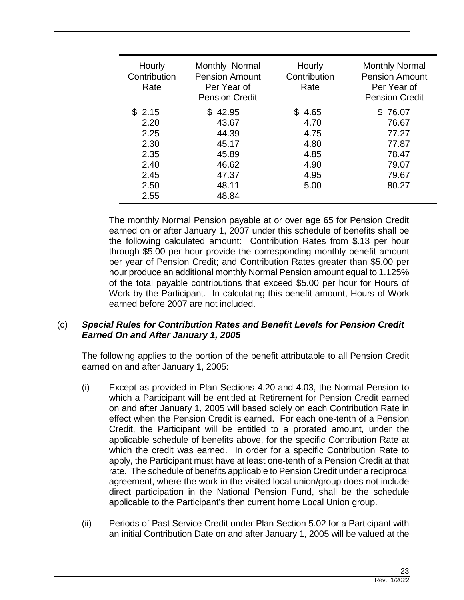| Hourly<br>Contribution<br>Rate | Monthly Normal<br><b>Pension Amount</b><br>Per Year of<br><b>Pension Credit</b> | Hourly<br>Contribution<br>Rate | <b>Monthly Normal</b><br><b>Pension Amount</b><br>Per Year of<br><b>Pension Credit</b> |
|--------------------------------|---------------------------------------------------------------------------------|--------------------------------|----------------------------------------------------------------------------------------|
| \$2.15<br>2.20                 | \$42.95<br>43.67                                                                | \$4.65<br>4.70                 | \$76.07<br>76.67                                                                       |
| 2.25                           | 44.39                                                                           | 4.75                           | 77.27                                                                                  |
| 2.30                           | 45.17                                                                           | 4.80                           | 77.87                                                                                  |
| 2.35                           | 45.89                                                                           | 4.85                           | 78.47                                                                                  |
| 2.40                           | 46.62                                                                           | 4.90                           | 79.07                                                                                  |
| 2.45                           | 47.37                                                                           | 4.95                           | 79.67                                                                                  |
| 2.50                           | 48.11                                                                           | 5.00                           | 80.27                                                                                  |
| 2.55                           | 48.84                                                                           |                                |                                                                                        |

The monthly Normal Pension payable at or over age 65 for Pension Credit earned on or after January 1, 2007 under this schedule of benefits shall be the following calculated amount: Contribution Rates from \$.13 per hour through \$5.00 per hour provide the corresponding monthly benefit amount per year of Pension Credit; and Contribution Rates greater than \$5.00 per hour produce an additional monthly Normal Pension amount equal to 1.125% of the total payable contributions that exceed \$5.00 per hour for Hours of Work by the Participant. In calculating this benefit amount, Hours of Work earned before 2007 are not included.

# (c) *Special Rules for Contribution Rates and Benefit Levels for Pension Credit Earned On and After January 1, 2005*

The following applies to the portion of the benefit attributable to all Pension Credit earned on and after January 1, 2005:

- (i) Except as provided in Plan Sections 4.20 and 4.03, the Normal Pension to which a Participant will be entitled at Retirement for Pension Credit earned on and after January 1, 2005 will based solely on each Contribution Rate in effect when the Pension Credit is earned. For each one-tenth of a Pension Credit, the Participant will be entitled to a prorated amount, under the applicable schedule of benefits above, for the specific Contribution Rate at which the credit was earned. In order for a specific Contribution Rate to apply, the Participant must have at least one-tenth of a Pension Credit at that rate. The schedule of benefits applicable to Pension Credit under a reciprocal agreement, where the work in the visited local union/group does not include direct participation in the National Pension Fund, shall be the schedule applicable to the Participant's then current home Local Union group.
- (ii) Periods of Past Service Credit under Plan Section 5.02 for a Participant with an initial Contribution Date on and after January 1, 2005 will be valued at the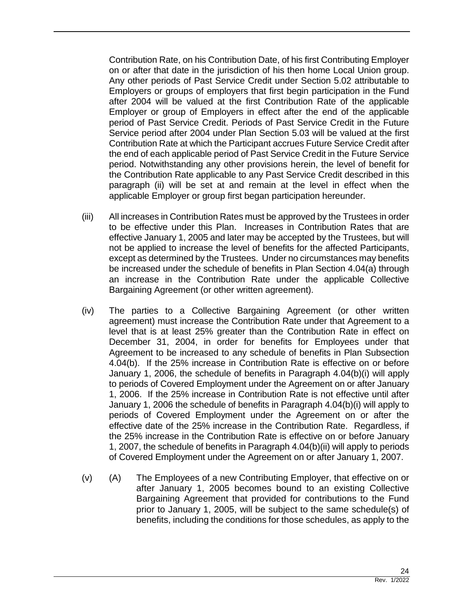Contribution Rate, on his Contribution Date, of his first Contributing Employer on or after that date in the jurisdiction of his then home Local Union group. Any other periods of Past Service Credit under Section 5.02 attributable to Employers or groups of employers that first begin participation in the Fund after 2004 will be valued at the first Contribution Rate of the applicable Employer or group of Employers in effect after the end of the applicable period of Past Service Credit. Periods of Past Service Credit in the Future Service period after 2004 under Plan Section 5.03 will be valued at the first Contribution Rate at which the Participant accrues Future Service Credit after the end of each applicable period of Past Service Credit in the Future Service period. Notwithstanding any other provisions herein, the level of benefit for the Contribution Rate applicable to any Past Service Credit described in this paragraph (ii) will be set at and remain at the level in effect when the applicable Employer or group first began participation hereunder.

- (iii) All increases in Contribution Rates must be approved by the Trustees in order to be effective under this Plan. Increases in Contribution Rates that are effective January 1, 2005 and later may be accepted by the Trustees, but will not be applied to increase the level of benefits for the affected Participants, except as determined by the Trustees. Under no circumstances may benefits be increased under the schedule of benefits in Plan Section 4.04(a) through an increase in the Contribution Rate under the applicable Collective Bargaining Agreement (or other written agreement).
- (iv) The parties to a Collective Bargaining Agreement (or other written agreement) must increase the Contribution Rate under that Agreement to a level that is at least 25% greater than the Contribution Rate in effect on December 31, 2004, in order for benefits for Employees under that Agreement to be increased to any schedule of benefits in Plan Subsection 4.04(b). If the 25% increase in Contribution Rate is effective on or before January 1, 2006, the schedule of benefits in Paragraph 4.04(b)(i) will apply to periods of Covered Employment under the Agreement on or after January 1, 2006. If the 25% increase in Contribution Rate is not effective until after January 1, 2006 the schedule of benefits in Paragraph 4.04(b)(i) will apply to periods of Covered Employment under the Agreement on or after the effective date of the 25% increase in the Contribution Rate. Regardless, if the 25% increase in the Contribution Rate is effective on or before January 1, 2007, the schedule of benefits in Paragraph 4.04(b)(ii) will apply to periods of Covered Employment under the Agreement on or after January 1, 2007.
- (v) (A) The Employees of a new Contributing Employer, that effective on or after January 1, 2005 becomes bound to an existing Collective Bargaining Agreement that provided for contributions to the Fund prior to January 1, 2005, will be subject to the same schedule(s) of benefits, including the conditions for those schedules, as apply to the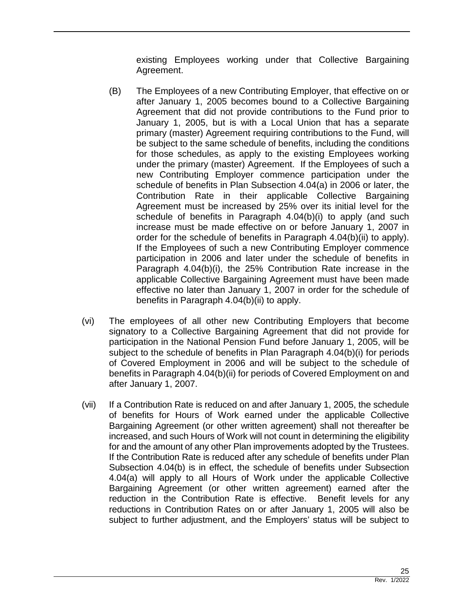existing Employees working under that Collective Bargaining Agreement.

- (B) The Employees of a new Contributing Employer, that effective on or after January 1, 2005 becomes bound to a Collective Bargaining Agreement that did not provide contributions to the Fund prior to January 1, 2005, but is with a Local Union that has a separate primary (master) Agreement requiring contributions to the Fund, will be subject to the same schedule of benefits, including the conditions for those schedules, as apply to the existing Employees working under the primary (master) Agreement. If the Employees of such a new Contributing Employer commence participation under the schedule of benefits in Plan Subsection 4.04(a) in 2006 or later, the Contribution Rate in their applicable Collective Bargaining Agreement must be increased by 25% over its initial level for the schedule of benefits in Paragraph 4.04(b)(i) to apply (and such increase must be made effective on or before January 1, 2007 in order for the schedule of benefits in Paragraph 4.04(b)(ii) to apply). If the Employees of such a new Contributing Employer commence participation in 2006 and later under the schedule of benefits in Paragraph 4.04(b)(i), the 25% Contribution Rate increase in the applicable Collective Bargaining Agreement must have been made effective no later than January 1, 2007 in order for the schedule of benefits in Paragraph 4.04(b)(ii) to apply.
- (vi) The employees of all other new Contributing Employers that become signatory to a Collective Bargaining Agreement that did not provide for participation in the National Pension Fund before January 1, 2005, will be subject to the schedule of benefits in Plan Paragraph 4.04(b)(i) for periods of Covered Employment in 2006 and will be subject to the schedule of benefits in Paragraph 4.04(b)(ii) for periods of Covered Employment on and after January 1, 2007.
- (vii) If a Contribution Rate is reduced on and after January 1, 2005, the schedule of benefits for Hours of Work earned under the applicable Collective Bargaining Agreement (or other written agreement) shall not thereafter be increased, and such Hours of Work will not count in determining the eligibility for and the amount of any other Plan improvements adopted by the Trustees. If the Contribution Rate is reduced after any schedule of benefits under Plan Subsection 4.04(b) is in effect, the schedule of benefits under Subsection 4.04(a) will apply to all Hours of Work under the applicable Collective Bargaining Agreement (or other written agreement) earned after the reduction in the Contribution Rate is effective. Benefit levels for any reductions in Contribution Rates on or after January 1, 2005 will also be subject to further adjustment, and the Employers' status will be subject to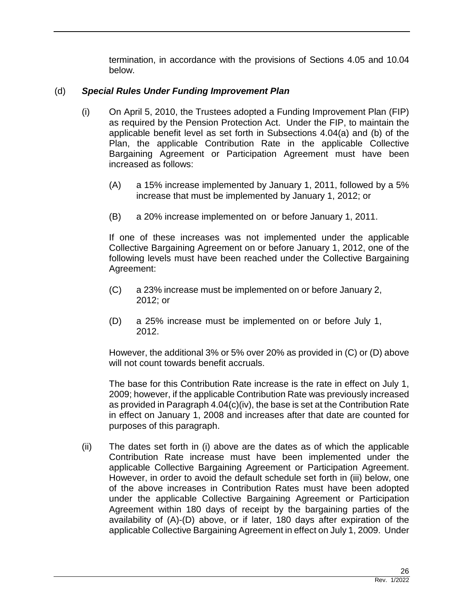termination, in accordance with the provisions of Sections 4.05 and 10.04 below.

# (d) *Special Rules Under Funding Improvement Plan*

- (i) On April 5, 2010, the Trustees adopted a Funding Improvement Plan (FIP) as required by the Pension Protection Act. Under the FIP, to maintain the applicable benefit level as set forth in Subsections 4.04(a) and (b) of the Plan, the applicable Contribution Rate in the applicable Collective Bargaining Agreement or Participation Agreement must have been increased as follows:
	- (A) a 15% increase implemented by January 1, 2011, followed by a 5% increase that must be implemented by January 1, 2012; or
	- (B) a 20% increase implemented on or before January 1, 2011.

If one of these increases was not implemented under the applicable Collective Bargaining Agreement on or before January 1, 2012, one of the following levels must have been reached under the Collective Bargaining Agreement:

- (C) a 23% increase must be implemented on or before January 2, 2012; or
- (D) a 25% increase must be implemented on or before July 1, 2012.

However, the additional 3% or 5% over 20% as provided in (C) or (D) above will not count towards benefit accruals.

The base for this Contribution Rate increase is the rate in effect on July 1, 2009; however, if the applicable Contribution Rate was previously increased as provided in Paragraph 4.04(c)(iv), the base is set at the Contribution Rate in effect on January 1, 2008 and increases after that date are counted for purposes of this paragraph.

(ii) The dates set forth in (i) above are the dates as of which the applicable Contribution Rate increase must have been implemented under the applicable Collective Bargaining Agreement or Participation Agreement. However, in order to avoid the default schedule set forth in (iii) below, one of the above increases in Contribution Rates must have been adopted under the applicable Collective Bargaining Agreement or Participation Agreement within 180 days of receipt by the bargaining parties of the availability of (A)-(D) above, or if later, 180 days after expiration of the applicable Collective Bargaining Agreement in effect on July 1, 2009. Under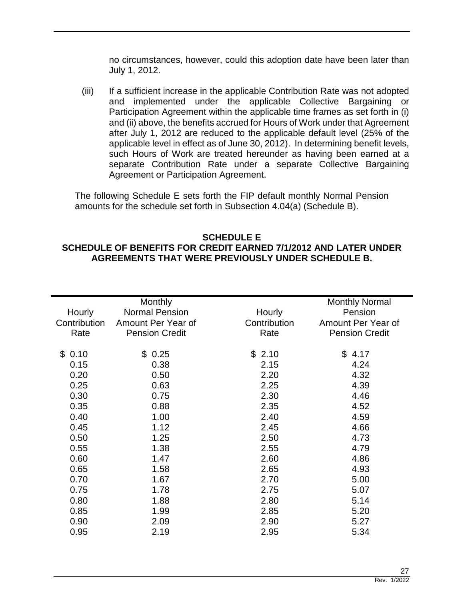no circumstances, however, could this adoption date have been later than July 1, 2012.

(iii) If a sufficient increase in the applicable Contribution Rate was not adopted and implemented under the applicable Collective Bargaining or Participation Agreement within the applicable time frames as set forth in (i) and (ii) above, the benefits accrued for Hours of Work under that Agreement after July 1, 2012 are reduced to the applicable default level (25% of the applicable level in effect as of June 30, 2012). In determining benefit levels, such Hours of Work are treated hereunder as having been earned at a separate Contribution Rate under a separate Collective Bargaining Agreement or Participation Agreement.

The following Schedule E sets forth the FIP default monthly Normal Pension amounts for the schedule set forth in Subsection 4.04(a) (Schedule B).

# **SCHEDULE E SCHEDULE OF BENEFITS FOR CREDIT EARNED 7/1/2012 AND LATER UNDER AGREEMENTS THAT WERE PREVIOUSLY UNDER SCHEDULE B.**

|              | Monthly               |              | <b>Monthly Normal</b> |
|--------------|-----------------------|--------------|-----------------------|
| Hourly       | <b>Normal Pension</b> | Hourly       | Pension               |
| Contribution | Amount Per Year of    | Contribution | Amount Per Year of    |
| Rate         | <b>Pension Credit</b> | Rate         | <b>Pension Credit</b> |
|              |                       |              |                       |
| \$0.10       | \$0.25                | \$2.10       | \$4.17                |
| 0.15         | 0.38                  | 2.15         | 4.24                  |
| 0.20         | 0.50                  | 2.20         | 4.32                  |
| 0.25         | 0.63                  | 2.25         | 4.39                  |
| 0.30         | 0.75                  | 2.30         | 4.46                  |
| 0.35         | 0.88                  | 2.35         | 4.52                  |
| 0.40         | 1.00                  | 2.40         | 4.59                  |
| 0.45         | 1.12                  | 2.45         | 4.66                  |
| 0.50         | 1.25                  | 2.50         | 4.73                  |
| 0.55         | 1.38                  | 2.55         | 4.79                  |
| 0.60         | 1.47                  | 2.60         | 4.86                  |
| 0.65         | 1.58                  | 2.65         | 4.93                  |
| 0.70         | 1.67                  | 2.70         | 5.00                  |
| 0.75         | 1.78                  | 2.75         | 5.07                  |
| 0.80         | 1.88                  | 2.80         | 5.14                  |
| 0.85         | 1.99                  | 2.85         | 5.20                  |
| 0.90         | 2.09                  | 2.90         | 5.27                  |
| 0.95         | 2.19                  | 2.95         | 5.34                  |
|              |                       |              |                       |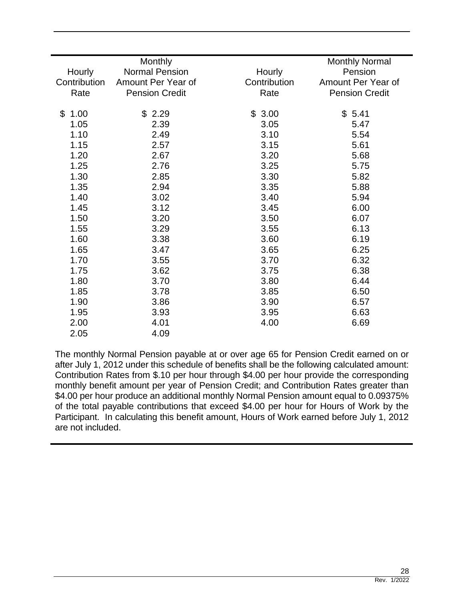|              | Monthly               |              | <b>Monthly Normal</b> |
|--------------|-----------------------|--------------|-----------------------|
| Hourly       | <b>Normal Pension</b> | Hourly       | Pension               |
| Contribution | Amount Per Year of    | Contribution | Amount Per Year of    |
| Rate         | <b>Pension Credit</b> | Rate         | <b>Pension Credit</b> |
|              |                       |              |                       |
| \$<br>1.00   | \$2.29                | \$3.00       | \$5.41                |
| 1.05         | 2.39                  | 3.05         | 5.47                  |
| 1.10         | 2.49                  | 3.10         | 5.54                  |
| 1.15         | 2.57                  | 3.15         | 5.61                  |
| 1.20         | 2.67                  | 3.20         | 5.68                  |
| 1.25         | 2.76                  | 3.25         | 5.75                  |
| 1.30         | 2.85                  | 3.30         | 5.82                  |
| 1.35         | 2.94                  | 3.35         | 5.88                  |
| 1.40         | 3.02                  | 3.40         | 5.94                  |
| 1.45         | 3.12                  | 3.45         | 6.00                  |
| 1.50         | 3.20                  | 3.50         | 6.07                  |
| 1.55         | 3.29                  | 3.55         | 6.13                  |
| 1.60         | 3.38                  | 3.60         | 6.19                  |
| 1.65         | 3.47                  | 3.65         | 6.25                  |
| 1.70         | 3.55                  | 3.70         | 6.32                  |
| 1.75         | 3.62                  | 3.75         | 6.38                  |
| 1.80         | 3.70                  | 3.80         | 6.44                  |
| 1.85         | 3.78                  | 3.85         | 6.50                  |
| 1.90         | 3.86                  | 3.90         | 6.57                  |
| 1.95         | 3.93                  | 3.95         | 6.63                  |
| 2.00         | 4.01                  | 4.00         | 6.69                  |
| 2.05         | 4.09                  |              |                       |

The monthly Normal Pension payable at or over age 65 for Pension Credit earned on or after July 1, 2012 under this schedule of benefits shall be the following calculated amount: Contribution Rates from \$.10 per hour through \$4.00 per hour provide the corresponding monthly benefit amount per year of Pension Credit; and Contribution Rates greater than \$4.00 per hour produce an additional monthly Normal Pension amount equal to 0.09375% of the total payable contributions that exceed \$4.00 per hour for Hours of Work by the Participant. In calculating this benefit amount, Hours of Work earned before July 1, 2012 are not included.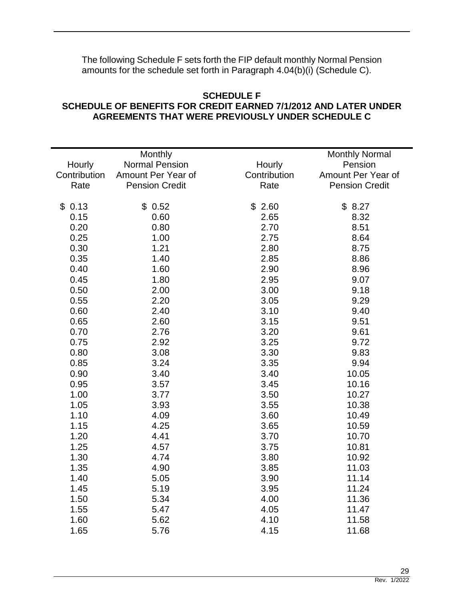The following Schedule F sets forth the FIP default monthly Normal Pension amounts for the schedule set forth in Paragraph 4.04(b)(i) (Schedule C).

# **SCHEDULE F SCHEDULE OF BENEFITS FOR CREDIT EARNED 7/1/2012 AND LATER UNDER AGREEMENTS THAT WERE PREVIOUSLY UNDER SCHEDULE C**

|              | Monthly               |              | <b>Monthly Normal</b> |
|--------------|-----------------------|--------------|-----------------------|
| Hourly       | <b>Normal Pension</b> | Hourly       | Pension               |
| Contribution | Amount Per Year of    | Contribution | Amount Per Year of    |
| Rate         | <b>Pension Credit</b> | Rate         | <b>Pension Credit</b> |
|              |                       |              |                       |
| \$0.13       | \$0.52                | \$2.60       | \$8.27                |
| 0.15         | 0.60                  | 2.65         | 8.32                  |
| 0.20         | 0.80                  | 2.70         | 8.51                  |
| 0.25         | 1.00                  | 2.75         | 8.64                  |
| 0.30         | 1.21                  | 2.80         | 8.75                  |
| 0.35         | 1.40                  | 2.85         | 8.86                  |
| 0.40         | 1.60                  | 2.90         | 8.96                  |
| 0.45         | 1.80                  | 2.95         | 9.07                  |
| 0.50         | 2.00                  | 3.00         | 9.18                  |
| 0.55         | 2.20                  | 3.05         | 9.29                  |
| 0.60         | 2.40                  | 3.10         | 9.40                  |
| 0.65         | 2.60                  | 3.15         | 9.51                  |
| 0.70         | 2.76                  | 3.20         | 9.61                  |
| 0.75         | 2.92                  | 3.25         | 9.72                  |
| 0.80         | 3.08                  | 3.30         | 9.83                  |
| 0.85         | 3.24                  | 3.35         | 9.94                  |
| 0.90         | 3.40                  | 3.40         | 10.05                 |
| 0.95         | 3.57                  | 3.45         | 10.16                 |
| 1.00         | 3.77                  | 3.50         | 10.27                 |
| 1.05         | 3.93                  | 3.55         | 10.38                 |
| 1.10         | 4.09                  | 3.60         | 10.49                 |
| 1.15         | 4.25                  | 3.65         | 10.59                 |
| 1.20         | 4.41                  | 3.70         | 10.70                 |
| 1.25         | 4.57                  | 3.75         | 10.81                 |
| 1.30         | 4.74                  | 3.80         | 10.92                 |
| 1.35         | 4.90                  | 3.85         | 11.03                 |
| 1.40         | 5.05                  | 3.90         | 11.14                 |
| 1.45         | 5.19                  | 3.95         | 11.24                 |
| 1.50         | 5.34                  | 4.00         | 11.36                 |
| 1.55         | 5.47                  | 4.05         | 11.47                 |
| 1.60         | 5.62                  | 4.10         | 11.58                 |
|              |                       |              |                       |
| 1.65         | 5.76                  | 4.15         | 11.68                 |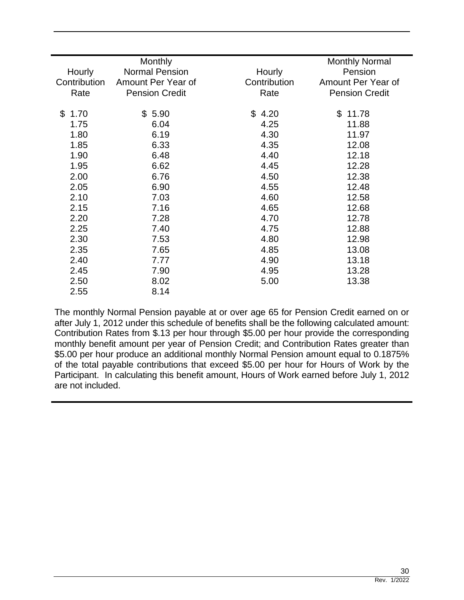| <b>Monthly</b> |                                                                      | <b>Monthly Normal</b><br>Pension |
|----------------|----------------------------------------------------------------------|----------------------------------|
|                |                                                                      | Amount Per Year of               |
|                |                                                                      | <b>Pension Credit</b>            |
|                |                                                                      |                                  |
| \$5.90         | \$4.20                                                               | \$<br>11.78                      |
| 6.04           | 4.25                                                                 | 11.88                            |
| 6.19           | 4.30                                                                 | 11.97                            |
| 6.33           | 4.35                                                                 | 12.08                            |
| 6.48           | 4.40                                                                 | 12.18                            |
| 6.62           | 4.45                                                                 | 12.28                            |
| 6.76           | 4.50                                                                 | 12.38                            |
| 6.90           | 4.55                                                                 | 12.48                            |
| 7.03           | 4.60                                                                 | 12.58                            |
| 7.16           | 4.65                                                                 | 12.68                            |
| 7.28           | 4.70                                                                 | 12.78                            |
| 7.40           | 4.75                                                                 | 12.88                            |
| 7.53           | 4.80                                                                 | 12.98                            |
| 7.65           | 4.85                                                                 | 13.08                            |
| 7.77           | 4.90                                                                 | 13.18                            |
| 7.90           | 4.95                                                                 | 13.28                            |
| 8.02           | 5.00                                                                 | 13.38                            |
| 8.14           |                                                                      |                                  |
|                | <b>Normal Pension</b><br>Amount Per Year of<br><b>Pension Credit</b> | Hourly<br>Contribution<br>Rate   |

The monthly Normal Pension payable at or over age 65 for Pension Credit earned on or after July 1, 2012 under this schedule of benefits shall be the following calculated amount: Contribution Rates from \$.13 per hour through \$5.00 per hour provide the corresponding monthly benefit amount per year of Pension Credit; and Contribution Rates greater than \$5.00 per hour produce an additional monthly Normal Pension amount equal to 0.1875% of the total payable contributions that exceed \$5.00 per hour for Hours of Work by the Participant. In calculating this benefit amount, Hours of Work earned before July 1, 2012 are not included.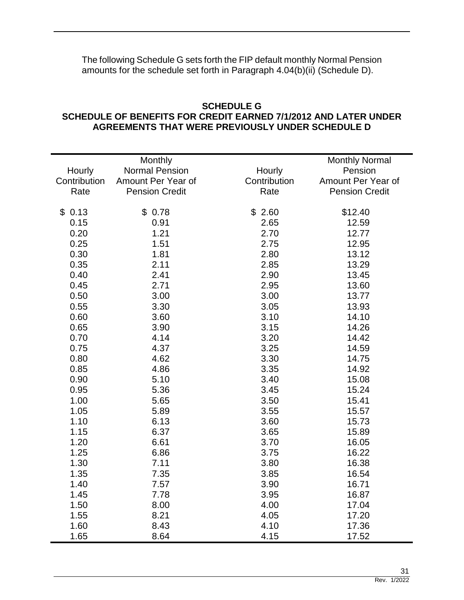The following Schedule G sets forth the FIP default monthly Normal Pension amounts for the schedule set forth in Paragraph 4.04(b)(ii) (Schedule D).

#### **SCHEDULE G SCHEDULE OF BENEFITS FOR CREDIT EARNED 7/1/2012 AND LATER UNDER AGREEMENTS THAT WERE PREVIOUSLY UNDER SCHEDULE D**

|              | Monthly               |              | <b>Monthly Normal</b> |
|--------------|-----------------------|--------------|-----------------------|
| Hourly       | <b>Normal Pension</b> | Hourly       | Pension               |
| Contribution | Amount Per Year of    | Contribution | Amount Per Year of    |
| Rate         | <b>Pension Credit</b> | Rate         | <b>Pension Credit</b> |
|              |                       |              |                       |
| \$0.13       | \$0.78                | \$2.60       | \$12.40               |
| 0.15         | 0.91                  | 2.65         | 12.59                 |
| 0.20         | 1.21                  | 2.70         | 12.77                 |
| 0.25         | 1.51                  | 2.75         | 12.95                 |
| 0.30         | 1.81                  | 2.80         | 13.12                 |
| 0.35         | 2.11                  | 2.85         | 13.29                 |
| 0.40         | 2.41                  | 2.90         | 13.45                 |
| 0.45         | 2.71                  | 2.95         | 13.60                 |
| 0.50         | 3.00                  | 3.00         | 13.77                 |
| 0.55         | 3.30                  | 3.05         | 13.93                 |
| 0.60         | 3.60                  | 3.10         | 14.10                 |
| 0.65         | 3.90                  | 3.15         | 14.26                 |
| 0.70         | 4.14                  | 3.20         | 14.42                 |
| 0.75         | 4.37                  | 3.25         | 14.59                 |
| 0.80         | 4.62                  | 3.30         | 14.75                 |
| 0.85         | 4.86                  | 3.35         | 14.92                 |
| 0.90         | 5.10                  | 3.40         | 15.08                 |
| 0.95         | 5.36                  | 3.45         | 15.24                 |
| 1.00         | 5.65                  | 3.50         | 15.41                 |
| 1.05         | 5.89                  | 3.55         | 15.57                 |
| 1.10         | 6.13                  | 3.60         | 15.73                 |
| 1.15         | 6.37                  | 3.65         | 15.89                 |
| 1.20         | 6.61                  | 3.70         | 16.05                 |
| 1.25         | 6.86                  | 3.75         | 16.22                 |
| 1.30         | 7.11                  | 3.80         | 16.38                 |
| 1.35         | 7.35                  | 3.85         | 16.54                 |
| 1.40         | 7.57                  | 3.90         | 16.71                 |
| 1.45         | 7.78                  | 3.95         | 16.87                 |
| 1.50         | 8.00                  | 4.00         | 17.04                 |
| 1.55         | 8.21                  | 4.05         | 17.20                 |
| 1.60         | 8.43                  | 4.10         | 17.36                 |
| 1.65         | 8.64                  | 4.15         | 17.52                 |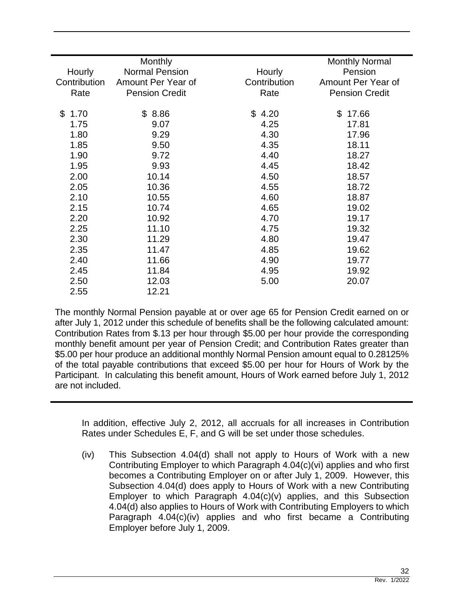| Hourly                 | <b>Monthly</b><br><b>Normal Pension</b> | Hourly       | <b>Monthly Normal</b><br>Pension |
|------------------------|-----------------------------------------|--------------|----------------------------------|
| Contribution           | Amount Per Year of                      | Contribution | Amount Per Year of               |
|                        |                                         |              |                                  |
| Rate                   | <b>Pension Credit</b>                   | Rate         | <b>Pension Credit</b>            |
| $\mathfrak{S}$<br>1.70 | \$8.86                                  | \$4.20       | 17.66<br>\$                      |
| 1.75                   | 9.07                                    | 4.25         | 17.81                            |
| 1.80                   | 9.29                                    | 4.30         | 17.96                            |
| 1.85                   | 9.50                                    | 4.35         | 18.11                            |
| 1.90                   | 9.72                                    | 4.40         | 18.27                            |
| 1.95                   | 9.93                                    | 4.45         | 18.42                            |
| 2.00                   | 10.14                                   | 4.50         | 18.57                            |
| 2.05                   | 10.36                                   | 4.55         | 18.72                            |
| 2.10                   | 10.55                                   | 4.60         | 18.87                            |
| 2.15                   | 10.74                                   | 4.65         | 19.02                            |
| 2.20                   | 10.92                                   | 4.70         | 19.17                            |
| 2.25                   | 11.10                                   | 4.75         | 19.32                            |
| 2.30                   | 11.29                                   | 4.80         | 19.47                            |
| 2.35                   | 11.47                                   | 4.85         | 19.62                            |
| 2.40                   | 11.66                                   | 4.90         | 19.77                            |
| 2.45                   | 11.84                                   | 4.95         | 19.92                            |
| 2.50                   | 12.03                                   | 5.00         | 20.07                            |
| 2.55                   | 12.21                                   |              |                                  |

The monthly Normal Pension payable at or over age 65 for Pension Credit earned on or after July 1, 2012 under this schedule of benefits shall be the following calculated amount: Contribution Rates from \$.13 per hour through \$5.00 per hour provide the corresponding monthly benefit amount per year of Pension Credit; and Contribution Rates greater than \$5.00 per hour produce an additional monthly Normal Pension amount equal to 0.28125% of the total payable contributions that exceed \$5.00 per hour for Hours of Work by the Participant. In calculating this benefit amount, Hours of Work earned before July 1, 2012 are not included.

In addition, effective July 2, 2012, all accruals for all increases in Contribution Rates under Schedules E, F, and G will be set under those schedules.

(iv) This Subsection 4.04(d) shall not apply to Hours of Work with a new Contributing Employer to which Paragraph 4.04(c)(vi) applies and who first becomes a Contributing Employer on or after July 1, 2009. However, this Subsection 4.04(d) does apply to Hours of Work with a new Contributing Employer to which Paragraph 4.04(c)(v) applies, and this Subsection 4.04(d) also applies to Hours of Work with Contributing Employers to which Paragraph 4.04(c)(iv) applies and who first became a Contributing Employer before July 1, 2009.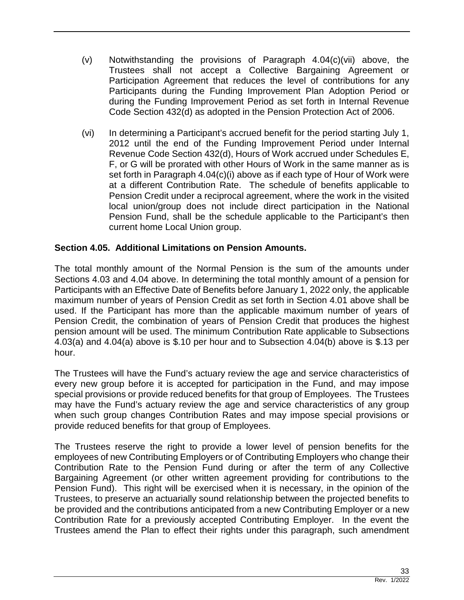- (v) Notwithstanding the provisions of Paragraph 4.04(c)(vii) above, the Trustees shall not accept a Collective Bargaining Agreement or Participation Agreement that reduces the level of contributions for any Participants during the Funding Improvement Plan Adoption Period or during the Funding Improvement Period as set forth in Internal Revenue Code Section 432(d) as adopted in the Pension Protection Act of 2006.
- (vi) In determining a Participant's accrued benefit for the period starting July 1, 2012 until the end of the Funding Improvement Period under Internal Revenue Code Section 432(d), Hours of Work accrued under Schedules E, F, or G will be prorated with other Hours of Work in the same manner as is set forth in Paragraph 4.04(c)(i) above as if each type of Hour of Work were at a different Contribution Rate. The schedule of benefits applicable to Pension Credit under a reciprocal agreement, where the work in the visited local union/group does not include direct participation in the National Pension Fund, shall be the schedule applicable to the Participant's then current home Local Union group.

## **Section 4.05. Additional Limitations on Pension Amounts.**

The total monthly amount of the Normal Pension is the sum of the amounts under Sections 4.03 and 4.04 above. In determining the total monthly amount of a pension for Participants with an Effective Date of Benefits before January 1, 2022 only, the applicable maximum number of years of Pension Credit as set forth in Section 4.01 above shall be used. If the Participant has more than the applicable maximum number of years of Pension Credit, the combination of years of Pension Credit that produces the highest pension amount will be used. The minimum Contribution Rate applicable to Subsections 4.03(a) and 4.04(a) above is \$.10 per hour and to Subsection 4.04(b) above is \$.13 per hour.

The Trustees will have the Fund's actuary review the age and service characteristics of every new group before it is accepted for participation in the Fund, and may impose special provisions or provide reduced benefits for that group of Employees. The Trustees may have the Fund's actuary review the age and service characteristics of any group when such group changes Contribution Rates and may impose special provisions or provide reduced benefits for that group of Employees.

The Trustees reserve the right to provide a lower level of pension benefits for the employees of new Contributing Employers or of Contributing Employers who change their Contribution Rate to the Pension Fund during or after the term of any Collective Bargaining Agreement (or other written agreement providing for contributions to the Pension Fund). This right will be exercised when it is necessary, in the opinion of the Trustees, to preserve an actuarially sound relationship between the projected benefits to be provided and the contributions anticipated from a new Contributing Employer or a new Contribution Rate for a previously accepted Contributing Employer. In the event the Trustees amend the Plan to effect their rights under this paragraph, such amendment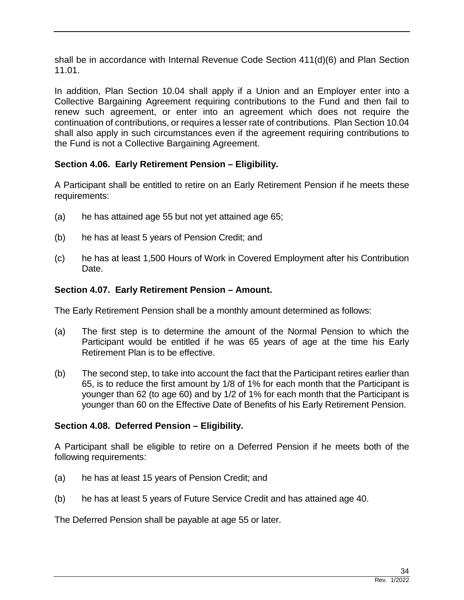shall be in accordance with Internal Revenue Code Section 411(d)(6) and Plan Section 11.01.

In addition, Plan Section 10.04 shall apply if a Union and an Employer enter into a Collective Bargaining Agreement requiring contributions to the Fund and then fail to renew such agreement, or enter into an agreement which does not require the continuation of contributions, or requires a lesser rate of contributions. Plan Section 10.04 shall also apply in such circumstances even if the agreement requiring contributions to the Fund is not a Collective Bargaining Agreement.

# **Section 4.06. Early Retirement Pension – Eligibility.**

A Participant shall be entitled to retire on an Early Retirement Pension if he meets these requirements:

- (a) he has attained age 55 but not yet attained age 65;
- (b) he has at least 5 years of Pension Credit; and
- (c) he has at least 1,500 Hours of Work in Covered Employment after his Contribution Date.

## **Section 4.07. Early Retirement Pension – Amount.**

The Early Retirement Pension shall be a monthly amount determined as follows:

- (a) The first step is to determine the amount of the Normal Pension to which the Participant would be entitled if he was 65 years of age at the time his Early Retirement Plan is to be effective.
- (b) The second step, to take into account the fact that the Participant retires earlier than 65, is to reduce the first amount by 1/8 of 1% for each month that the Participant is younger than 62 (to age 60) and by 1/2 of 1% for each month that the Participant is younger than 60 on the Effective Date of Benefits of his Early Retirement Pension.

#### **Section 4.08. Deferred Pension – Eligibility.**

A Participant shall be eligible to retire on a Deferred Pension if he meets both of the following requirements:

- (a) he has at least 15 years of Pension Credit; and
- (b) he has at least 5 years of Future Service Credit and has attained age 40.

The Deferred Pension shall be payable at age 55 or later.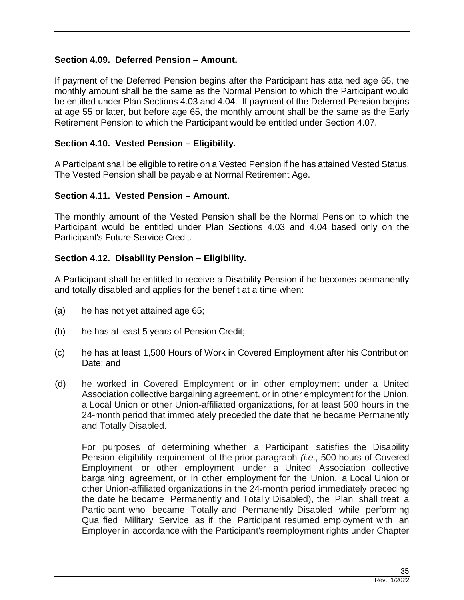#### **Section 4.09. Deferred Pension – Amount.**

If payment of the Deferred Pension begins after the Participant has attained age 65, the monthly amount shall be the same as the Normal Pension to which the Participant would be entitled under Plan Sections 4.03 and 4.04. If payment of the Deferred Pension begins at age 55 or later, but before age 65, the monthly amount shall be the same as the Early Retirement Pension to which the Participant would be entitled under Section 4.07.

#### **Section 4.10. Vested Pension – Eligibility.**

A Participant shall be eligible to retire on a Vested Pension if he has attained Vested Status. The Vested Pension shall be payable at Normal Retirement Age.

#### **Section 4.11. Vested Pension – Amount.**

The monthly amount of the Vested Pension shall be the Normal Pension to which the Participant would be entitled under Plan Sections 4.03 and 4.04 based only on the Participant's Future Service Credit.

#### **Section 4.12. Disability Pension – Eligibility.**

A Participant shall be entitled to receive a Disability Pension if he becomes permanently and totally disabled and applies for the benefit at a time when:

- (a) he has not yet attained age 65;
- (b) he has at least 5 years of Pension Credit;
- (c) he has at least 1,500 Hours of Work in Covered Employment after his Contribution Date; and
- (d) he worked in Covered Employment or in other employment under a United Association collective bargaining agreement, or in other employment for the Union, a Local Union or other Union-affiliated organizations, for at least 500 hours in the 24-month period that immediately preceded the date that he became Permanently and Totally Disabled.

For purposes of determining whether a Participant satisfies the Disability Pension eligibility requirement of the prior paragraph *(i.e.,* 500 hours of Covered Employment or other employment under a United Association collective bargaining agreement, or in other employment for the Union, a Local Union or other Union-affiliated organizations in the 24-month period immediately preceding the date he became Permanently and Totally Disabled), the Plan shall treat a Participant who became Totally and Permanently Disabled while performing Qualified Military Service as if the Participant resumed employment with an Employer in accordance with the Participant's reemployment rights under Chapter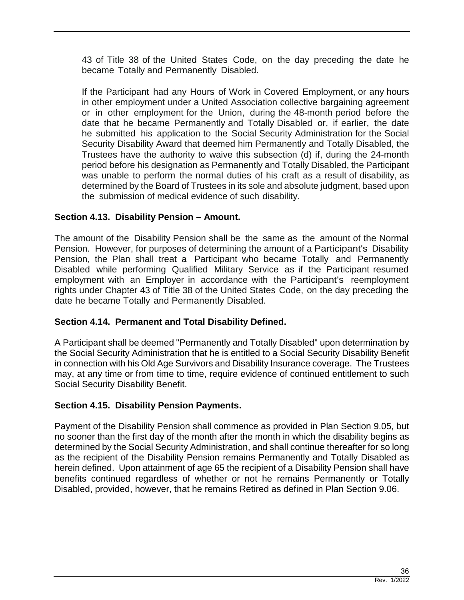43 of Title 38 of the United States Code, on the day preceding the date he became Totally and Permanently Disabled.

If the Participant had any Hours of Work in Covered Employment, or any hours in other employment under a United Association collective bargaining agreement or in other employment for the Union, during the 48-month period before the date that he became Permanently and Totally Disabled or, if earlier, the date he submitted his application to the Social Security Administration for the Social Security Disability Award that deemed him Permanently and Totally Disabled, the Trustees have the authority to waive this subsection (d) if, during the 24-month period before his designation as Permanently and Totally Disabled, the Participant was unable to perform the normal duties of his craft as a result of disability, as determined by the Board of Trustees in its sole and absolute judgment, based upon the submission of medical evidence of such disability.

# **Section 4.13. Disability Pension – Amount.**

The amount of the Disability Pension shall be the same as the amount of the Normal Pension. However, for purposes of determining the amount of a Participant's Disability Pension, the Plan shall treat a Participant who became Totally and Permanently Disabled while performing Qualified Military Service as if the Participant resumed employment with an Employer in accordance with the Participant's reemployment rights under Chapter 43 of Title 38 of the United States Code, on the day preceding the date he became Totally and Permanently Disabled.

# **Section 4.14. Permanent and Total Disability Defined.**

A Participant shall be deemed "Permanently and Totally Disabled" upon determination by the Social Security Administration that he is entitled to a Social Security Disability Benefit in connection with his Old Age Survivors and Disability Insurance coverage. The Trustees may, at any time or from time to time, require evidence of continued entitlement to such Social Security Disability Benefit.

# **Section 4.15. Disability Pension Payments.**

Payment of the Disability Pension shall commence as provided in Plan Section 9.05, but no sooner than the first day of the month after the month in which the disability begins as determined by the Social Security Administration, and shall continue thereafter for so long as the recipient of the Disability Pension remains Permanently and Totally Disabled as herein defined. Upon attainment of age 65 the recipient of a Disability Pension shall have benefits continued regardless of whether or not he remains Permanently or Totally Disabled, provided, however, that he remains Retired as defined in Plan Section 9.06.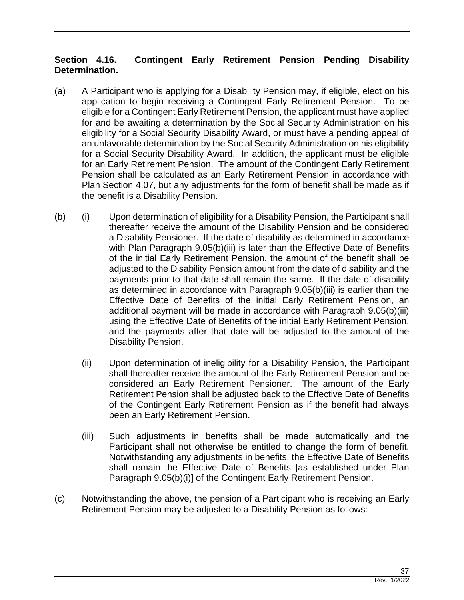# **Section 4.16. Contingent Early Retirement Pension Pending Disability Determination.**

- (a) A Participant who is applying for a Disability Pension may, if eligible, elect on his application to begin receiving a Contingent Early Retirement Pension. To be eligible for a Contingent Early Retirement Pension, the applicant must have applied for and be awaiting a determination by the Social Security Administration on his eligibility for a Social Security Disability Award, or must have a pending appeal of an unfavorable determination by the Social Security Administration on his eligibility for a Social Security Disability Award. In addition, the applicant must be eligible for an Early Retirement Pension. The amount of the Contingent Early Retirement Pension shall be calculated as an Early Retirement Pension in accordance with Plan Section 4.07, but any adjustments for the form of benefit shall be made as if the benefit is a Disability Pension.
- (b) (i) Upon determination of eligibility for a Disability Pension, the Participant shall thereafter receive the amount of the Disability Pension and be considered a Disability Pensioner. If the date of disability as determined in accordance with Plan Paragraph 9.05(b)(iii) is later than the Effective Date of Benefits of the initial Early Retirement Pension, the amount of the benefit shall be adjusted to the Disability Pension amount from the date of disability and the payments prior to that date shall remain the same. If the date of disability as determined in accordance with Paragraph 9.05(b)(iii) is earlier than the Effective Date of Benefits of the initial Early Retirement Pension, an additional payment will be made in accordance with Paragraph 9.05(b)(iii) using the Effective Date of Benefits of the initial Early Retirement Pension, and the payments after that date will be adjusted to the amount of the Disability Pension.
	- (ii) Upon determination of ineligibility for a Disability Pension, the Participant shall thereafter receive the amount of the Early Retirement Pension and be considered an Early Retirement Pensioner. The amount of the Early Retirement Pension shall be adjusted back to the Effective Date of Benefits of the Contingent Early Retirement Pension as if the benefit had always been an Early Retirement Pension.
	- (iii) Such adjustments in benefits shall be made automatically and the Participant shall not otherwise be entitled to change the form of benefit. Notwithstanding any adjustments in benefits, the Effective Date of Benefits shall remain the Effective Date of Benefits [as established under Plan Paragraph 9.05(b)(i)] of the Contingent Early Retirement Pension.
- (c) Notwithstanding the above, the pension of a Participant who is receiving an Early Retirement Pension may be adjusted to a Disability Pension as follows: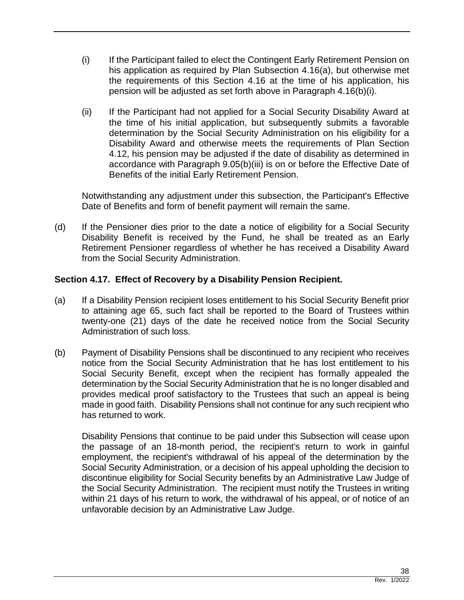- (i) If the Participant failed to elect the Contingent Early Retirement Pension on his application as required by Plan Subsection 4.16(a), but otherwise met the requirements of this Section 4.16 at the time of his application, his pension will be adjusted as set forth above in Paragraph 4.16(b)(i).
- (ii) If the Participant had not applied for a Social Security Disability Award at the time of his initial application, but subsequently submits a favorable determination by the Social Security Administration on his eligibility for a Disability Award and otherwise meets the requirements of Plan Section 4.12, his pension may be adjusted if the date of disability as determined in accordance with Paragraph 9.05(b)(iii) is on or before the Effective Date of Benefits of the initial Early Retirement Pension.

Notwithstanding any adjustment under this subsection, the Participant's Effective Date of Benefits and form of benefit payment will remain the same.

(d) If the Pensioner dies prior to the date a notice of eligibility for a Social Security Disability Benefit is received by the Fund, he shall be treated as an Early Retirement Pensioner regardless of whether he has received a Disability Award from the Social Security Administration.

## **Section 4.17. Effect of Recovery by a Disability Pension Recipient.**

- (a) If a Disability Pension recipient loses entitlement to his Social Security Benefit prior to attaining age 65, such fact shall be reported to the Board of Trustees within twenty-one (21) days of the date he received notice from the Social Security Administration of such loss.
- (b) Payment of Disability Pensions shall be discontinued to any recipient who receives notice from the Social Security Administration that he has lost entitlement to his Social Security Benefit, except when the recipient has formally appealed the determination by the Social Security Administration that he is no longer disabled and provides medical proof satisfactory to the Trustees that such an appeal is being made in good faith. Disability Pensions shall not continue for any such recipient who has returned to work.

Disability Pensions that continue to be paid under this Subsection will cease upon the passage of an 18-month period, the recipient's return to work in gainful employment, the recipient's withdrawal of his appeal of the determination by the Social Security Administration, or a decision of his appeal upholding the decision to discontinue eligibility for Social Security benefits by an Administrative Law Judge of the Social Security Administration. The recipient must notify the Trustees in writing within 21 days of his return to work, the withdrawal of his appeal, or of notice of an unfavorable decision by an Administrative Law Judge.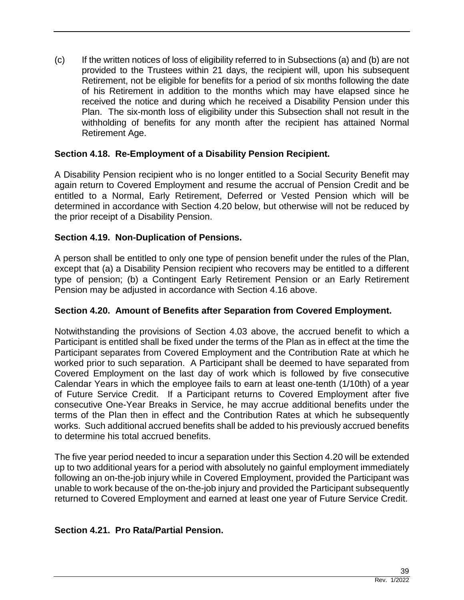(c) If the written notices of loss of eligibility referred to in Subsections (a) and (b) are not provided to the Trustees within 21 days, the recipient will, upon his subsequent Retirement, not be eligible for benefits for a period of six months following the date of his Retirement in addition to the months which may have elapsed since he received the notice and during which he received a Disability Pension under this Plan. The six-month loss of eligibility under this Subsection shall not result in the withholding of benefits for any month after the recipient has attained Normal Retirement Age.

## **Section 4.18. Re-Employment of a Disability Pension Recipient.**

A Disability Pension recipient who is no longer entitled to a Social Security Benefit may again return to Covered Employment and resume the accrual of Pension Credit and be entitled to a Normal, Early Retirement, Deferred or Vested Pension which will be determined in accordance with Section 4.20 below, but otherwise will not be reduced by the prior receipt of a Disability Pension.

## **Section 4.19. Non-Duplication of Pensions.**

A person shall be entitled to only one type of pension benefit under the rules of the Plan, except that (a) a Disability Pension recipient who recovers may be entitled to a different type of pension; (b) a Contingent Early Retirement Pension or an Early Retirement Pension may be adjusted in accordance with Section 4.16 above.

#### **Section 4.20. Amount of Benefits after Separation from Covered Employment.**

Notwithstanding the provisions of Section 4.03 above, the accrued benefit to which a Participant is entitled shall be fixed under the terms of the Plan as in effect at the time the Participant separates from Covered Employment and the Contribution Rate at which he worked prior to such separation. A Participant shall be deemed to have separated from Covered Employment on the last day of work which is followed by five consecutive Calendar Years in which the employee fails to earn at least one-tenth (1/10th) of a year of Future Service Credit. If a Participant returns to Covered Employment after five consecutive One-Year Breaks in Service, he may accrue additional benefits under the terms of the Plan then in effect and the Contribution Rates at which he subsequently works. Such additional accrued benefits shall be added to his previously accrued benefits to determine his total accrued benefits.

The five year period needed to incur a separation under this Section 4.20 will be extended up to two additional years for a period with absolutely no gainful employment immediately following an on-the-job injury while in Covered Employment, provided the Participant was unable to work because of the on-the-job injury and provided the Participant subsequently returned to Covered Employment and earned at least one year of Future Service Credit.

## **Section 4.21. Pro Rata/Partial Pension.**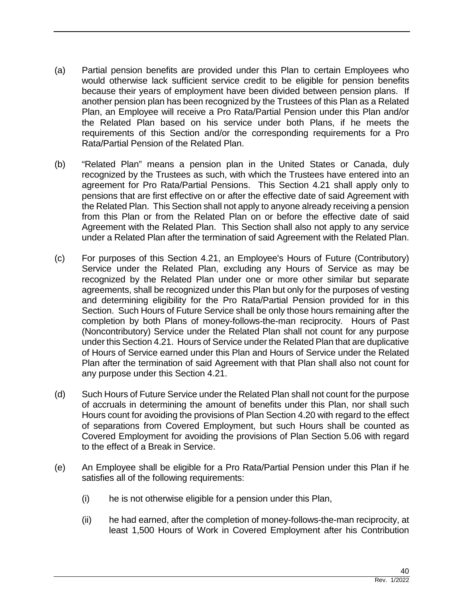- (a) Partial pension benefits are provided under this Plan to certain Employees who would otherwise lack sufficient service credit to be eligible for pension benefits because their years of employment have been divided between pension plans. If another pension plan has been recognized by the Trustees of this Plan as a Related Plan, an Employee will receive a Pro Rata/Partial Pension under this Plan and/or the Related Plan based on his service under both Plans, if he meets the requirements of this Section and/or the corresponding requirements for a Pro Rata/Partial Pension of the Related Plan.
- (b) "Related Plan" means a pension plan in the United States or Canada, duly recognized by the Trustees as such, with which the Trustees have entered into an agreement for Pro Rata/Partial Pensions. This Section 4.21 shall apply only to pensions that are first effective on or after the effective date of said Agreement with the Related Plan. This Section shall not apply to anyone already receiving a pension from this Plan or from the Related Plan on or before the effective date of said Agreement with the Related Plan. This Section shall also not apply to any service under a Related Plan after the termination of said Agreement with the Related Plan.
- (c) For purposes of this Section 4.21, an Employee's Hours of Future (Contributory) Service under the Related Plan, excluding any Hours of Service as may be recognized by the Related Plan under one or more other similar but separate agreements, shall be recognized under this Plan but only for the purposes of vesting and determining eligibility for the Pro Rata/Partial Pension provided for in this Section. Such Hours of Future Service shall be only those hours remaining after the completion by both Plans of money-follows-the-man reciprocity. Hours of Past (Noncontributory) Service under the Related Plan shall not count for any purpose under this Section 4.21. Hours of Service under the Related Plan that are duplicative of Hours of Service earned under this Plan and Hours of Service under the Related Plan after the termination of said Agreement with that Plan shall also not count for any purpose under this Section 4.21.
- (d) Such Hours of Future Service under the Related Plan shall not count for the purpose of accruals in determining the amount of benefits under this Plan, nor shall such Hours count for avoiding the provisions of Plan Section 4.20 with regard to the effect of separations from Covered Employment, but such Hours shall be counted as Covered Employment for avoiding the provisions of Plan Section 5.06 with regard to the effect of a Break in Service.
- (e) An Employee shall be eligible for a Pro Rata/Partial Pension under this Plan if he satisfies all of the following requirements:
	- (i) he is not otherwise eligible for a pension under this Plan,
	- (ii) he had earned, after the completion of money-follows-the-man reciprocity, at least 1,500 Hours of Work in Covered Employment after his Contribution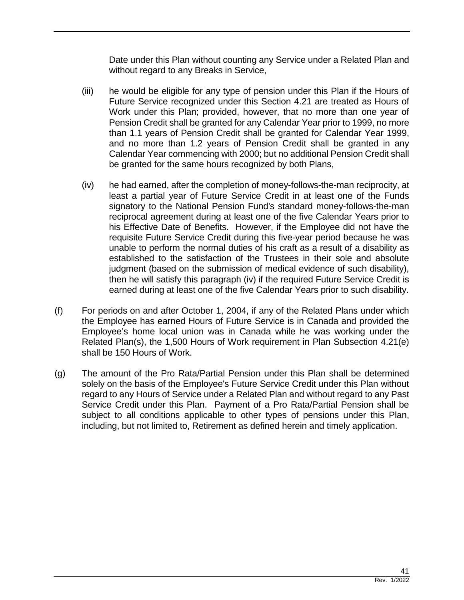Date under this Plan without counting any Service under a Related Plan and without regard to any Breaks in Service,

- (iii) he would be eligible for any type of pension under this Plan if the Hours of Future Service recognized under this Section 4.21 are treated as Hours of Work under this Plan; provided, however, that no more than one year of Pension Credit shall be granted for any Calendar Year prior to 1999, no more than 1.1 years of Pension Credit shall be granted for Calendar Year 1999, and no more than 1.2 years of Pension Credit shall be granted in any Calendar Year commencing with 2000; but no additional Pension Credit shall be granted for the same hours recognized by both Plans,
- (iv) he had earned, after the completion of money-follows-the-man reciprocity, at least a partial year of Future Service Credit in at least one of the Funds signatory to the National Pension Fund's standard money-follows-the-man reciprocal agreement during at least one of the five Calendar Years prior to his Effective Date of Benefits. However, if the Employee did not have the requisite Future Service Credit during this five-year period because he was unable to perform the normal duties of his craft as a result of a disability as established to the satisfaction of the Trustees in their sole and absolute judgment (based on the submission of medical evidence of such disability), then he will satisfy this paragraph (iv) if the required Future Service Credit is earned during at least one of the five Calendar Years prior to such disability.
- (f) For periods on and after October 1, 2004, if any of the Related Plans under which the Employee has earned Hours of Future Service is in Canada and provided the Employee's home local union was in Canada while he was working under the Related Plan(s), the 1,500 Hours of Work requirement in Plan Subsection 4.21(e) shall be 150 Hours of Work.
- (g) The amount of the Pro Rata/Partial Pension under this Plan shall be determined solely on the basis of the Employee's Future Service Credit under this Plan without regard to any Hours of Service under a Related Plan and without regard to any Past Service Credit under this Plan. Payment of a Pro Rata/Partial Pension shall be subject to all conditions applicable to other types of pensions under this Plan, including, but not limited to, Retirement as defined herein and timely application.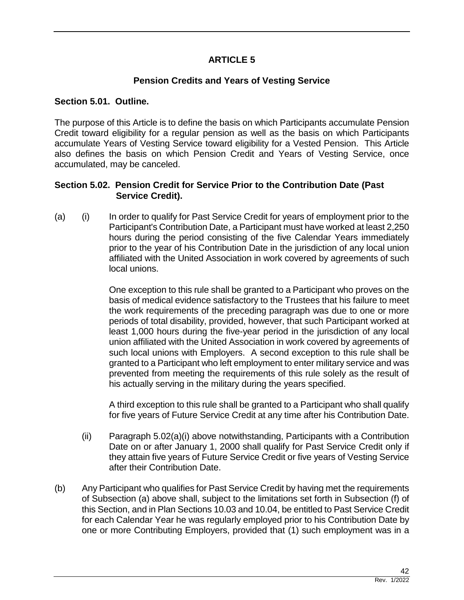# **ARTICLE 5**

# **Pension Credits and Years of Vesting Service**

#### **Section 5.01. Outline.**

The purpose of this Article is to define the basis on which Participants accumulate Pension Credit toward eligibility for a regular pension as well as the basis on which Participants accumulate Years of Vesting Service toward eligibility for a Vested Pension. This Article also defines the basis on which Pension Credit and Years of Vesting Service, once accumulated, may be canceled.

#### **Section 5.02. Pension Credit for Service Prior to the Contribution Date (Past Service Credit).**

(a) (i) In order to qualify for Past Service Credit for years of employment prior to the Participant's Contribution Date, a Participant must have worked at least 2,250 hours during the period consisting of the five Calendar Years immediately prior to the year of his Contribution Date in the jurisdiction of any local union affiliated with the United Association in work covered by agreements of such local unions.

> One exception to this rule shall be granted to a Participant who proves on the basis of medical evidence satisfactory to the Trustees that his failure to meet the work requirements of the preceding paragraph was due to one or more periods of total disability, provided, however, that such Participant worked at least 1,000 hours during the five-year period in the jurisdiction of any local union affiliated with the United Association in work covered by agreements of such local unions with Employers. A second exception to this rule shall be granted to a Participant who left employment to enter military service and was prevented from meeting the requirements of this rule solely as the result of his actually serving in the military during the years specified.

> A third exception to this rule shall be granted to a Participant who shall qualify for five years of Future Service Credit at any time after his Contribution Date.

- (ii) Paragraph 5.02(a)(i) above notwithstanding, Participants with a Contribution Date on or after January 1, 2000 shall qualify for Past Service Credit only if they attain five years of Future Service Credit or five years of Vesting Service after their Contribution Date.
- (b) Any Participant who qualifies for Past Service Credit by having met the requirements of Subsection (a) above shall, subject to the limitations set forth in Subsection (f) of this Section, and in Plan Sections 10.03 and 10.04, be entitled to Past Service Credit for each Calendar Year he was regularly employed prior to his Contribution Date by one or more Contributing Employers, provided that (1) such employment was in a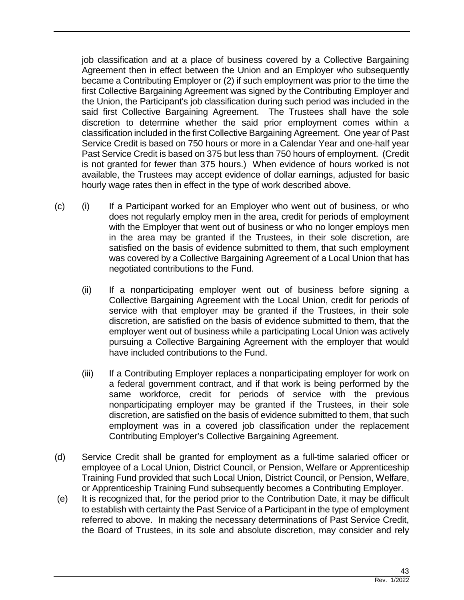job classification and at a place of business covered by a Collective Bargaining Agreement then in effect between the Union and an Employer who subsequently became a Contributing Employer or (2) if such employment was prior to the time the first Collective Bargaining Agreement was signed by the Contributing Employer and the Union, the Participant's job classification during such period was included in the said first Collective Bargaining Agreement. The Trustees shall have the sole discretion to determine whether the said prior employment comes within a classification included in the first Collective Bargaining Agreement. One year of Past Service Credit is based on 750 hours or more in a Calendar Year and one-half year Past Service Credit is based on 375 but less than 750 hours of employment. (Credit is not granted for fewer than 375 hours.) When evidence of hours worked is not available, the Trustees may accept evidence of dollar earnings, adjusted for basic hourly wage rates then in effect in the type of work described above.

- (c) (i) If a Participant worked for an Employer who went out of business, or who does not regularly employ men in the area, credit for periods of employment with the Employer that went out of business or who no longer employs men in the area may be granted if the Trustees, in their sole discretion, are satisfied on the basis of evidence submitted to them, that such employment was covered by a Collective Bargaining Agreement of a Local Union that has negotiated contributions to the Fund.
	- (ii) If a nonparticipating employer went out of business before signing a Collective Bargaining Agreement with the Local Union, credit for periods of service with that employer may be granted if the Trustees, in their sole discretion, are satisfied on the basis of evidence submitted to them, that the employer went out of business while a participating Local Union was actively pursuing a Collective Bargaining Agreement with the employer that would have included contributions to the Fund.
	- (iii) If a Contributing Employer replaces a nonparticipating employer for work on a federal government contract, and if that work is being performed by the same workforce, credit for periods of service with the previous nonparticipating employer may be granted if the Trustees, in their sole discretion, are satisfied on the basis of evidence submitted to them, that such employment was in a covered job classification under the replacement Contributing Employer's Collective Bargaining Agreement.
- (d) Service Credit shall be granted for employment as a full-time salaried officer or employee of a Local Union, District Council, or Pension, Welfare or Apprenticeship Training Fund provided that such Local Union, District Council, or Pension, Welfare, or Apprenticeship Training Fund subsequently becomes a Contributing Employer.
- (e) It is recognized that, for the period prior to the Contribution Date, it may be difficult to establish with certainty the Past Service of a Participant in the type of employment referred to above. In making the necessary determinations of Past Service Credit, the Board of Trustees, in its sole and absolute discretion, may consider and rely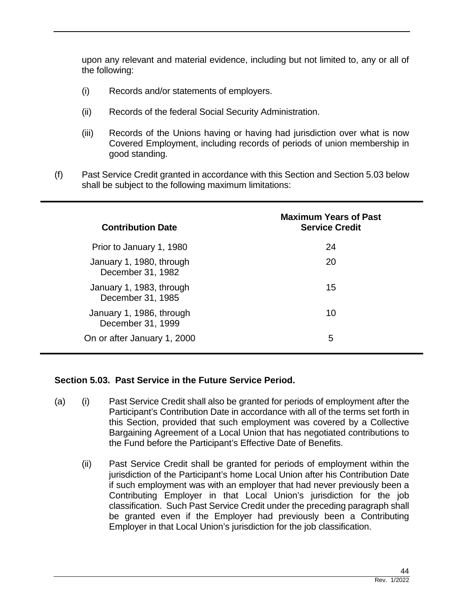upon any relevant and material evidence, including but not limited to, any or all of the following:

- (i) Records and/or statements of employers.
- (ii) Records of the federal Social Security Administration.
- (iii) Records of the Unions having or having had jurisdiction over what is now Covered Employment, including records of periods of union membership in good standing.
- (f) Past Service Credit granted in accordance with this Section and Section 5.03 below shall be subject to the following maximum limitations:

| <b>Contribution Date</b>                      | <b>Maximum Years of Past</b><br><b>Service Credit</b> |
|-----------------------------------------------|-------------------------------------------------------|
| Prior to January 1, 1980                      | 24                                                    |
| January 1, 1980, through<br>December 31, 1982 | 20                                                    |
| January 1, 1983, through<br>December 31, 1985 | 15                                                    |
| January 1, 1986, through<br>December 31, 1999 | 10                                                    |
| On or after January 1, 2000                   | 5                                                     |

#### **Section 5.03. Past Service in the Future Service Period.**

- (a) (i) Past Service Credit shall also be granted for periods of employment after the Participant's Contribution Date in accordance with all of the terms set forth in this Section, provided that such employment was covered by a Collective Bargaining Agreement of a Local Union that has negotiated contributions to the Fund before the Participant's Effective Date of Benefits.
	- (ii) Past Service Credit shall be granted for periods of employment within the jurisdiction of the Participant's home Local Union after his Contribution Date if such employment was with an employer that had never previously been a Contributing Employer in that Local Union's jurisdiction for the job classification. Such Past Service Credit under the preceding paragraph shall be granted even if the Employer had previously been a Contributing Employer in that Local Union's jurisdiction for the job classification.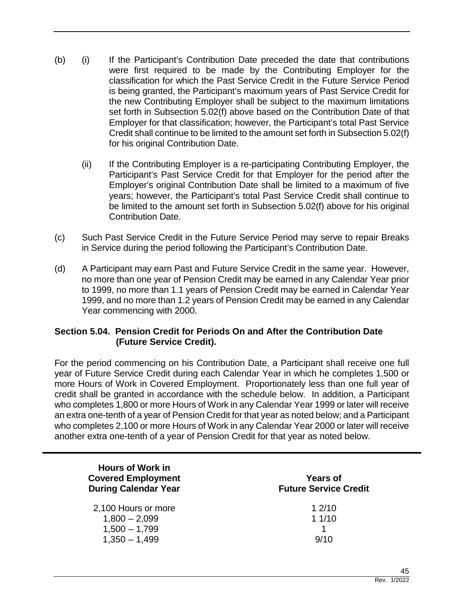- (b) (i) If the Participant's Contribution Date preceded the date that contributions were first required to be made by the Contributing Employer for the classification for which the Past Service Credit in the Future Service Period is being granted, the Participant's maximum years of Past Service Credit for the new Contributing Employer shall be subject to the maximum limitations set forth in Subsection 5.02(f) above based on the Contribution Date of that Employer for that classification; however, the Participant's total Past Service Credit shall continue to be limited to the amount set forth in Subsection 5.02(f) for his original Contribution Date.
	- (ii) If the Contributing Employer is a re-participating Contributing Employer, the Participant's Past Service Credit for that Employer for the period after the Employer's original Contribution Date shall be limited to a maximum of five years; however, the Participant's total Past Service Credit shall continue to be limited to the amount set forth in Subsection 5.02(f) above for his original Contribution Date.
- (c) Such Past Service Credit in the Future Service Period may serve to repair Breaks in Service during the period following the Participant's Contribution Date.
- (d) A Participant may earn Past and Future Service Credit in the same year. However, no more than one year of Pension Credit may be earned in any Calendar Year prior to 1999, no more than 1.1 years of Pension Credit may be earned in Calendar Year 1999, and no more than 1.2 years of Pension Credit may be earned in any Calendar Year commencing with 2000.

## **Section 5.04. Pension Credit for Periods On and After the Contribution Date (Future Service Credit).**

For the period commencing on his Contribution Date, a Participant shall receive one full year of Future Service Credit during each Calendar Year in which he completes 1,500 or more Hours of Work in Covered Employment. Proportionately less than one full year of credit shall be granted in accordance with the schedule below. In addition, a Participant who completes 1,800 or more Hours of Work in any Calendar Year 1999 or later will receive an extra one-tenth of a year of Pension Credit for that year as noted below; and a Participant who completes 2,100 or more Hours of Work in any Calendar Year 2000 or later will receive another extra one-tenth of a year of Pension Credit for that year as noted below.

| <b>Hours of Work in</b><br><b>Covered Employment</b><br><b>During Calendar Year</b> | <b>Years of</b><br><b>Future Service Credit</b> |  |
|-------------------------------------------------------------------------------------|-------------------------------------------------|--|
| 2,100 Hours or more                                                                 | 12/10                                           |  |
| $1,800 - 2,099$                                                                     | 11/10                                           |  |
| $1,500 - 1,799$                                                                     |                                                 |  |
| $1,350 - 1,499$                                                                     | 9/10                                            |  |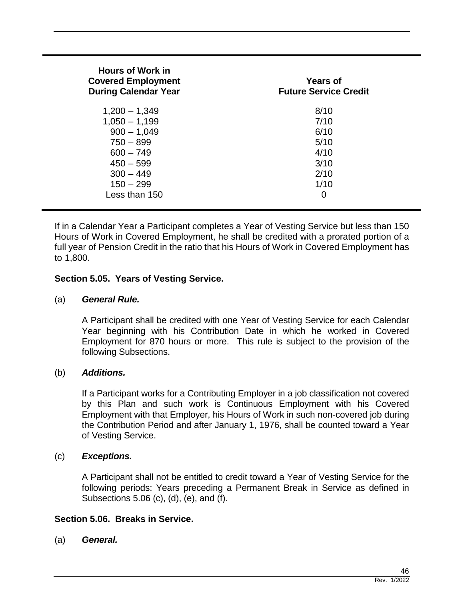| <b>Hours of Work in</b><br><b>Covered Employment</b><br><b>During Calendar Year</b> | <b>Years of</b><br><b>Future Service Credit</b> |
|-------------------------------------------------------------------------------------|-------------------------------------------------|
| $1,200 - 1,349$                                                                     | 8/10                                            |
| $1,050 - 1,199$                                                                     | 7/10                                            |
| $900 - 1,049$                                                                       | 6/10                                            |
| $750 - 899$                                                                         | 5/10                                            |
| $600 - 749$                                                                         | 4/10                                            |
| $450 - 599$                                                                         | 3/10                                            |
| $300 - 449$                                                                         | 2/10                                            |
| $150 - 299$                                                                         | 1/10                                            |
| Less than 150                                                                       | 0                                               |

If in a Calendar Year a Participant completes a Year of Vesting Service but less than 150 Hours of Work in Covered Employment, he shall be credited with a prorated portion of a full year of Pension Credit in the ratio that his Hours of Work in Covered Employment has to 1,800.

#### **Section 5.05. Years of Vesting Service.**

#### (a) *General Rule.*

A Participant shall be credited with one Year of Vesting Service for each Calendar Year beginning with his Contribution Date in which he worked in Covered Employment for 870 hours or more. This rule is subject to the provision of the following Subsections.

#### (b) *Additions.*

If a Participant works for a Contributing Employer in a job classification not covered by this Plan and such work is Continuous Employment with his Covered Employment with that Employer, his Hours of Work in such non-covered job during the Contribution Period and after January 1, 1976, shall be counted toward a Year of Vesting Service.

#### (c) *Exceptions.*

A Participant shall not be entitled to credit toward a Year of Vesting Service for the following periods: Years preceding a Permanent Break in Service as defined in Subsections 5.06 (c), (d), (e), and (f).

## **Section 5.06. Breaks in Service.**

(a) *General.*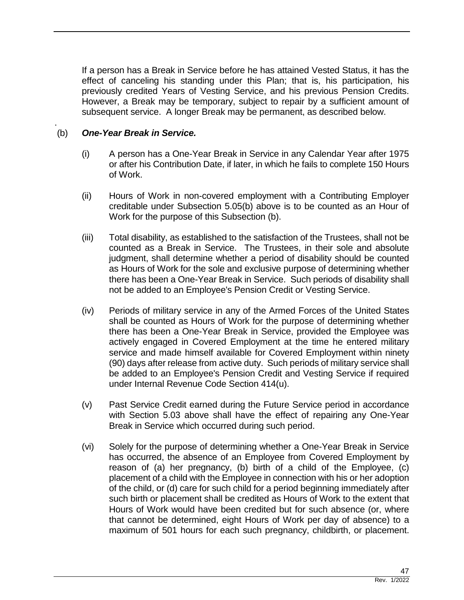If a person has a Break in Service before he has attained Vested Status, it has the effect of canceling his standing under this Plan; that is, his participation, his previously credited Years of Vesting Service, and his previous Pension Credits. However, a Break may be temporary, subject to repair by a sufficient amount of subsequent service. A longer Break may be permanent, as described below.

#### . (b) *One-Year Break in Service.*

- (i) A person has a One-Year Break in Service in any Calendar Year after 1975 or after his Contribution Date, if later, in which he fails to complete 150 Hours of Work.
- (ii) Hours of Work in non-covered employment with a Contributing Employer creditable under Subsection 5.05(b) above is to be counted as an Hour of Work for the purpose of this Subsection (b).
- (iii) Total disability, as established to the satisfaction of the Trustees, shall not be counted as a Break in Service. The Trustees, in their sole and absolute judgment, shall determine whether a period of disability should be counted as Hours of Work for the sole and exclusive purpose of determining whether there has been a One-Year Break in Service. Such periods of disability shall not be added to an Employee's Pension Credit or Vesting Service.
- (iv) Periods of military service in any of the Armed Forces of the United States shall be counted as Hours of Work for the purpose of determining whether there has been a One-Year Break in Service, provided the Employee was actively engaged in Covered Employment at the time he entered military service and made himself available for Covered Employment within ninety (90) days after release from active duty. Such periods of military service shall be added to an Employee's Pension Credit and Vesting Service if required under Internal Revenue Code Section 414(u).
- (v) Past Service Credit earned during the Future Service period in accordance with Section 5.03 above shall have the effect of repairing any One-Year Break in Service which occurred during such period.
- (vi) Solely for the purpose of determining whether a One-Year Break in Service has occurred, the absence of an Employee from Covered Employment by reason of (a) her pregnancy, (b) birth of a child of the Employee, (c) placement of a child with the Employee in connection with his or her adoption of the child, or (d) care for such child for a period beginning immediately after such birth or placement shall be credited as Hours of Work to the extent that Hours of Work would have been credited but for such absence (or, where that cannot be determined, eight Hours of Work per day of absence) to a maximum of 501 hours for each such pregnancy, childbirth, or placement.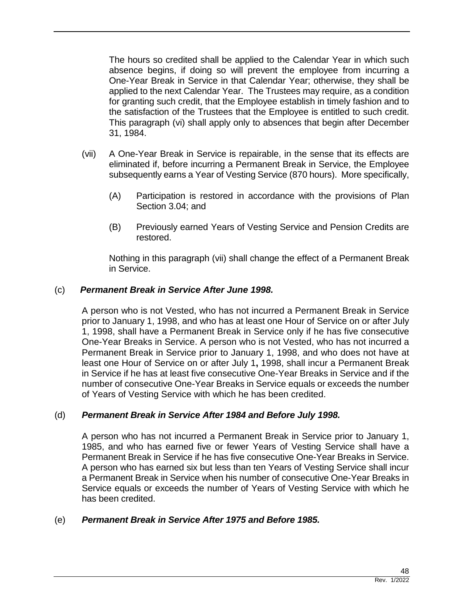The hours so credited shall be applied to the Calendar Year in which such absence begins, if doing so will prevent the employee from incurring a One-Year Break in Service in that Calendar Year; otherwise, they shall be applied to the next Calendar Year. The Trustees may require, as a condition for granting such credit, that the Employee establish in timely fashion and to the satisfaction of the Trustees that the Employee is entitled to such credit. This paragraph (vi) shall apply only to absences that begin after December 31, 1984.

- (vii) A One-Year Break in Service is repairable, in the sense that its effects are eliminated if, before incurring a Permanent Break in Service, the Employee subsequently earns a Year of Vesting Service (870 hours). More specifically,
	- (A) Participation is restored in accordance with the provisions of Plan Section 3.04; and
	- (B) Previously earned Years of Vesting Service and Pension Credits are restored.

Nothing in this paragraph (vii) shall change the effect of a Permanent Break in Service.

## (c) *Permanent Break in Service After June 1998.*

A person who is not Vested, who has not incurred a Permanent Break in Service prior to January 1, 1998, and who has at least one Hour of Service on or after July 1, 1998, shall have a Permanent Break in Service only if he has five consecutive One-Year Breaks in Service. A person who is not Vested, who has not incurred a Permanent Break in Service prior to January 1, 1998, and who does not have at least one Hour of Service on or after July 1**,** 1998, shall incur a Permanent Break in Service if he has at least five consecutive One-Year Breaks in Service and if the number of consecutive One-Year Breaks in Service equals or exceeds the number of Years of Vesting Service with which he has been credited.

#### (d) *Permanent Break in Service After 1984 and Before July 1998.*

A person who has not incurred a Permanent Break in Service prior to January 1, 1985, and who has earned five or fewer Years of Vesting Service shall have a Permanent Break in Service if he has five consecutive One-Year Breaks in Service. A person who has earned six but less than ten Years of Vesting Service shall incur a Permanent Break in Service when his number of consecutive One-Year Breaks in Service equals or exceeds the number of Years of Vesting Service with which he has been credited.

## (e) *Permanent Break in Service After 1975 and Before 1985.*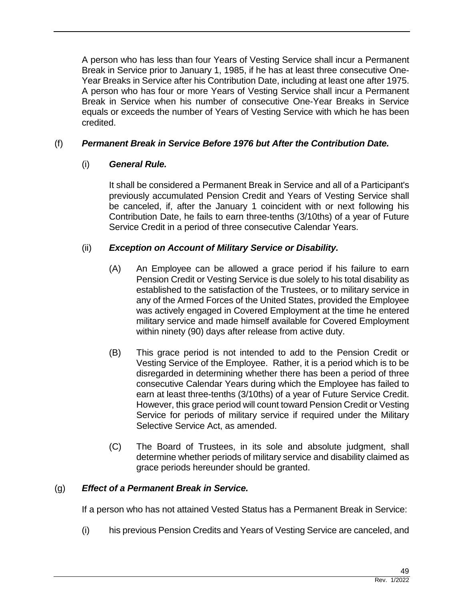A person who has less than four Years of Vesting Service shall incur a Permanent Break in Service prior to January 1, 1985, if he has at least three consecutive One-Year Breaks in Service after his Contribution Date, including at least one after 1975. A person who has four or more Years of Vesting Service shall incur a Permanent Break in Service when his number of consecutive One-Year Breaks in Service equals or exceeds the number of Years of Vesting Service with which he has been credited.

# (f) *Permanent Break in Service Before 1976 but After the Contribution Date.*

# (i) *General Rule.*

It shall be considered a Permanent Break in Service and all of a Participant's previously accumulated Pension Credit and Years of Vesting Service shall be canceled, if, after the January 1 coincident with or next following his Contribution Date, he fails to earn three-tenths (3/10ths) of a year of Future Service Credit in a period of three consecutive Calendar Years.

# (ii) *Exception on Account of Military Service or Disability.*

- (A) An Employee can be allowed a grace period if his failure to earn Pension Credit or Vesting Service is due solely to his total disability as established to the satisfaction of the Trustees, or to military service in any of the Armed Forces of the United States, provided the Employee was actively engaged in Covered Employment at the time he entered military service and made himself available for Covered Employment within ninety (90) days after release from active duty.
- (B) This grace period is not intended to add to the Pension Credit or Vesting Service of the Employee. Rather, it is a period which is to be disregarded in determining whether there has been a period of three consecutive Calendar Years during which the Employee has failed to earn at least three-tenths (3/10ths) of a year of Future Service Credit. However, this grace period will count toward Pension Credit or Vesting Service for periods of military service if required under the Military Selective Service Act, as amended.
- (C) The Board of Trustees, in its sole and absolute judgment, shall determine whether periods of military service and disability claimed as grace periods hereunder should be granted.

## (g) *Effect of a Permanent Break in Service.*

If a person who has not attained Vested Status has a Permanent Break in Service:

(i) his previous Pension Credits and Years of Vesting Service are canceled, and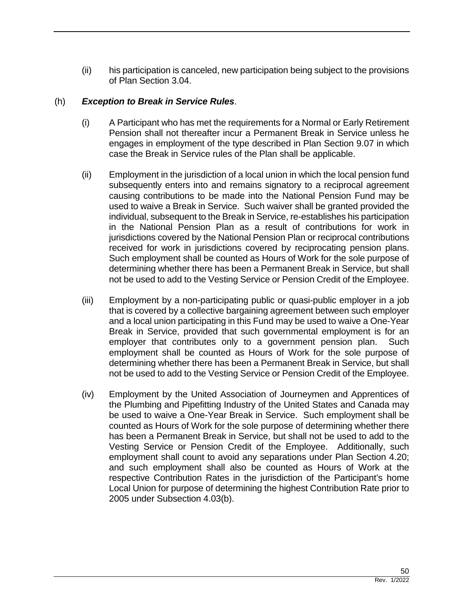(ii) his participation is canceled, new participation being subject to the provisions of Plan Section 3.04.

#### (h) *Exception to Break in Service Rules*.

- (i) A Participant who has met the requirements for a Normal or Early Retirement Pension shall not thereafter incur a Permanent Break in Service unless he engages in employment of the type described in Plan Section 9.07 in which case the Break in Service rules of the Plan shall be applicable.
- (ii) Employment in the jurisdiction of a local union in which the local pension fund subsequently enters into and remains signatory to a reciprocal agreement causing contributions to be made into the National Pension Fund may be used to waive a Break in Service. Such waiver shall be granted provided the individual, subsequent to the Break in Service, re-establishes his participation in the National Pension Plan as a result of contributions for work in jurisdictions covered by the National Pension Plan or reciprocal contributions received for work in jurisdictions covered by reciprocating pension plans. Such employment shall be counted as Hours of Work for the sole purpose of determining whether there has been a Permanent Break in Service, but shall not be used to add to the Vesting Service or Pension Credit of the Employee.
- (iii) Employment by a non-participating public or quasi-public employer in a job that is covered by a collective bargaining agreement between such employer and a local union participating in this Fund may be used to waive a One-Year Break in Service, provided that such governmental employment is for an employer that contributes only to a government pension plan. Such employment shall be counted as Hours of Work for the sole purpose of determining whether there has been a Permanent Break in Service, but shall not be used to add to the Vesting Service or Pension Credit of the Employee.
- (iv) Employment by the United Association of Journeymen and Apprentices of the Plumbing and Pipefitting Industry of the United States and Canada may be used to waive a One-Year Break in Service. Such employment shall be counted as Hours of Work for the sole purpose of determining whether there has been a Permanent Break in Service, but shall not be used to add to the Vesting Service or Pension Credit of the Employee. Additionally, such employment shall count to avoid any separations under Plan Section 4.20; and such employment shall also be counted as Hours of Work at the respective Contribution Rates in the jurisdiction of the Participant's home Local Union for purpose of determining the highest Contribution Rate prior to 2005 under Subsection 4.03(b).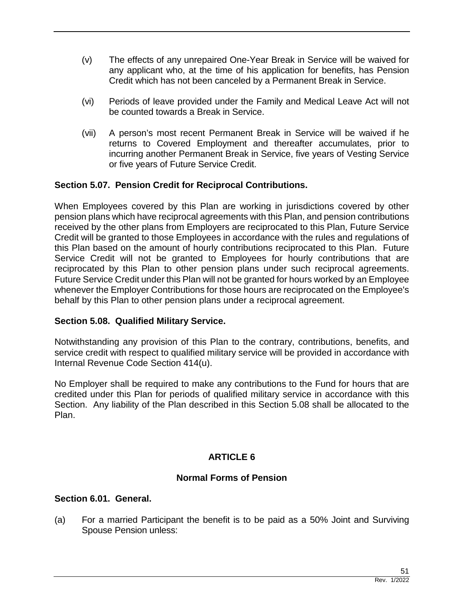- (v) The effects of any unrepaired One-Year Break in Service will be waived for any applicant who, at the time of his application for benefits, has Pension Credit which has not been canceled by a Permanent Break in Service.
- (vi) Periods of leave provided under the Family and Medical Leave Act will not be counted towards a Break in Service.
- (vii) A person's most recent Permanent Break in Service will be waived if he returns to Covered Employment and thereafter accumulates, prior to incurring another Permanent Break in Service, five years of Vesting Service or five years of Future Service Credit.

# **Section 5.07. Pension Credit for Reciprocal Contributions.**

When Employees covered by this Plan are working in jurisdictions covered by other pension plans which have reciprocal agreements with this Plan, and pension contributions received by the other plans from Employers are reciprocated to this Plan, Future Service Credit will be granted to those Employees in accordance with the rules and regulations of this Plan based on the amount of hourly contributions reciprocated to this Plan. Future Service Credit will not be granted to Employees for hourly contributions that are reciprocated by this Plan to other pension plans under such reciprocal agreements. Future Service Credit under this Plan will not be granted for hours worked by an Employee whenever the Employer Contributions for those hours are reciprocated on the Employee's behalf by this Plan to other pension plans under a reciprocal agreement.

## **Section 5.08. Qualified Military Service.**

Notwithstanding any provision of this Plan to the contrary, contributions, benefits, and service credit with respect to qualified military service will be provided in accordance with Internal Revenue Code Section 414(u).

No Employer shall be required to make any contributions to the Fund for hours that are credited under this Plan for periods of qualified military service in accordance with this Section. Any liability of the Plan described in this Section 5.08 shall be allocated to the Plan.

# **ARTICLE 6**

## **Normal Forms of Pension**

## **Section 6.01. General.**

(a) For a married Participant the benefit is to be paid as a 50% Joint and Surviving Spouse Pension unless: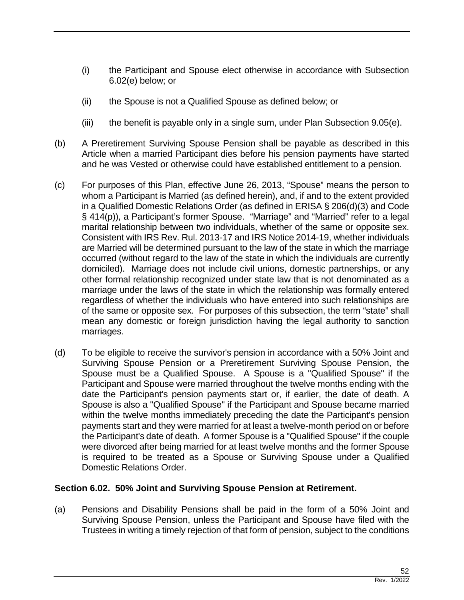- (i) the Participant and Spouse elect otherwise in accordance with Subsection 6.02(e) below; or
- (ii) the Spouse is not a Qualified Spouse as defined below; or
- (iii) the benefit is payable only in a single sum, under Plan Subsection  $9.05(e)$ .
- (b) A Preretirement Surviving Spouse Pension shall be payable as described in this Article when a married Participant dies before his pension payments have started and he was Vested or otherwise could have established entitlement to a pension.
- (c) For purposes of this Plan, effective June 26, 2013, "Spouse" means the person to whom a Participant is Married (as defined herein), and, if and to the extent provided in a Qualified Domestic Relations Order (as defined in ERISA § 206(d)(3) and Code § 414(p)), a Participant's former Spouse. "Marriage" and "Married" refer to a legal marital relationship between two individuals, whether of the same or opposite sex. Consistent with IRS Rev. Rul. 2013-17 and IRS Notice 2014-19, whether individuals are Married will be determined pursuant to the law of the state in which the marriage occurred (without regard to the law of the state in which the individuals are currently domiciled). Marriage does not include civil unions, domestic partnerships, or any other formal relationship recognized under state law that is not denominated as a marriage under the laws of the state in which the relationship was formally entered regardless of whether the individuals who have entered into such relationships are of the same or opposite sex. For purposes of this subsection, the term "state" shall mean any domestic or foreign jurisdiction having the legal authority to sanction marriages.
- (d) To be eligible to receive the survivor's pension in accordance with a 50% Joint and Surviving Spouse Pension or a Preretirement Surviving Spouse Pension, the Spouse must be a Qualified Spouse. A Spouse is a "Qualified Spouse" if the Participant and Spouse were married throughout the twelve months ending with the date the Participant's pension payments start or, if earlier, the date of death. A Spouse is also a "Qualified Spouse" if the Participant and Spouse became married within the twelve months immediately preceding the date the Participant's pension payments start and they were married for at least a twelve-month period on or before the Participant's date of death. A former Spouse is a "Qualified Spouse" if the couple were divorced after being married for at least twelve months and the former Spouse is required to be treated as a Spouse or Surviving Spouse under a Qualified Domestic Relations Order.

## **Section 6.02. 50% Joint and Surviving Spouse Pension at Retirement.**

(a) Pensions and Disability Pensions shall be paid in the form of a 50% Joint and Surviving Spouse Pension, unless the Participant and Spouse have filed with the Trustees in writing a timely rejection of that form of pension, subject to the conditions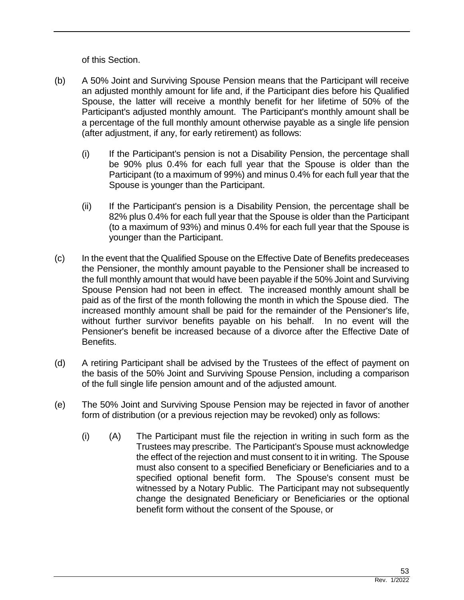of this Section.

- (b) A 50% Joint and Surviving Spouse Pension means that the Participant will receive an adjusted monthly amount for life and, if the Participant dies before his Qualified Spouse, the latter will receive a monthly benefit for her lifetime of 50% of the Participant's adjusted monthly amount. The Participant's monthly amount shall be a percentage of the full monthly amount otherwise payable as a single life pension (after adjustment, if any, for early retirement) as follows:
	- (i) If the Participant's pension is not a Disability Pension, the percentage shall be 90% plus 0.4% for each full year that the Spouse is older than the Participant (to a maximum of 99%) and minus 0.4% for each full year that the Spouse is younger than the Participant.
	- (ii) If the Participant's pension is a Disability Pension, the percentage shall be 82% plus 0.4% for each full year that the Spouse is older than the Participant (to a maximum of 93%) and minus 0.4% for each full year that the Spouse is younger than the Participant.
- (c) In the event that the Qualified Spouse on the Effective Date of Benefits predeceases the Pensioner, the monthly amount payable to the Pensioner shall be increased to the full monthly amount that would have been payable if the 50% Joint and Surviving Spouse Pension had not been in effect. The increased monthly amount shall be paid as of the first of the month following the month in which the Spouse died. The increased monthly amount shall be paid for the remainder of the Pensioner's life, without further survivor benefits payable on his behalf. In no event will the Pensioner's benefit be increased because of a divorce after the Effective Date of Benefits.
- (d) A retiring Participant shall be advised by the Trustees of the effect of payment on the basis of the 50% Joint and Surviving Spouse Pension, including a comparison of the full single life pension amount and of the adjusted amount.
- (e) The 50% Joint and Surviving Spouse Pension may be rejected in favor of another form of distribution (or a previous rejection may be revoked) only as follows:
	- (i) (A) The Participant must file the rejection in writing in such form as the Trustees may prescribe. The Participant's Spouse must acknowledge the effect of the rejection and must consent to it in writing. The Spouse must also consent to a specified Beneficiary or Beneficiaries and to a specified optional benefit form. The Spouse's consent must be witnessed by a Notary Public. The Participant may not subsequently change the designated Beneficiary or Beneficiaries or the optional benefit form without the consent of the Spouse, or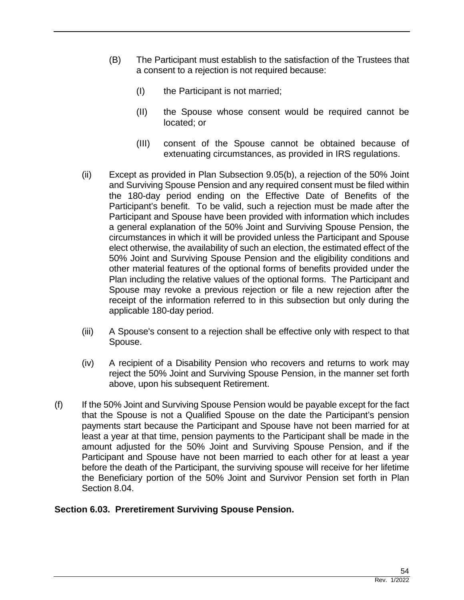- (B) The Participant must establish to the satisfaction of the Trustees that a consent to a rejection is not required because:
	- (I) the Participant is not married;
	- (II) the Spouse whose consent would be required cannot be located; or
	- (III) consent of the Spouse cannot be obtained because of extenuating circumstances, as provided in IRS regulations.
- (ii) Except as provided in Plan Subsection 9.05(b), a rejection of the 50% Joint and Surviving Spouse Pension and any required consent must be filed within the 180-day period ending on the Effective Date of Benefits of the Participant's benefit. To be valid, such a rejection must be made after the Participant and Spouse have been provided with information which includes a general explanation of the 50% Joint and Surviving Spouse Pension, the circumstances in which it will be provided unless the Participant and Spouse elect otherwise, the availability of such an election, the estimated effect of the 50% Joint and Surviving Spouse Pension and the eligibility conditions and other material features of the optional forms of benefits provided under the Plan including the relative values of the optional forms. The Participant and Spouse may revoke a previous rejection or file a new rejection after the receipt of the information referred to in this subsection but only during the applicable 180-day period.
- (iii) A Spouse's consent to a rejection shall be effective only with respect to that Spouse.
- (iv) A recipient of a Disability Pension who recovers and returns to work may reject the 50% Joint and Surviving Spouse Pension, in the manner set forth above, upon his subsequent Retirement.
- (f) If the 50% Joint and Surviving Spouse Pension would be payable except for the fact that the Spouse is not a Qualified Spouse on the date the Participant's pension payments start because the Participant and Spouse have not been married for at least a year at that time, pension payments to the Participant shall be made in the amount adjusted for the 50% Joint and Surviving Spouse Pension, and if the Participant and Spouse have not been married to each other for at least a year before the death of the Participant, the surviving spouse will receive for her lifetime the Beneficiary portion of the 50% Joint and Survivor Pension set forth in Plan Section 8.04.

## **Section 6.03. Preretirement Surviving Spouse Pension.**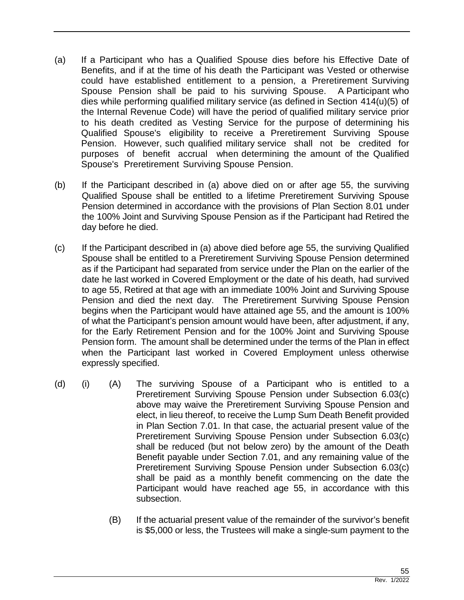- (a) If a Participant who has a Qualified Spouse dies before his Effective Date of Benefits, and if at the time of his death the Participant was Vested or otherwise could have established entitlement to a pension, a Preretirement Surviving Spouse Pension shall be paid to his surviving Spouse. A Participant who dies while performing qualified military service (as defined in Section 414(u)(5) of the Internal Revenue Code) will have the period of qualified military service prior to his death credited as Vesting Service for the purpose of determining his Qualified Spouse's eligibility to receive a Preretirement Surviving Spouse Pension. However, such qualified military service shall not be credited for purposes of benefit accrual when determining the amount of the Qualified Spouse's Preretirement Surviving Spouse Pension.
- (b) If the Participant described in (a) above died on or after age 55, the surviving Qualified Spouse shall be entitled to a lifetime Preretirement Surviving Spouse Pension determined in accordance with the provisions of Plan Section 8.01 under the 100% Joint and Surviving Spouse Pension as if the Participant had Retired the day before he died.
- (c) If the Participant described in (a) above died before age 55, the surviving Qualified Spouse shall be entitled to a Preretirement Surviving Spouse Pension determined as if the Participant had separated from service under the Plan on the earlier of the date he last worked in Covered Employment or the date of his death, had survived to age 55, Retired at that age with an immediate 100% Joint and Surviving Spouse Pension and died the next day. The Preretirement Surviving Spouse Pension begins when the Participant would have attained age 55, and the amount is 100% of what the Participant's pension amount would have been, after adjustment, if any, for the Early Retirement Pension and for the 100% Joint and Surviving Spouse Pension form. The amount shall be determined under the terms of the Plan in effect when the Participant last worked in Covered Employment unless otherwise expressly specified.
- (d) (i) (A) The surviving Spouse of a Participant who is entitled to a Preretirement Surviving Spouse Pension under Subsection 6.03(c) above may waive the Preretirement Surviving Spouse Pension and elect, in lieu thereof, to receive the Lump Sum Death Benefit provided in Plan Section 7.01. In that case, the actuarial present value of the Preretirement Surviving Spouse Pension under Subsection 6.03(c) shall be reduced (but not below zero) by the amount of the Death Benefit payable under Section 7.01, and any remaining value of the Preretirement Surviving Spouse Pension under Subsection 6.03(c) shall be paid as a monthly benefit commencing on the date the Participant would have reached age 55, in accordance with this subsection.
	- (B) If the actuarial present value of the remainder of the survivor's benefit is \$5,000 or less, the Trustees will make a single-sum payment to the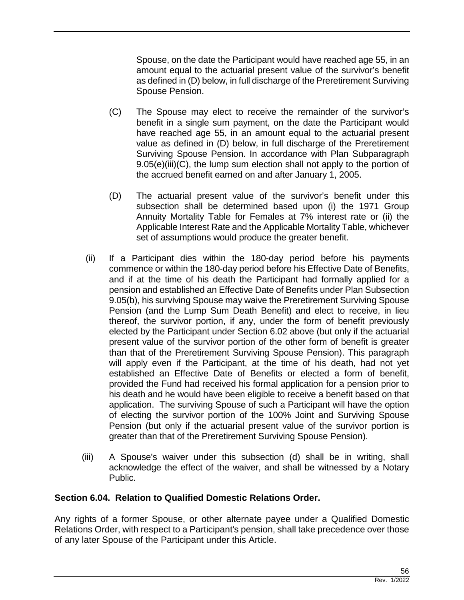Spouse, on the date the Participant would have reached age 55, in an amount equal to the actuarial present value of the survivor's benefit as defined in (D) below, in full discharge of the Preretirement Surviving Spouse Pension.

- (C) The Spouse may elect to receive the remainder of the survivor's benefit in a single sum payment, on the date the Participant would have reached age 55, in an amount equal to the actuarial present value as defined in (D) below, in full discharge of the Preretirement Surviving Spouse Pension. In accordance with Plan Subparagraph 9.05(e)(iii)(C), the lump sum election shall not apply to the portion of the accrued benefit earned on and after January 1, 2005.
- (D) The actuarial present value of the survivor's benefit under this subsection shall be determined based upon (i) the 1971 Group Annuity Mortality Table for Females at 7% interest rate or (ii) the Applicable Interest Rate and the Applicable Mortality Table, whichever set of assumptions would produce the greater benefit.
- (ii) If a Participant dies within the 180-day period before his payments commence or within the 180-day period before his Effective Date of Benefits, and if at the time of his death the Participant had formally applied for a pension and established an Effective Date of Benefits under Plan Subsection 9.05(b), his surviving Spouse may waive the Preretirement Surviving Spouse Pension (and the Lump Sum Death Benefit) and elect to receive, in lieu thereof, the survivor portion, if any, under the form of benefit previously elected by the Participant under Section 6.02 above (but only if the actuarial present value of the survivor portion of the other form of benefit is greater than that of the Preretirement Surviving Spouse Pension). This paragraph will apply even if the Participant, at the time of his death, had not yet established an Effective Date of Benefits or elected a form of benefit, provided the Fund had received his formal application for a pension prior to his death and he would have been eligible to receive a benefit based on that application. The surviving Spouse of such a Participant will have the option of electing the survivor portion of the 100% Joint and Surviving Spouse Pension (but only if the actuarial present value of the survivor portion is greater than that of the Preretirement Surviving Spouse Pension).
- (iii) A Spouse's waiver under this subsection (d) shall be in writing, shall acknowledge the effect of the waiver, and shall be witnessed by a Notary Public.

## **Section 6.04. Relation to Qualified Domestic Relations Order.**

Any rights of a former Spouse, or other alternate payee under a Qualified Domestic Relations Order, with respect to a Participant's pension, shall take precedence over those of any later Spouse of the Participant under this Article.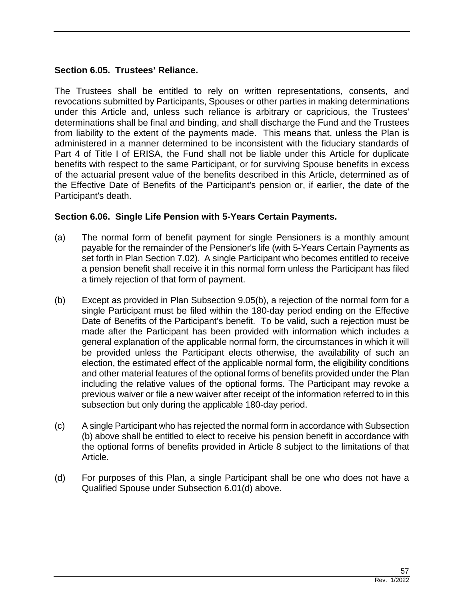## **Section 6.05. Trustees' Reliance.**

The Trustees shall be entitled to rely on written representations, consents, and revocations submitted by Participants, Spouses or other parties in making determinations under this Article and, unless such reliance is arbitrary or capricious, the Trustees' determinations shall be final and binding, and shall discharge the Fund and the Trustees from liability to the extent of the payments made. This means that, unless the Plan is administered in a manner determined to be inconsistent with the fiduciary standards of Part 4 of Title I of ERISA, the Fund shall not be liable under this Article for duplicate benefits with respect to the same Participant, or for surviving Spouse benefits in excess of the actuarial present value of the benefits described in this Article, determined as of the Effective Date of Benefits of the Participant's pension or, if earlier, the date of the Participant's death.

#### **Section 6.06. Single Life Pension with 5-Years Certain Payments.**

- (a) The normal form of benefit payment for single Pensioners is a monthly amount payable for the remainder of the Pensioner's life (with 5-Years Certain Payments as set forth in Plan Section 7.02). A single Participant who becomes entitled to receive a pension benefit shall receive it in this normal form unless the Participant has filed a timely rejection of that form of payment.
- (b) Except as provided in Plan Subsection 9.05(b), a rejection of the normal form for a single Participant must be filed within the 180-day period ending on the Effective Date of Benefits of the Participant's benefit. To be valid, such a rejection must be made after the Participant has been provided with information which includes a general explanation of the applicable normal form, the circumstances in which it will be provided unless the Participant elects otherwise, the availability of such an election, the estimated effect of the applicable normal form, the eligibility conditions and other material features of the optional forms of benefits provided under the Plan including the relative values of the optional forms. The Participant may revoke a previous waiver or file a new waiver after receipt of the information referred to in this subsection but only during the applicable 180-day period.
- (c) A single Participant who has rejected the normal form in accordance with Subsection (b) above shall be entitled to elect to receive his pension benefit in accordance with the optional forms of benefits provided in Article 8 subject to the limitations of that Article.
- (d) For purposes of this Plan, a single Participant shall be one who does not have a Qualified Spouse under Subsection 6.01(d) above.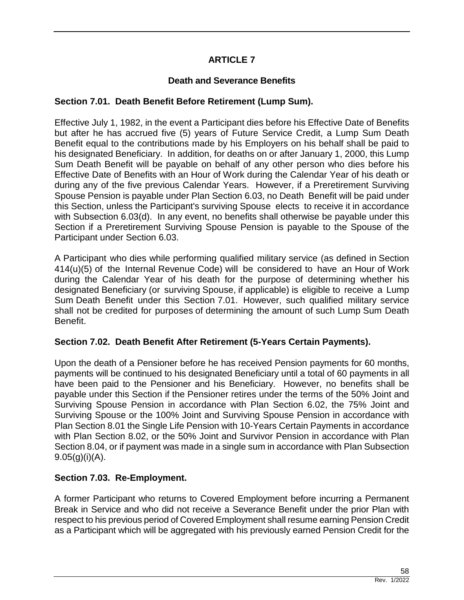# **ARTICLE 7**

# **Death and Severance Benefits**

## **Section 7.01. Death Benefit Before Retirement (Lump Sum).**

Effective July 1, 1982, in the event a Participant dies before his Effective Date of Benefits but after he has accrued five (5) years of Future Service Credit, a Lump Sum Death Benefit equal to the contributions made by his Employers on his behalf shall be paid to his designated Beneficiary. In addition, for deaths on or after January 1, 2000, this Lump Sum Death Benefit will be payable on behalf of any other person who dies before his Effective Date of Benefits with an Hour of Work during the Calendar Year of his death or during any of the five previous Calendar Years. However, if a Preretirement Surviving Spouse Pension is payable under Plan Section 6.03, no Death Benefit will be paid under this Section, unless the Participant's surviving Spouse elects to receive it in accordance with Subsection 6.03(d). In any event, no benefits shall otherwise be payable under this Section if a Preretirement Surviving Spouse Pension is payable to the Spouse of the Participant under Section 6.03.

A Participant who dies while performing qualified military service (as defined in Section 414(u)(5) of the Internal Revenue Code) will be considered to have an Hour of Work during the Calendar Year of his death for the purpose of determining whether his designated Beneficiary (or surviving Spouse, if applicable) is eligible to receive a Lump Sum Death Benefit under this Section 7.01. However, such qualified military service shall not be credited for purposes of determining the amount of such Lump Sum Death Benefit.

## **Section 7.02. Death Benefit After Retirement (5-Years Certain Payments).**

Upon the death of a Pensioner before he has received Pension payments for 60 months, payments will be continued to his designated Beneficiary until a total of 60 payments in all have been paid to the Pensioner and his Beneficiary. However, no benefits shall be payable under this Section if the Pensioner retires under the terms of the 50% Joint and Surviving Spouse Pension in accordance with Plan Section 6.02, the 75% Joint and Surviving Spouse or the 100% Joint and Surviving Spouse Pension in accordance with Plan Section 8.01 the Single Life Pension with 10-Years Certain Payments in accordance with Plan Section 8.02, or the 50% Joint and Survivor Pension in accordance with Plan Section 8.04, or if payment was made in a single sum in accordance with Plan Subsection  $9.05(g)(i)(A)$ .

## **Section 7.03. Re-Employment.**

A former Participant who returns to Covered Employment before incurring a Permanent Break in Service and who did not receive a Severance Benefit under the prior Plan with respect to his previous period of Covered Employment shall resume earning Pension Credit as a Participant which will be aggregated with his previously earned Pension Credit for the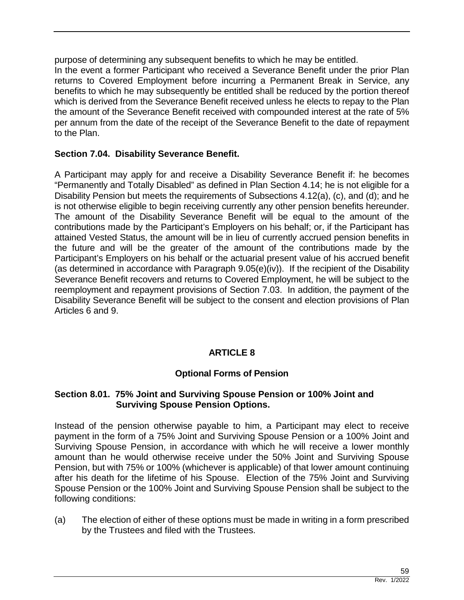purpose of determining any subsequent benefits to which he may be entitled. In the event a former Participant who received a Severance Benefit under the prior Plan returns to Covered Employment before incurring a Permanent Break in Service, any benefits to which he may subsequently be entitled shall be reduced by the portion thereof which is derived from the Severance Benefit received unless he elects to repay to the Plan the amount of the Severance Benefit received with compounded interest at the rate of 5% per annum from the date of the receipt of the Severance Benefit to the date of repayment to the Plan.

## **Section 7.04. Disability Severance Benefit.**

A Participant may apply for and receive a Disability Severance Benefit if: he becomes "Permanently and Totally Disabled" as defined in Plan Section 4.14; he is not eligible for a Disability Pension but meets the requirements of Subsections 4.12(a), (c), and (d); and he is not otherwise eligible to begin receiving currently any other pension benefits hereunder. The amount of the Disability Severance Benefit will be equal to the amount of the contributions made by the Participant's Employers on his behalf; or, if the Participant has attained Vested Status, the amount will be in lieu of currently accrued pension benefits in the future and will be the greater of the amount of the contributions made by the Participant's Employers on his behalf or the actuarial present value of his accrued benefit (as determined in accordance with Paragraph 9.05(e)(iv)). If the recipient of the Disability Severance Benefit recovers and returns to Covered Employment, he will be subject to the reemployment and repayment provisions of Section 7.03. In addition, the payment of the Disability Severance Benefit will be subject to the consent and election provisions of Plan Articles 6 and 9.

## **ARTICLE 8**

## **Optional Forms of Pension**

#### **Section 8.01. 75% Joint and Surviving Spouse Pension or 100% Joint and Surviving Spouse Pension Options.**

Instead of the pension otherwise payable to him, a Participant may elect to receive payment in the form of a 75% Joint and Surviving Spouse Pension or a 100% Joint and Surviving Spouse Pension, in accordance with which he will receive a lower monthly amount than he would otherwise receive under the 50% Joint and Surviving Spouse Pension, but with 75% or 100% (whichever is applicable) of that lower amount continuing after his death for the lifetime of his Spouse. Election of the 75% Joint and Surviving Spouse Pension or the 100% Joint and Surviving Spouse Pension shall be subject to the following conditions:

(a) The election of either of these options must be made in writing in a form prescribed by the Trustees and filed with the Trustees.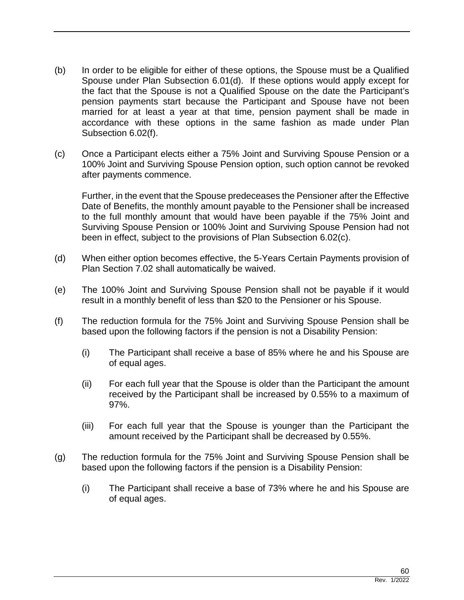- (b) In order to be eligible for either of these options, the Spouse must be a Qualified Spouse under Plan Subsection 6.01(d). If these options would apply except for the fact that the Spouse is not a Qualified Spouse on the date the Participant's pension payments start because the Participant and Spouse have not been married for at least a year at that time, pension payment shall be made in accordance with these options in the same fashion as made under Plan Subsection 6.02(f).
- (c) Once a Participant elects either a 75% Joint and Surviving Spouse Pension or a 100% Joint and Surviving Spouse Pension option, such option cannot be revoked after payments commence.

Further, in the event that the Spouse predeceases the Pensioner after the Effective Date of Benefits, the monthly amount payable to the Pensioner shall be increased to the full monthly amount that would have been payable if the 75% Joint and Surviving Spouse Pension or 100% Joint and Surviving Spouse Pension had not been in effect, subject to the provisions of Plan Subsection 6.02(c).

- (d) When either option becomes effective, the 5-Years Certain Payments provision of Plan Section 7.02 shall automatically be waived.
- (e) The 100% Joint and Surviving Spouse Pension shall not be payable if it would result in a monthly benefit of less than \$20 to the Pensioner or his Spouse.
- (f) The reduction formula for the 75% Joint and Surviving Spouse Pension shall be based upon the following factors if the pension is not a Disability Pension:
	- (i) The Participant shall receive a base of 85% where he and his Spouse are of equal ages.
	- (ii) For each full year that the Spouse is older than the Participant the amount received by the Participant shall be increased by 0.55% to a maximum of 97%.
	- (iii) For each full year that the Spouse is younger than the Participant the amount received by the Participant shall be decreased by 0.55%.
- (g) The reduction formula for the 75% Joint and Surviving Spouse Pension shall be based upon the following factors if the pension is a Disability Pension:
	- (i) The Participant shall receive a base of 73% where he and his Spouse are of equal ages.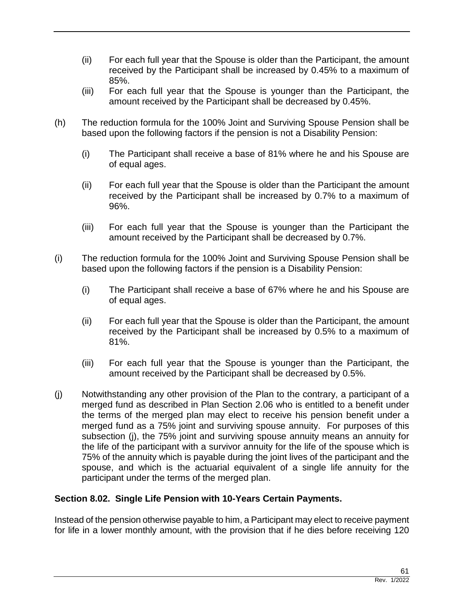- (ii) For each full year that the Spouse is older than the Participant, the amount received by the Participant shall be increased by 0.45% to a maximum of 85%.
- (iii) For each full year that the Spouse is younger than the Participant, the amount received by the Participant shall be decreased by 0.45%.
- (h) The reduction formula for the 100% Joint and Surviving Spouse Pension shall be based upon the following factors if the pension is not a Disability Pension:
	- (i) The Participant shall receive a base of 81% where he and his Spouse are of equal ages.
	- (ii) For each full year that the Spouse is older than the Participant the amount received by the Participant shall be increased by 0.7% to a maximum of 96%.
	- (iii) For each full year that the Spouse is younger than the Participant the amount received by the Participant shall be decreased by 0.7%.
- (i) The reduction formula for the 100% Joint and Surviving Spouse Pension shall be based upon the following factors if the pension is a Disability Pension:
	- (i) The Participant shall receive a base of 67% where he and his Spouse are of equal ages.
	- (ii) For each full year that the Spouse is older than the Participant, the amount received by the Participant shall be increased by 0.5% to a maximum of 81%.
	- (iii) For each full year that the Spouse is younger than the Participant, the amount received by the Participant shall be decreased by 0.5%.
- (j) Notwithstanding any other provision of the Plan to the contrary, a participant of a merged fund as described in Plan Section 2.06 who is entitled to a benefit under the terms of the merged plan may elect to receive his pension benefit under a merged fund as a 75% joint and surviving spouse annuity. For purposes of this subsection (j), the 75% joint and surviving spouse annuity means an annuity for the life of the participant with a survivor annuity for the life of the spouse which is 75% of the annuity which is payable during the joint lives of the participant and the spouse, and which is the actuarial equivalent of a single life annuity for the participant under the terms of the merged plan.

## **Section 8.02. Single Life Pension with 10-Years Certain Payments.**

Instead of the pension otherwise payable to him, a Participant may elect to receive payment for life in a lower monthly amount, with the provision that if he dies before receiving 120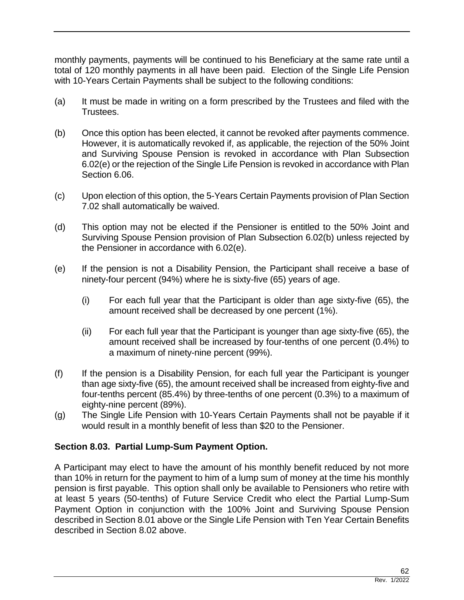monthly payments, payments will be continued to his Beneficiary at the same rate until a total of 120 monthly payments in all have been paid. Election of the Single Life Pension with 10-Years Certain Payments shall be subject to the following conditions:

- (a) It must be made in writing on a form prescribed by the Trustees and filed with the Trustees.
- (b) Once this option has been elected, it cannot be revoked after payments commence. However, it is automatically revoked if, as applicable, the rejection of the 50% Joint and Surviving Spouse Pension is revoked in accordance with Plan Subsection 6.02(e) or the rejection of the Single Life Pension is revoked in accordance with Plan Section 6.06.
- (c) Upon election of this option, the 5-Years Certain Payments provision of Plan Section 7.02 shall automatically be waived.
- (d) This option may not be elected if the Pensioner is entitled to the 50% Joint and Surviving Spouse Pension provision of Plan Subsection 6.02(b) unless rejected by the Pensioner in accordance with 6.02(e).
- (e) If the pension is not a Disability Pension, the Participant shall receive a base of ninety-four percent (94%) where he is sixty-five (65) years of age.
	- (i) For each full year that the Participant is older than age sixty-five (65), the amount received shall be decreased by one percent (1%).
	- (ii) For each full year that the Participant is younger than age sixty-five (65), the amount received shall be increased by four-tenths of one percent (0.4%) to a maximum of ninety-nine percent (99%).
- (f) If the pension is a Disability Pension, for each full year the Participant is younger than age sixty-five (65), the amount received shall be increased from eighty-five and four-tenths percent (85.4%) by three-tenths of one percent (0.3%) to a maximum of eighty-nine percent (89%).
- (g) The Single Life Pension with 10-Years Certain Payments shall not be payable if it would result in a monthly benefit of less than \$20 to the Pensioner.

## **Section 8.03. Partial Lump-Sum Payment Option.**

A Participant may elect to have the amount of his monthly benefit reduced by not more than 10% in return for the payment to him of a lump sum of money at the time his monthly pension is first payable. This option shall only be available to Pensioners who retire with at least 5 years (50-tenths) of Future Service Credit who elect the Partial Lump-Sum Payment Option in conjunction with the 100% Joint and Surviving Spouse Pension described in Section 8.01 above or the Single Life Pension with Ten Year Certain Benefits described in Section 8.02 above.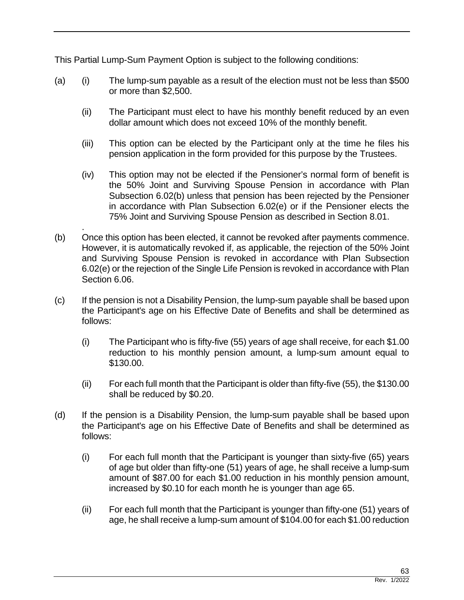This Partial Lump-Sum Payment Option is subject to the following conditions:

- (a) (i) The lump-sum payable as a result of the election must not be less than \$500 or more than \$2,500.
	- (ii) The Participant must elect to have his monthly benefit reduced by an even dollar amount which does not exceed 10% of the monthly benefit.
	- (iii) This option can be elected by the Participant only at the time he files his pension application in the form provided for this purpose by the Trustees.
	- (iv) This option may not be elected if the Pensioner's normal form of benefit is the 50% Joint and Surviving Spouse Pension in accordance with Plan Subsection 6.02(b) unless that pension has been rejected by the Pensioner in accordance with Plan Subsection 6.02(e) or if the Pensioner elects the 75% Joint and Surviving Spouse Pension as described in Section 8.01.
- . (b) Once this option has been elected, it cannot be revoked after payments commence. However, it is automatically revoked if, as applicable, the rejection of the 50% Joint and Surviving Spouse Pension is revoked in accordance with Plan Subsection 6.02(e) or the rejection of the Single Life Pension is revoked in accordance with Plan Section 6.06.
- (c) If the pension is not a Disability Pension, the lump-sum payable shall be based upon the Participant's age on his Effective Date of Benefits and shall be determined as follows:
	- (i) The Participant who is fifty-five (55) years of age shall receive, for each \$1.00 reduction to his monthly pension amount, a lump-sum amount equal to \$130.00.
	- (ii) For each full month that the Participant is older than fifty-five (55), the \$130.00 shall be reduced by \$0.20.
- (d) If the pension is a Disability Pension, the lump-sum payable shall be based upon the Participant's age on his Effective Date of Benefits and shall be determined as follows:
	- (i) For each full month that the Participant is younger than sixty-five (65) years of age but older than fifty-one (51) years of age, he shall receive a lump-sum amount of \$87.00 for each \$1.00 reduction in his monthly pension amount, increased by \$0.10 for each month he is younger than age 65.
	- (ii) For each full month that the Participant is younger than fifty-one (51) years of age, he shall receive a lump-sum amount of \$104.00 for each \$1.00 reduction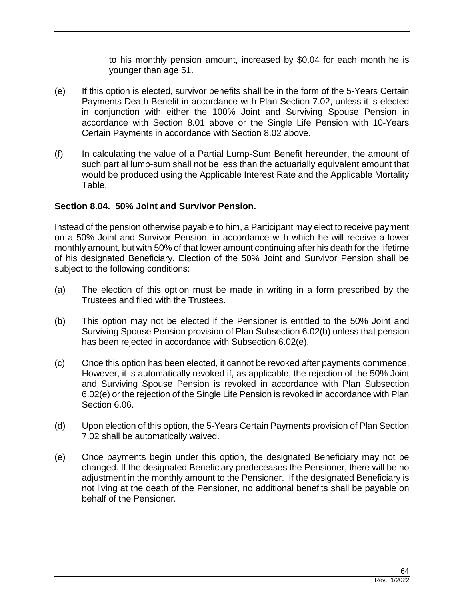to his monthly pension amount, increased by \$0.04 for each month he is younger than age 51.

- (e) If this option is elected, survivor benefits shall be in the form of the 5-Years Certain Payments Death Benefit in accordance with Plan Section 7.02, unless it is elected in conjunction with either the 100% Joint and Surviving Spouse Pension in accordance with Section 8.01 above or the Single Life Pension with 10-Years Certain Payments in accordance with Section 8.02 above.
- (f) In calculating the value of a Partial Lump-Sum Benefit hereunder, the amount of such partial lump-sum shall not be less than the actuarially equivalent amount that would be produced using the Applicable Interest Rate and the Applicable Mortality Table.

## **Section 8.04. 50% Joint and Survivor Pension.**

Instead of the pension otherwise payable to him, a Participant may elect to receive payment on a 50% Joint and Survivor Pension, in accordance with which he will receive a lower monthly amount, but with 50% of that lower amount continuing after his death for the lifetime of his designated Beneficiary. Election of the 50% Joint and Survivor Pension shall be subject to the following conditions:

- (a) The election of this option must be made in writing in a form prescribed by the Trustees and filed with the Trustees.
- (b) This option may not be elected if the Pensioner is entitled to the 50% Joint and Surviving Spouse Pension provision of Plan Subsection 6.02(b) unless that pension has been rejected in accordance with Subsection 6.02(e).
- (c) Once this option has been elected, it cannot be revoked after payments commence. However, it is automatically revoked if, as applicable, the rejection of the 50% Joint and Surviving Spouse Pension is revoked in accordance with Plan Subsection 6.02(e) or the rejection of the Single Life Pension is revoked in accordance with Plan Section 6.06.
- (d) Upon election of this option, the 5-Years Certain Payments provision of Plan Section 7.02 shall be automatically waived.
- (e) Once payments begin under this option, the designated Beneficiary may not be changed. If the designated Beneficiary predeceases the Pensioner, there will be no adjustment in the monthly amount to the Pensioner. If the designated Beneficiary is not living at the death of the Pensioner, no additional benefits shall be payable on behalf of the Pensioner.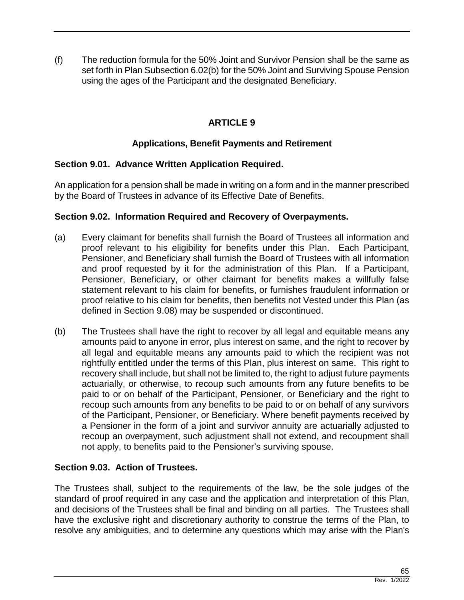(f) The reduction formula for the 50% Joint and Survivor Pension shall be the same as set forth in Plan Subsection 6.02(b) for the 50% Joint and Surviving Spouse Pension using the ages of the Participant and the designated Beneficiary.

# **ARTICLE 9**

# **Applications, Benefit Payments and Retirement**

# **Section 9.01. Advance Written Application Required.**

An application for a pension shall be made in writing on a form and in the manner prescribed by the Board of Trustees in advance of its Effective Date of Benefits.

## **Section 9.02. Information Required and Recovery of Overpayments.**

- (a) Every claimant for benefits shall furnish the Board of Trustees all information and proof relevant to his eligibility for benefits under this Plan. Each Participant, Pensioner, and Beneficiary shall furnish the Board of Trustees with all information and proof requested by it for the administration of this Plan. If a Participant, Pensioner, Beneficiary, or other claimant for benefits makes a willfully false statement relevant to his claim for benefits, or furnishes fraudulent information or proof relative to his claim for benefits, then benefits not Vested under this Plan (as defined in Section 9.08) may be suspended or discontinued.
- (b) The Trustees shall have the right to recover by all legal and equitable means any amounts paid to anyone in error, plus interest on same, and the right to recover by all legal and equitable means any amounts paid to which the recipient was not rightfully entitled under the terms of this Plan, plus interest on same. This right to recovery shall include, but shall not be limited to, the right to adjust future payments actuarially, or otherwise, to recoup such amounts from any future benefits to be paid to or on behalf of the Participant, Pensioner, or Beneficiary and the right to recoup such amounts from any benefits to be paid to or on behalf of any survivors of the Participant, Pensioner, or Beneficiary. Where benefit payments received by a Pensioner in the form of a joint and survivor annuity are actuarially adjusted to recoup an overpayment, such adjustment shall not extend, and recoupment shall not apply, to benefits paid to the Pensioner's surviving spouse.

## **Section 9.03. Action of Trustees.**

The Trustees shall, subject to the requirements of the law, be the sole judges of the standard of proof required in any case and the application and interpretation of this Plan, and decisions of the Trustees shall be final and binding on all parties. The Trustees shall have the exclusive right and discretionary authority to construe the terms of the Plan, to resolve any ambiguities, and to determine any questions which may arise with the Plan's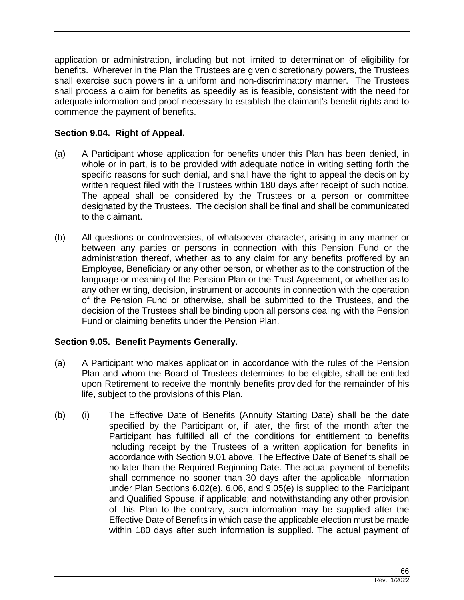application or administration, including but not limited to determination of eligibility for benefits. Wherever in the Plan the Trustees are given discretionary powers, the Trustees shall exercise such powers in a uniform and non-discriminatory manner. The Trustees shall process a claim for benefits as speedily as is feasible, consistent with the need for adequate information and proof necessary to establish the claimant's benefit rights and to commence the payment of benefits.

# **Section 9.04. Right of Appeal.**

- (a) A Participant whose application for benefits under this Plan has been denied, in whole or in part, is to be provided with adequate notice in writing setting forth the specific reasons for such denial, and shall have the right to appeal the decision by written request filed with the Trustees within 180 days after receipt of such notice. The appeal shall be considered by the Trustees or a person or committee designated by the Trustees. The decision shall be final and shall be communicated to the claimant.
- (b) All questions or controversies, of whatsoever character, arising in any manner or between any parties or persons in connection with this Pension Fund or the administration thereof, whether as to any claim for any benefits proffered by an Employee, Beneficiary or any other person, or whether as to the construction of the language or meaning of the Pension Plan or the Trust Agreement, or whether as to any other writing, decision, instrument or accounts in connection with the operation of the Pension Fund or otherwise, shall be submitted to the Trustees, and the decision of the Trustees shall be binding upon all persons dealing with the Pension Fund or claiming benefits under the Pension Plan.

## **Section 9.05. Benefit Payments Generally.**

- (a) A Participant who makes application in accordance with the rules of the Pension Plan and whom the Board of Trustees determines to be eligible, shall be entitled upon Retirement to receive the monthly benefits provided for the remainder of his life, subject to the provisions of this Plan.
- (b) (i) The Effective Date of Benefits (Annuity Starting Date) shall be the date specified by the Participant or, if later, the first of the month after the Participant has fulfilled all of the conditions for entitlement to benefits including receipt by the Trustees of a written application for benefits in accordance with Section 9.01 above. The Effective Date of Benefits shall be no later than the Required Beginning Date. The actual payment of benefits shall commence no sooner than 30 days after the applicable information under Plan Sections 6.02(e), 6.06, and 9.05(e) is supplied to the Participant and Qualified Spouse, if applicable; and notwithstanding any other provision of this Plan to the contrary, such information may be supplied after the Effective Date of Benefits in which case the applicable election must be made within 180 days after such information is supplied. The actual payment of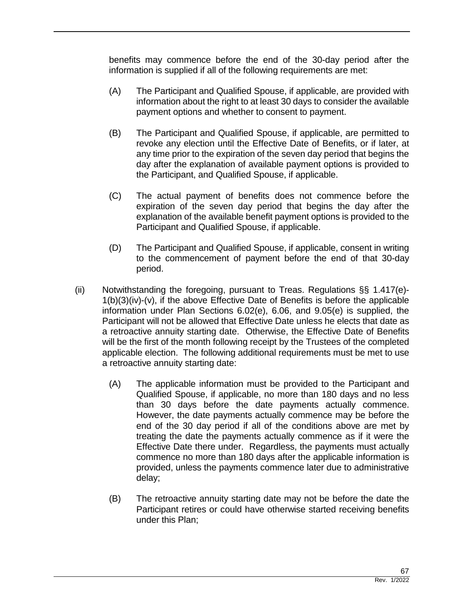benefits may commence before the end of the 30-day period after the information is supplied if all of the following requirements are met:

- (A) The Participant and Qualified Spouse, if applicable, are provided with information about the right to at least 30 days to consider the available payment options and whether to consent to payment.
- (B) The Participant and Qualified Spouse, if applicable, are permitted to revoke any election until the Effective Date of Benefits, or if later, at any time prior to the expiration of the seven day period that begins the day after the explanation of available payment options is provided to the Participant, and Qualified Spouse, if applicable.
- (C) The actual payment of benefits does not commence before the expiration of the seven day period that begins the day after the explanation of the available benefit payment options is provided to the Participant and Qualified Spouse, if applicable.
- (D) The Participant and Qualified Spouse, if applicable, consent in writing to the commencement of payment before the end of that 30-day period.
- (ii) Notwithstanding the foregoing, pursuant to Treas. Regulations §§ 1.417(e)- 1(b)(3)(iv)-(v), if the above Effective Date of Benefits is before the applicable information under Plan Sections 6.02(e), 6.06, and 9.05(e) is supplied, the Participant will not be allowed that Effective Date unless he elects that date as a retroactive annuity starting date. Otherwise, the Effective Date of Benefits will be the first of the month following receipt by the Trustees of the completed applicable election. The following additional requirements must be met to use a retroactive annuity starting date:
	- (A) The applicable information must be provided to the Participant and Qualified Spouse, if applicable, no more than 180 days and no less than 30 days before the date payments actually commence. However, the date payments actually commence may be before the end of the 30 day period if all of the conditions above are met by treating the date the payments actually commence as if it were the Effective Date there under. Regardless, the payments must actually commence no more than 180 days after the applicable information is provided, unless the payments commence later due to administrative delay;
	- (B) The retroactive annuity starting date may not be before the date the Participant retires or could have otherwise started receiving benefits under this Plan;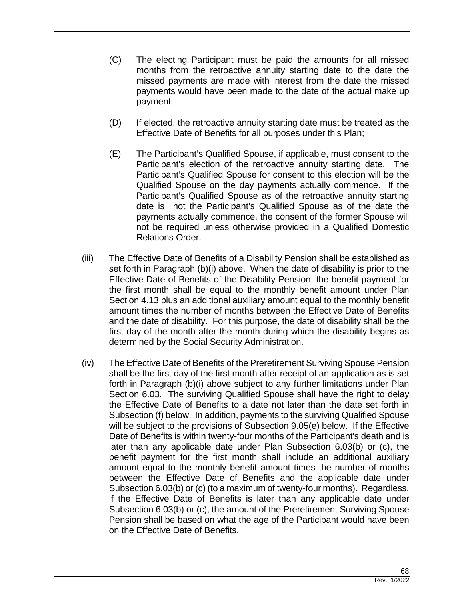- (C) The electing Participant must be paid the amounts for all missed months from the retroactive annuity starting date to the date the missed payments are made with interest from the date the missed payments would have been made to the date of the actual make up payment;
- (D) If elected, the retroactive annuity starting date must be treated as the Effective Date of Benefits for all purposes under this Plan;
- (E) The Participant's Qualified Spouse, if applicable, must consent to the Participant's election of the retroactive annuity starting date. The Participant's Qualified Spouse for consent to this election will be the Qualified Spouse on the day payments actually commence. If the Participant's Qualified Spouse as of the retroactive annuity starting date is not the Participant's Qualified Spouse as of the date the payments actually commence, the consent of the former Spouse will not be required unless otherwise provided in a Qualified Domestic Relations Order.
- (iii) The Effective Date of Benefits of a Disability Pension shall be established as set forth in Paragraph (b)(i) above. When the date of disability is prior to the Effective Date of Benefits of the Disability Pension, the benefit payment for the first month shall be equal to the monthly benefit amount under Plan Section 4.13 plus an additional auxiliary amount equal to the monthly benefit amount times the number of months between the Effective Date of Benefits and the date of disability. For this purpose, the date of disability shall be the first day of the month after the month during which the disability begins as determined by the Social Security Administration.
- (iv) The Effective Date of Benefits of the Preretirement Surviving Spouse Pension shall be the first day of the first month after receipt of an application as is set forth in Paragraph (b)(i) above subject to any further limitations under Plan Section 6.03. The surviving Qualified Spouse shall have the right to delay the Effective Date of Benefits to a date not later than the date set forth in Subsection (f) below. In addition, payments to the surviving Qualified Spouse will be subject to the provisions of Subsection 9.05(e) below. If the Effective Date of Benefits is within twenty-four months of the Participant's death and is later than any applicable date under Plan Subsection 6.03(b) or (c), the benefit payment for the first month shall include an additional auxiliary amount equal to the monthly benefit amount times the number of months between the Effective Date of Benefits and the applicable date under Subsection 6.03(b) or (c) (to a maximum of twenty-four months). Regardless, if the Effective Date of Benefits is later than any applicable date under Subsection 6.03(b) or (c), the amount of the Preretirement Surviving Spouse Pension shall be based on what the age of the Participant would have been on the Effective Date of Benefits.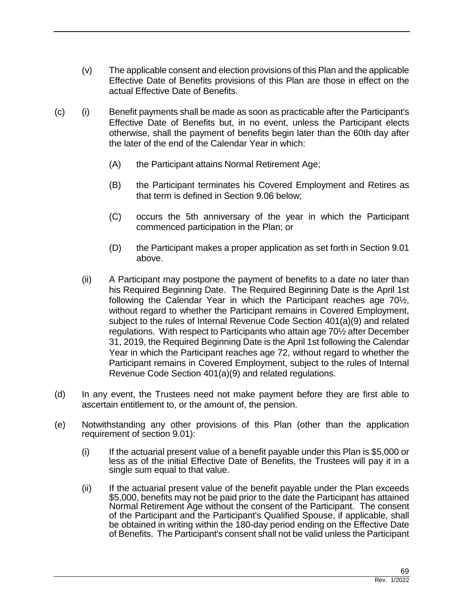- (v) The applicable consent and election provisions of this Plan and the applicable Effective Date of Benefits provisions of this Plan are those in effect on the actual Effective Date of Benefits.
- (c) (i) Benefit payments shall be made as soon as practicable after the Participant's Effective Date of Benefits but, in no event, unless the Participant elects otherwise, shall the payment of benefits begin later than the 60th day after the later of the end of the Calendar Year in which:
	- (A) the Participant attains Normal Retirement Age;
	- (B) the Participant terminates his Covered Employment and Retires as that term is defined in Section 9.06 below;
	- (C) occurs the 5th anniversary of the year in which the Participant commenced participation in the Plan; or
	- (D) the Participant makes a proper application as set forth in Section 9.01 above.
	- (ii) A Participant may postpone the payment of benefits to a date no later than his Required Beginning Date. The Required Beginning Date is the April 1st following the Calendar Year in which the Participant reaches age 70½, without regard to whether the Participant remains in Covered Employment, subject to the rules of Internal Revenue Code Section 401(a)(9) and related regulations. With respect to Participants who attain age 70½ after December 31, 2019, the Required Beginning Date is the April 1st following the Calendar Year in which the Participant reaches age 72, without regard to whether the Participant remains in Covered Employment, subject to the rules of Internal Revenue Code Section 401(a)(9) and related regulations.
- (d) In any event, the Trustees need not make payment before they are first able to ascertain entitlement to, or the amount of, the pension.
- (e) Notwithstanding any other provisions of this Plan (other than the application requirement of section 9.01):
	- $(i)$  If the actuarial present value of a benefit payable under this Plan is \$5,000 or less as of the initial Effective Date of Benefits, the Trustees will pay it in a single sum equal to that value.
	- (ii) If the actuarial present value of the benefit payable under the Plan exceeds \$5,000, benefits may not be paid prior to the date the Participant has attained Normal Retirement Age without the consent of the Participant. The consent of the Participant and the Participant's Qualified Spouse, if applicable, shall be obtained in writing within the 180-day period ending on the Effective Date of Benefits. The Participant's consent shall not be valid unless the Participant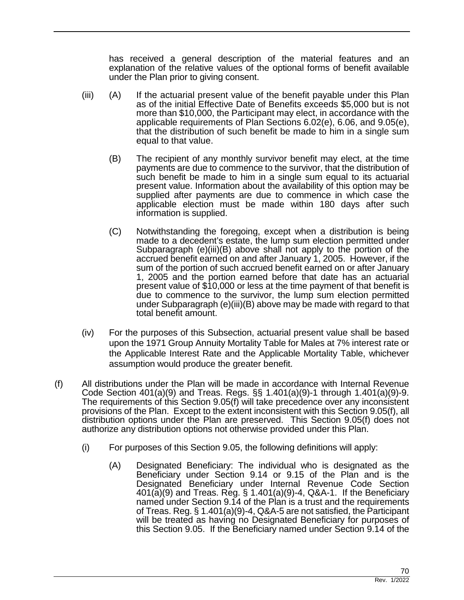has received a general description of the material features and an explanation of the relative values of the optional forms of benefit available under the Plan prior to giving consent.

- (iii) (A) If the actuarial present value of the benefit payable under this Plan as of the initial Effective Date of Benefits exceeds \$5,000 but is not more than \$10,000, the Participant may elect, in accordance with the applicable requirements of Plan Sections 6.02(e), 6.06, and 9.05(e), that the distribution of such benefit be made to him in a single sum equal to that value.
	- (B) The recipient of any monthly survivor benefit may elect, at the time payments are due to commence to the survivor, that the distribution of such benefit be made to him in a single sum equal to its actuarial present value. Information about the availability of this option may be supplied after payments are due to commence in which case the applicable election must be made within 180 days after such information is supplied.
	- (C) Notwithstanding the foregoing, except when a distribution is being made to a decedent's estate, the lump sum election permitted under Subparagraph (e)(iii)(B) above shall not apply to the portion of the accrued benefit earned on and after January 1, 2005. However, if the sum of the portion of such accrued benefit earned on or after January 1, 2005 and the portion earned before that date has an actuarial present value of \$10,000 or less at the time payment of that benefit is due to commence to the survivor, the lump sum election permitted under Subparagraph (e)(iii)(B) above may be made with regard to that total benefit amount.
- (iv) For the purposes of this Subsection, actuarial present value shall be based upon the 1971 Group Annuity Mortality Table for Males at 7% interest rate or the Applicable Interest Rate and the Applicable Mortality Table, whichever assumption would produce the greater benefit.
- (f) All distributions under the Plan will be made in accordance with Internal Revenue Code Section 401(a)(9) and Treas. Regs. §§ 1.401(a)(9)-1 through 1.401(a)(9)-9. The requirements of this Section 9.05(f) will take precedence over any inconsistent provisions of the Plan. Except to the extent inconsistent with this Section 9.05(f), all distribution options under the Plan are preserved. This Section 9.05(f) does not authorize any distribution options not otherwise provided under this Plan.
	- (i) For purposes of this Section 9.05, the following definitions will apply:
		- (A) Designated Beneficiary: The individual who is designated as the Beneficiary under Section 9.14 or 9.15 of the Plan and is the Designated Beneficiary under Internal Revenue Code Section 401(a)(9) and Treas. Reg. § 1.401(a)(9)-4, Q&A-1. If the Beneficiary named under Section 9.14 of the Plan is a trust and the requirements of Treas. Reg. § 1.401(a)(9)-4, Q&A-5 are not satisfied, the Participant will be treated as having no Designated Beneficiary for purposes of this Section 9.05. If the Beneficiary named under Section 9.14 of the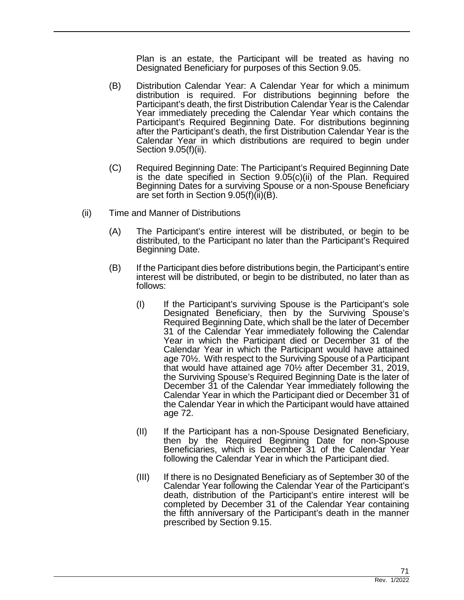Plan is an estate, the Participant will be treated as having no Designated Beneficiary for purposes of this Section 9.05.

- (B) Distribution Calendar Year: A Calendar Year for which a minimum distribution is required. For distributions beginning before the Participant's death, the first Distribution Calendar Year is the Calendar Year immediately preceding the Calendar Year which contains the Participant's Required Beginning Date. For distributions beginning after the Participant's death, the first Distribution Calendar Year is the Calendar Year in which distributions are required to begin under Section 9.05(f)(ii).
- (C) Required Beginning Date: The Participant's Required Beginning Date is the date specified in Section 9.05(c)(ii) of the Plan. Required Beginning Dates for a surviving Spouse or a non-Spouse Beneficiary are set forth in Section 9.05(f)(ii)(B).
- (ii) Time and Manner of Distributions
	- (A) The Participant's entire interest will be distributed, or begin to be distributed, to the Participant no later than the Participant's Required Beginning Date.
	- (B) If the Participant dies before distributions begin, the Participant's entire interest will be distributed, or begin to be distributed, no later than as follows:
		- (I) If the Participant's surviving Spouse is the Participant's sole Designated Beneficiary, then by the Surviving Spouse's Required Beginning Date, which shall be the later of December 31 of the Calendar Year immediately following the Calendar Year in which the Participant died or December 31 of the Calendar Year in which the Participant would have attained age 70½. With respect to the Surviving Spouse of a Participant that would have attained age 70½ after December 31, 2019, the Surviving Spouse's Required Beginning Date is the later of December 31 of the Calendar Year immediately following the Calendar Year in which the Participant died or December 31 of the Calendar Year in which the Participant would have attained age 72.
		- (II) If the Participant has a non-Spouse Designated Beneficiary, then by the Required Beginning Date for non-Spouse Beneficiaries, which is December 31 of the Calendar Year following the Calendar Year in which the Participant died.
		- (III) If there is no Designated Beneficiary as of September 30 of the Calendar Year following the Calendar Year of the Participant's death, distribution of the Participant's entire interest will be completed by December 31 of the Calendar Year containing the fifth anniversary of the Participant's death in the manner prescribed by Section 9.15.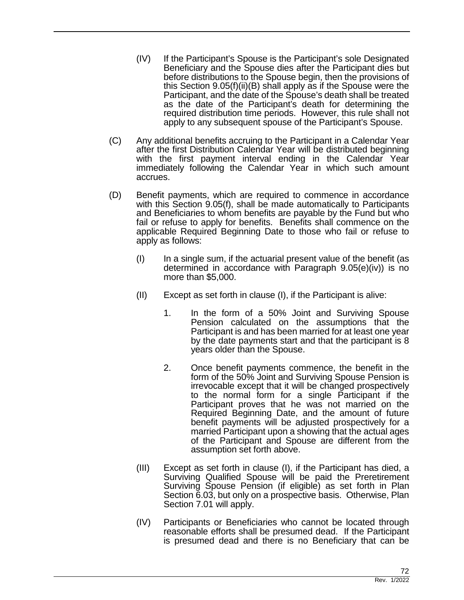- (IV) If the Participant's Spouse is the Participant's sole Designated Beneficiary and the Spouse dies after the Participant dies but before distributions to the Spouse begin, then the provisions of this Section 9.05(f)(ii)(B) shall apply as if the Spouse were the Participant, and the date of the Spouse's death shall be treated as the date of the Participant's death for determining the required distribution time periods. However, this rule shall not apply to any subsequent spouse of the Participant's Spouse.
- (C) Any additional benefits accruing to the Participant in a Calendar Year after the first Distribution Calendar Year will be distributed beginning with the first payment interval ending in the Calendar Year immediately following the Calendar Year in which such amount accrues.
- (D) Benefit payments, which are required to commence in accordance with this Section 9.05(f), shall be made automatically to Participants and Beneficiaries to whom benefits are payable by the Fund but who fail or refuse to apply for benefits. Benefits shall commence on the applicable Required Beginning Date to those who fail or refuse to apply as follows:
	- $(1)$  In a single sum, if the actuarial present value of the benefit (as determined in accordance with Paragraph 9.05(e)(iv)) is no more than \$5,000.
	- (II) Except as set forth in clause (I), if the Participant is alive:
		- 1. In the form of a 50% Joint and Surviving Spouse Pension calculated on the assumptions that the Participant is and has been married for at least one year by the date payments start and that the participant is 8 years older than the Spouse.
		- 2. Once benefit payments commence, the benefit in the form of the 50% Joint and Surviving Spouse Pension is irrevocable except that it will be changed prospectively to the normal form for a single Participant if the Participant proves that he was not married on the Required Beginning Date, and the amount of future benefit payments will be adjusted prospectively for a married Participant upon a showing that the actual ages of the Participant and Spouse are different from the assumption set forth above.
	- (III) Except as set forth in clause (I), if the Participant has died, a Surviving Qualified Spouse will be paid the Preretirement Surviving Spouse Pension (if eligible) as set forth in Plan Section 6.03, but only on a prospective basis. Otherwise, Plan Section 7.01 will apply.
	- (IV) Participants or Beneficiaries who cannot be located through reasonable efforts shall be presumed dead. If the Participant is presumed dead and there is no Beneficiary that can be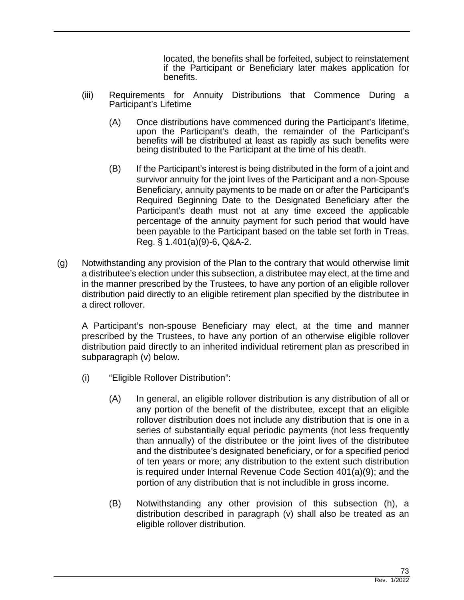located, the benefits shall be forfeited, subject to reinstatement if the Participant or Beneficiary later makes application for benefits.

- (iii) Requirements for Annuity Distributions that Commence During a Participant's Lifetime
	- (A) Once distributions have commenced during the Participant's lifetime, upon the Participant's death, the remainder of the Participant's benefits will be distributed at least as rapidly as such benefits were being distributed to the Participant at the time of his death.
	- (B) If the Participant's interest is being distributed in the form of a joint and survivor annuity for the joint lives of the Participant and a non-Spouse Beneficiary, annuity payments to be made on or after the Participant's Required Beginning Date to the Designated Beneficiary after the Participant's death must not at any time exceed the applicable percentage of the annuity payment for such period that would have been payable to the Participant based on the table set forth in Treas. Reg. § 1.401(a)(9)-6, Q&A-2.
- (g) Notwithstanding any provision of the Plan to the contrary that would otherwise limit a distributee's election under this subsection, a distributee may elect, at the time and in the manner prescribed by the Trustees, to have any portion of an eligible rollover distribution paid directly to an eligible retirement plan specified by the distributee in a direct rollover.

A Participant's non-spouse Beneficiary may elect, at the time and manner prescribed by the Trustees, to have any portion of an otherwise eligible rollover distribution paid directly to an inherited individual retirement plan as prescribed in subparagraph (v) below.

- (i) "Eligible Rollover Distribution":
	- (A) In general, an eligible rollover distribution is any distribution of all or any portion of the benefit of the distributee, except that an eligible rollover distribution does not include any distribution that is one in a series of substantially equal periodic payments (not less frequently than annually) of the distributee or the joint lives of the distributee and the distributee's designated beneficiary, or for a specified period of ten years or more; any distribution to the extent such distribution is required under Internal Revenue Code Section 401(a)(9); and the portion of any distribution that is not includible in gross income.
	- (B) Notwithstanding any other provision of this subsection (h), a distribution described in paragraph (v) shall also be treated as an eligible rollover distribution.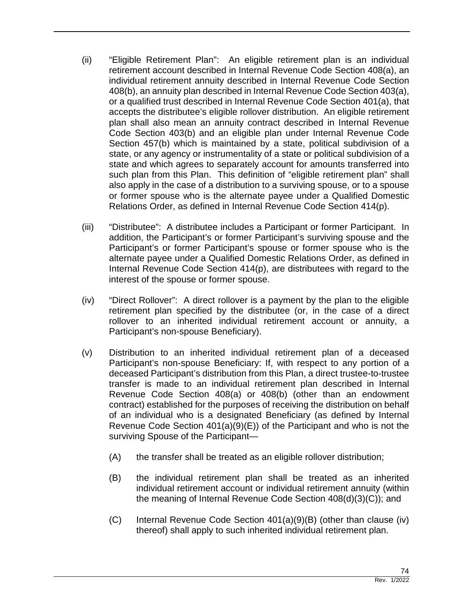- (ii) "Eligible Retirement Plan": An eligible retirement plan is an individual retirement account described in Internal Revenue Code Section 408(a), an individual retirement annuity described in Internal Revenue Code Section 408(b), an annuity plan described in Internal Revenue Code Section 403(a), or a qualified trust described in Internal Revenue Code Section 401(a), that accepts the distributee's eligible rollover distribution. An eligible retirement plan shall also mean an annuity contract described in Internal Revenue Code Section 403(b) and an eligible plan under Internal Revenue Code Section 457(b) which is maintained by a state, political subdivision of a state, or any agency or instrumentality of a state or political subdivision of a state and which agrees to separately account for amounts transferred into such plan from this Plan. This definition of "eligible retirement plan" shall also apply in the case of a distribution to a surviving spouse, or to a spouse or former spouse who is the alternate payee under a Qualified Domestic Relations Order, as defined in Internal Revenue Code Section 414(p).
- (iii) "Distributee": A distributee includes a Participant or former Participant. In addition, the Participant's or former Participant's surviving spouse and the Participant's or former Participant's spouse or former spouse who is the alternate payee under a Qualified Domestic Relations Order, as defined in Internal Revenue Code Section 414(p), are distributees with regard to the interest of the spouse or former spouse.
- (iv) "Direct Rollover": A direct rollover is a payment by the plan to the eligible retirement plan specified by the distributee (or, in the case of a direct rollover to an inherited individual retirement account or annuity, a Participant's non-spouse Beneficiary).
- (v) Distribution to an inherited individual retirement plan of a deceased Participant's non-spouse Beneficiary: If, with respect to any portion of a deceased Participant's distribution from this Plan, a direct trustee-to-trustee transfer is made to an individual retirement plan described in Internal Revenue Code Section 408(a) or 408(b) (other than an endowment contract) established for the purposes of receiving the distribution on behalf of an individual who is a designated Beneficiary (as defined by Internal Revenue Code Section 401(a)(9)(E)) of the Participant and who is not the surviving Spouse of the Participant—
	- (A) the transfer shall be treated as an eligible rollover distribution;
	- (B) the individual retirement plan shall be treated as an inherited individual retirement account or individual retirement annuity (within the meaning of Internal Revenue Code Section 408(d)(3)(C)); and
	- $(C)$  Internal Revenue Code Section 401(a)(9)(B) (other than clause (iv) thereof) shall apply to such inherited individual retirement plan.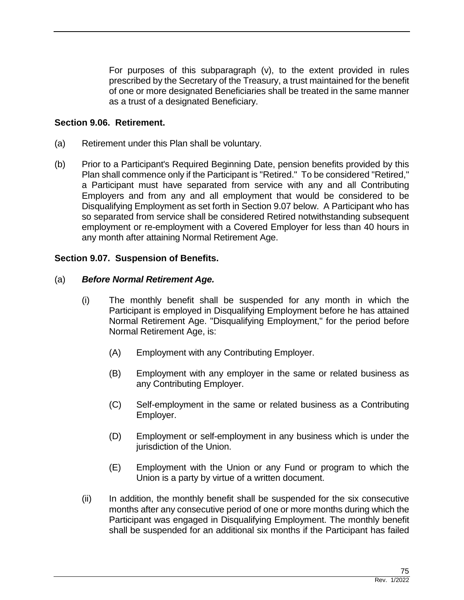For purposes of this subparagraph (v), to the extent provided in rules prescribed by the Secretary of the Treasury, a trust maintained for the benefit of one or more designated Beneficiaries shall be treated in the same manner as a trust of a designated Beneficiary.

### **Section 9.06. Retirement.**

- (a) Retirement under this Plan shall be voluntary.
- (b) Prior to a Participant's Required Beginning Date, pension benefits provided by this Plan shall commence only if the Participant is "Retired." To be considered "Retired," a Participant must have separated from service with any and all Contributing Employers and from any and all employment that would be considered to be Disqualifying Employment as set forth in Section 9.07 below. A Participant who has so separated from service shall be considered Retired notwithstanding subsequent employment or re-employment with a Covered Employer for less than 40 hours in any month after attaining Normal Retirement Age.

## **Section 9.07. Suspension of Benefits.**

### (a) *Before Normal Retirement Age.*

- (i) The monthly benefit shall be suspended for any month in which the Participant is employed in Disqualifying Employment before he has attained Normal Retirement Age. "Disqualifying Employment," for the period before Normal Retirement Age, is:
	- (A) Employment with any Contributing Employer.
	- (B) Employment with any employer in the same or related business as any Contributing Employer.
	- (C) Self-employment in the same or related business as a Contributing Employer.
	- (D) Employment or self-employment in any business which is under the jurisdiction of the Union.
	- (E) Employment with the Union or any Fund or program to which the Union is a party by virtue of a written document.
- (ii) In addition, the monthly benefit shall be suspended for the six consecutive months after any consecutive period of one or more months during which the Participant was engaged in Disqualifying Employment. The monthly benefit shall be suspended for an additional six months if the Participant has failed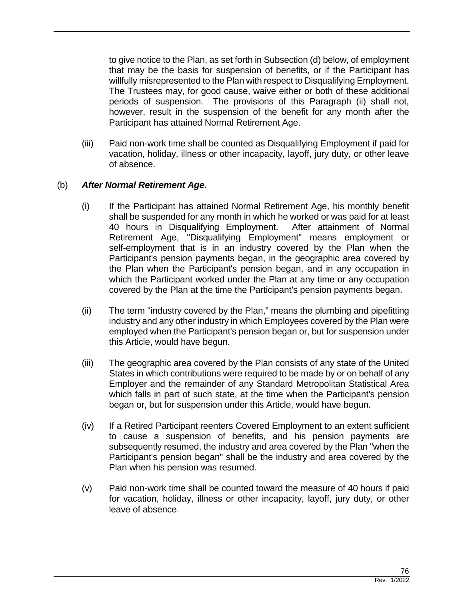to give notice to the Plan, as set forth in Subsection (d) below, of employment that may be the basis for suspension of benefits, or if the Participant has willfully misrepresented to the Plan with respect to Disqualifying Employment. The Trustees may, for good cause, waive either or both of these additional periods of suspension. The provisions of this Paragraph (ii) shall not, however, result in the suspension of the benefit for any month after the Participant has attained Normal Retirement Age.

(iii) Paid non-work time shall be counted as Disqualifying Employment if paid for vacation, holiday, illness or other incapacity, layoff, jury duty, or other leave of absence.

## (b) *After Normal Retirement Age.*

- (i) If the Participant has attained Normal Retirement Age, his monthly benefit shall be suspended for any month in which he worked or was paid for at least 40 hours in Disqualifying Employment. After attainment of Normal Retirement Age, "Disqualifying Employment" means employment or self-employment that is in an industry covered by the Plan when the Participant's pension payments began, in the geographic area covered by the Plan when the Participant's pension began, and in any occupation in which the Participant worked under the Plan at any time or any occupation covered by the Plan at the time the Participant's pension payments began.
- (ii) The term "industry covered by the Plan," means the plumbing and pipefitting industry and any other industry in which Employees covered by the Plan were employed when the Participant's pension began or, but for suspension under this Article, would have begun.
- (iii) The geographic area covered by the Plan consists of any state of the United States in which contributions were required to be made by or on behalf of any Employer and the remainder of any Standard Metropolitan Statistical Area which falls in part of such state, at the time when the Participant's pension began or, but for suspension under this Article, would have begun.
- (iv) If a Retired Participant reenters Covered Employment to an extent sufficient to cause a suspension of benefits, and his pension payments are subsequently resumed, the industry and area covered by the Plan "when the Participant's pension began" shall be the industry and area covered by the Plan when his pension was resumed.
- (v) Paid non-work time shall be counted toward the measure of 40 hours if paid for vacation, holiday, illness or other incapacity, layoff, jury duty, or other leave of absence.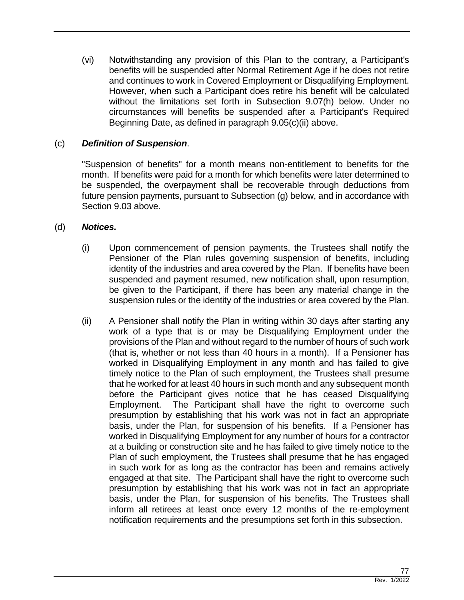(vi) Notwithstanding any provision of this Plan to the contrary, a Participant's benefits will be suspended after Normal Retirement Age if he does not retire and continues to work in Covered Employment or Disqualifying Employment. However, when such a Participant does retire his benefit will be calculated without the limitations set forth in Subsection 9.07(h) below. Under no circumstances will benefits be suspended after a Participant's Required Beginning Date, as defined in paragraph 9.05(c)(ii) above.

### (c) *Definition of Suspension*.

"Suspension of benefits" for a month means non-entitlement to benefits for the month. If benefits were paid for a month for which benefits were later determined to be suspended, the overpayment shall be recoverable through deductions from future pension payments, pursuant to Subsection (g) below, and in accordance with Section 9.03 above.

### (d) *Notices.*

- (i) Upon commencement of pension payments, the Trustees shall notify the Pensioner of the Plan rules governing suspension of benefits, including identity of the industries and area covered by the Plan. If benefits have been suspended and payment resumed, new notification shall, upon resumption, be given to the Participant, if there has been any material change in the suspension rules or the identity of the industries or area covered by the Plan.
- (ii) A Pensioner shall notify the Plan in writing within 30 days after starting any work of a type that is or may be Disqualifying Employment under the provisions of the Plan and without regard to the number of hours of such work (that is, whether or not less than 40 hours in a month). If a Pensioner has worked in Disqualifying Employment in any month and has failed to give timely notice to the Plan of such employment, the Trustees shall presume that he worked for at least 40 hours in such month and any subsequent month before the Participant gives notice that he has ceased Disqualifying Employment. The Participant shall have the right to overcome such presumption by establishing that his work was not in fact an appropriate basis, under the Plan, for suspension of his benefits. If a Pensioner has worked in Disqualifying Employment for any number of hours for a contractor at a building or construction site and he has failed to give timely notice to the Plan of such employment, the Trustees shall presume that he has engaged in such work for as long as the contractor has been and remains actively engaged at that site. The Participant shall have the right to overcome such presumption by establishing that his work was not in fact an appropriate basis, under the Plan, for suspension of his benefits. The Trustees shall inform all retirees at least once every 12 months of the re-employment notification requirements and the presumptions set forth in this subsection.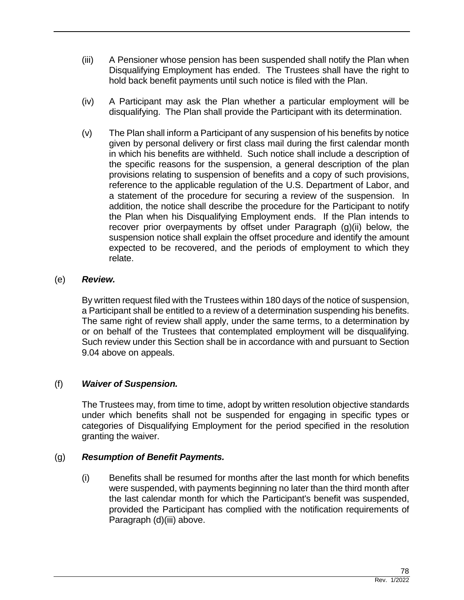- (iii) A Pensioner whose pension has been suspended shall notify the Plan when Disqualifying Employment has ended. The Trustees shall have the right to hold back benefit payments until such notice is filed with the Plan.
- (iv) A Participant may ask the Plan whether a particular employment will be disqualifying. The Plan shall provide the Participant with its determination.
- (v) The Plan shall inform a Participant of any suspension of his benefits by notice given by personal delivery or first class mail during the first calendar month in which his benefits are withheld. Such notice shall include a description of the specific reasons for the suspension, a general description of the plan provisions relating to suspension of benefits and a copy of such provisions, reference to the applicable regulation of the U.S. Department of Labor, and a statement of the procedure for securing a review of the suspension. In addition, the notice shall describe the procedure for the Participant to notify the Plan when his Disqualifying Employment ends. If the Plan intends to recover prior overpayments by offset under Paragraph (g)(ii) below, the suspension notice shall explain the offset procedure and identify the amount expected to be recovered, and the periods of employment to which they relate.

### (e) *Review.*

By written request filed with the Trustees within 180 days of the notice of suspension, a Participant shall be entitled to a review of a determination suspending his benefits. The same right of review shall apply, under the same terms, to a determination by or on behalf of the Trustees that contemplated employment will be disqualifying. Such review under this Section shall be in accordance with and pursuant to Section 9.04 above on appeals.

### (f) *Waiver of Suspension.*

The Trustees may, from time to time, adopt by written resolution objective standards under which benefits shall not be suspended for engaging in specific types or categories of Disqualifying Employment for the period specified in the resolution granting the waiver.

### (g) *Resumption of Benefit Payments.*

(i) Benefits shall be resumed for months after the last month for which benefits were suspended, with payments beginning no later than the third month after the last calendar month for which the Participant's benefit was suspended, provided the Participant has complied with the notification requirements of Paragraph (d)(iii) above.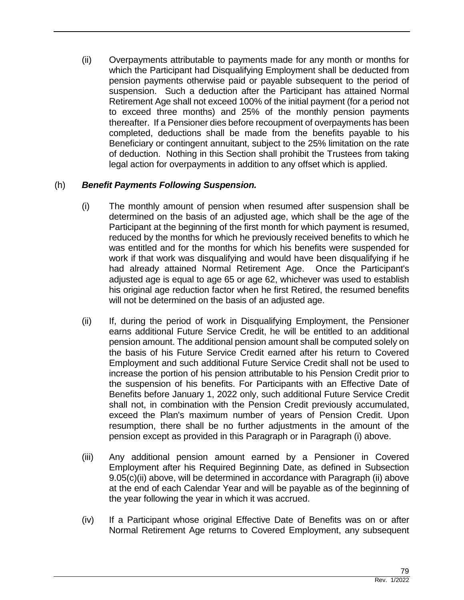(ii) Overpayments attributable to payments made for any month or months for which the Participant had Disqualifying Employment shall be deducted from pension payments otherwise paid or payable subsequent to the period of suspension. Such a deduction after the Participant has attained Normal Retirement Age shall not exceed 100% of the initial payment (for a period not to exceed three months) and 25% of the monthly pension payments thereafter. If a Pensioner dies before recoupment of overpayments has been completed, deductions shall be made from the benefits payable to his Beneficiary or contingent annuitant, subject to the 25% limitation on the rate of deduction. Nothing in this Section shall prohibit the Trustees from taking legal action for overpayments in addition to any offset which is applied.

# (h) *Benefit Payments Following Suspension.*

- (i) The monthly amount of pension when resumed after suspension shall be determined on the basis of an adjusted age, which shall be the age of the Participant at the beginning of the first month for which payment is resumed, reduced by the months for which he previously received benefits to which he was entitled and for the months for which his benefits were suspended for work if that work was disqualifying and would have been disqualifying if he had already attained Normal Retirement Age. Once the Participant's adjusted age is equal to age 65 or age 62, whichever was used to establish his original age reduction factor when he first Retired, the resumed benefits will not be determined on the basis of an adjusted age.
- (ii) If, during the period of work in Disqualifying Employment, the Pensioner earns additional Future Service Credit, he will be entitled to an additional pension amount. The additional pension amount shall be computed solely on the basis of his Future Service Credit earned after his return to Covered Employment and such additional Future Service Credit shall not be used to increase the portion of his pension attributable to his Pension Credit prior to the suspension of his benefits. For Participants with an Effective Date of Benefits before January 1, 2022 only, such additional Future Service Credit shall not, in combination with the Pension Credit previously accumulated, exceed the Plan's maximum number of years of Pension Credit. Upon resumption, there shall be no further adjustments in the amount of the pension except as provided in this Paragraph or in Paragraph (i) above.
- (iii) Any additional pension amount earned by a Pensioner in Covered Employment after his Required Beginning Date, as defined in Subsection 9.05(c)(ii) above, will be determined in accordance with Paragraph (ii) above at the end of each Calendar Year and will be payable as of the beginning of the year following the year in which it was accrued.
- (iv) If a Participant whose original Effective Date of Benefits was on or after Normal Retirement Age returns to Covered Employment, any subsequent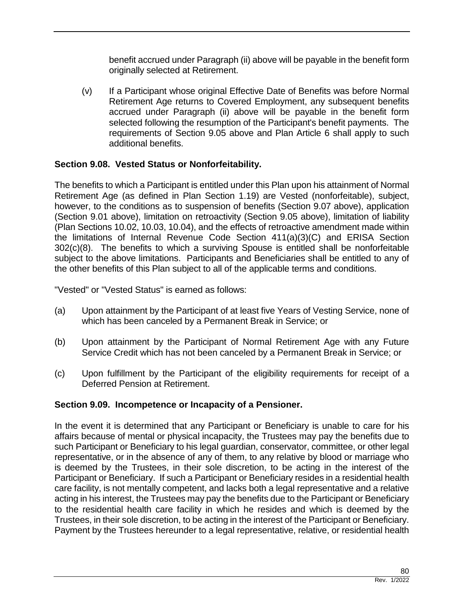benefit accrued under Paragraph (ii) above will be payable in the benefit form originally selected at Retirement.

(v) If a Participant whose original Effective Date of Benefits was before Normal Retirement Age returns to Covered Employment, any subsequent benefits accrued under Paragraph (ii) above will be payable in the benefit form selected following the resumption of the Participant's benefit payments. The requirements of Section 9.05 above and Plan Article 6 shall apply to such additional benefits.

# **Section 9.08. Vested Status or Nonforfeitability.**

The benefits to which a Participant is entitled under this Plan upon his attainment of Normal Retirement Age (as defined in Plan Section 1.19) are Vested (nonforfeitable), subject, however, to the conditions as to suspension of benefits (Section 9.07 above), application (Section 9.01 above), limitation on retroactivity (Section 9.05 above), limitation of liability (Plan Sections 10.02, 10.03, 10.04), and the effects of retroactive amendment made within the limitations of Internal Revenue Code Section 411(a)(3)(C) and ERISA Section 302(c)(8). The benefits to which a surviving Spouse is entitled shall be nonforfeitable subject to the above limitations. Participants and Beneficiaries shall be entitled to any of the other benefits of this Plan subject to all of the applicable terms and conditions.

"Vested" or "Vested Status" is earned as follows:

- (a) Upon attainment by the Participant of at least five Years of Vesting Service, none of which has been canceled by a Permanent Break in Service; or
- (b) Upon attainment by the Participant of Normal Retirement Age with any Future Service Credit which has not been canceled by a Permanent Break in Service; or
- (c) Upon fulfillment by the Participant of the eligibility requirements for receipt of a Deferred Pension at Retirement.

## **Section 9.09. Incompetence or Incapacity of a Pensioner.**

In the event it is determined that any Participant or Beneficiary is unable to care for his affairs because of mental or physical incapacity, the Trustees may pay the benefits due to such Participant or Beneficiary to his legal guardian, conservator, committee, or other legal representative, or in the absence of any of them, to any relative by blood or marriage who is deemed by the Trustees, in their sole discretion, to be acting in the interest of the Participant or Beneficiary. If such a Participant or Beneficiary resides in a residential health care facility, is not mentally competent, and lacks both a legal representative and a relative acting in his interest, the Trustees may pay the benefits due to the Participant or Beneficiary to the residential health care facility in which he resides and which is deemed by the Trustees, in their sole discretion, to be acting in the interest of the Participant or Beneficiary. Payment by the Trustees hereunder to a legal representative, relative, or residential health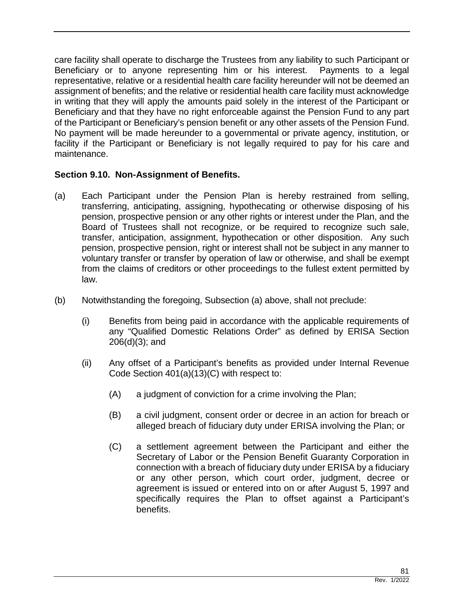care facility shall operate to discharge the Trustees from any liability to such Participant or Beneficiary or to anyone representing him or his interest. Payments to a legal representative, relative or a residential health care facility hereunder will not be deemed an assignment of benefits; and the relative or residential health care facility must acknowledge in writing that they will apply the amounts paid solely in the interest of the Participant or Beneficiary and that they have no right enforceable against the Pension Fund to any part of the Participant or Beneficiary's pension benefit or any other assets of the Pension Fund. No payment will be made hereunder to a governmental or private agency, institution, or facility if the Participant or Beneficiary is not legally required to pay for his care and maintenance.

## **Section 9.10. Non-Assignment of Benefits.**

- (a) Each Participant under the Pension Plan is hereby restrained from selling, transferring, anticipating, assigning, hypothecating or otherwise disposing of his pension, prospective pension or any other rights or interest under the Plan, and the Board of Trustees shall not recognize, or be required to recognize such sale, transfer, anticipation, assignment, hypothecation or other disposition. Any such pension, prospective pension, right or interest shall not be subject in any manner to voluntary transfer or transfer by operation of law or otherwise, and shall be exempt from the claims of creditors or other proceedings to the fullest extent permitted by law.
- (b) Notwithstanding the foregoing, Subsection (a) above, shall not preclude:
	- (i) Benefits from being paid in accordance with the applicable requirements of any "Qualified Domestic Relations Order" as defined by ERISA Section 206(d)(3); and
	- (ii) Any offset of a Participant's benefits as provided under Internal Revenue Code Section 401(a)(13)(C) with respect to:
		- (A) a judgment of conviction for a crime involving the Plan;
		- (B) a civil judgment, consent order or decree in an action for breach or alleged breach of fiduciary duty under ERISA involving the Plan; or
		- (C) a settlement agreement between the Participant and either the Secretary of Labor or the Pension Benefit Guaranty Corporation in connection with a breach of fiduciary duty under ERISA by a fiduciary or any other person, which court order, judgment, decree or agreement is issued or entered into on or after August 5, 1997 and specifically requires the Plan to offset against a Participant's benefits.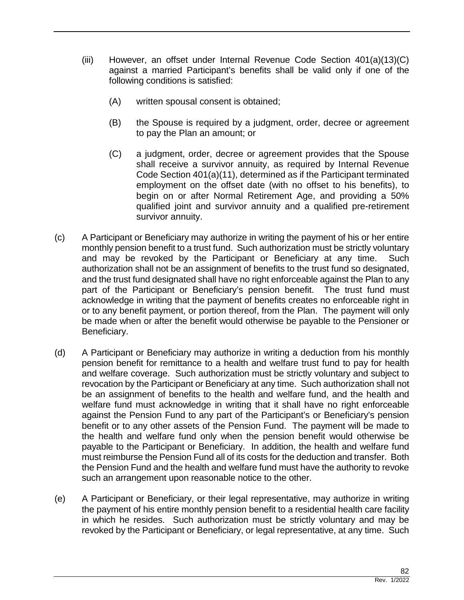- (iii) However, an offset under Internal Revenue Code Section 401(a)(13)(C) against a married Participant's benefits shall be valid only if one of the following conditions is satisfied:
	- (A) written spousal consent is obtained;
	- (B) the Spouse is required by a judgment, order, decree or agreement to pay the Plan an amount; or
	- (C) a judgment, order, decree or agreement provides that the Spouse shall receive a survivor annuity, as required by Internal Revenue Code Section 401(a)(11), determined as if the Participant terminated employment on the offset date (with no offset to his benefits), to begin on or after Normal Retirement Age, and providing a 50% qualified joint and survivor annuity and a qualified pre-retirement survivor annuity.
- (c) A Participant or Beneficiary may authorize in writing the payment of his or her entire monthly pension benefit to a trust fund. Such authorization must be strictly voluntary and may be revoked by the Participant or Beneficiary at any time. Such authorization shall not be an assignment of benefits to the trust fund so designated, and the trust fund designated shall have no right enforceable against the Plan to any part of the Participant or Beneficiary's pension benefit. The trust fund must acknowledge in writing that the payment of benefits creates no enforceable right in or to any benefit payment, or portion thereof, from the Plan. The payment will only be made when or after the benefit would otherwise be payable to the Pensioner or Beneficiary.
- (d) A Participant or Beneficiary may authorize in writing a deduction from his monthly pension benefit for remittance to a health and welfare trust fund to pay for health and welfare coverage. Such authorization must be strictly voluntary and subject to revocation by the Participant or Beneficiary at any time. Such authorization shall not be an assignment of benefits to the health and welfare fund, and the health and welfare fund must acknowledge in writing that it shall have no right enforceable against the Pension Fund to any part of the Participant's or Beneficiary's pension benefit or to any other assets of the Pension Fund. The payment will be made to the health and welfare fund only when the pension benefit would otherwise be payable to the Participant or Beneficiary. In addition, the health and welfare fund must reimburse the Pension Fund all of its costs for the deduction and transfer. Both the Pension Fund and the health and welfare fund must have the authority to revoke such an arrangement upon reasonable notice to the other.
- (e) A Participant or Beneficiary, or their legal representative, may authorize in writing the payment of his entire monthly pension benefit to a residential health care facility in which he resides. Such authorization must be strictly voluntary and may be revoked by the Participant or Beneficiary, or legal representative, at any time. Such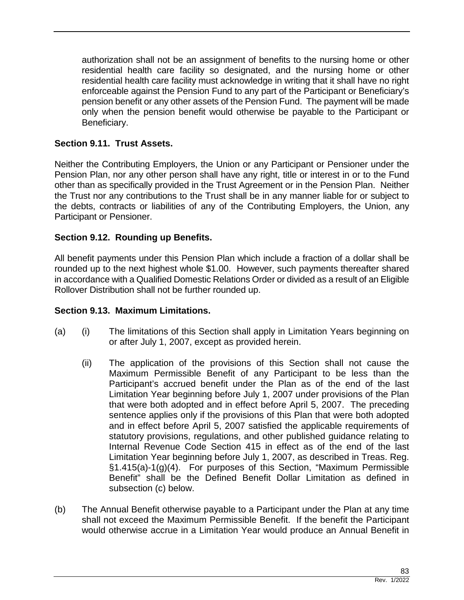authorization shall not be an assignment of benefits to the nursing home or other residential health care facility so designated, and the nursing home or other residential health care facility must acknowledge in writing that it shall have no right enforceable against the Pension Fund to any part of the Participant or Beneficiary's pension benefit or any other assets of the Pension Fund. The payment will be made only when the pension benefit would otherwise be payable to the Participant or Beneficiary.

# **Section 9.11. Trust Assets.**

Neither the Contributing Employers, the Union or any Participant or Pensioner under the Pension Plan, nor any other person shall have any right, title or interest in or to the Fund other than as specifically provided in the Trust Agreement or in the Pension Plan. Neither the Trust nor any contributions to the Trust shall be in any manner liable for or subject to the debts, contracts or liabilities of any of the Contributing Employers, the Union, any Participant or Pensioner.

## **Section 9.12. Rounding up Benefits.**

All benefit payments under this Pension Plan which include a fraction of a dollar shall be rounded up to the next highest whole \$1.00. However, such payments thereafter shared in accordance with a Qualified Domestic Relations Order or divided as a result of an Eligible Rollover Distribution shall not be further rounded up.

## **Section 9.13. Maximum Limitations.**

- (a) (i) The limitations of this Section shall apply in Limitation Years beginning on or after July 1, 2007, except as provided herein.
	- (ii) The application of the provisions of this Section shall not cause the Maximum Permissible Benefit of any Participant to be less than the Participant's accrued benefit under the Plan as of the end of the last Limitation Year beginning before July 1, 2007 under provisions of the Plan that were both adopted and in effect before April 5, 2007. The preceding sentence applies only if the provisions of this Plan that were both adopted and in effect before April 5, 2007 satisfied the applicable requirements of statutory provisions, regulations, and other published guidance relating to Internal Revenue Code Section 415 in effect as of the end of the last Limitation Year beginning before July 1, 2007, as described in Treas. Reg. §1.415(a)-1(g)(4). For purposes of this Section, "Maximum Permissible Benefit" shall be the Defined Benefit Dollar Limitation as defined in subsection (c) below.
- (b) The Annual Benefit otherwise payable to a Participant under the Plan at any time shall not exceed the Maximum Permissible Benefit. If the benefit the Participant would otherwise accrue in a Limitation Year would produce an Annual Benefit in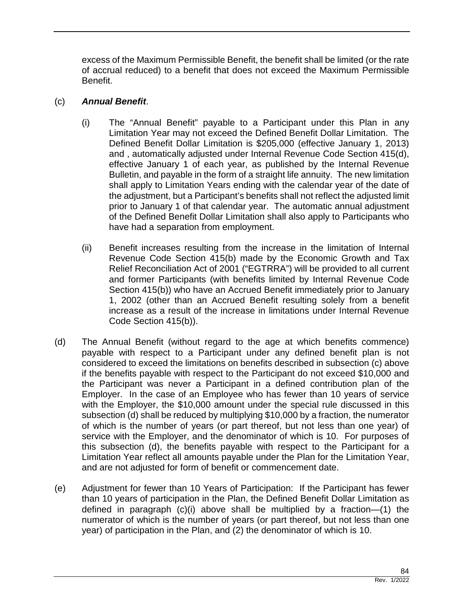excess of the Maximum Permissible Benefit, the benefit shall be limited (or the rate of accrual reduced) to a benefit that does not exceed the Maximum Permissible Benefit.

## (c) *Annual Benefit*.

- (i) The "Annual Benefit" payable to a Participant under this Plan in any Limitation Year may not exceed the Defined Benefit Dollar Limitation. The Defined Benefit Dollar Limitation is \$205,000 (effective January 1, 2013) and , automatically adjusted under Internal Revenue Code Section 415(d), effective January 1 of each year, as published by the Internal Revenue Bulletin, and payable in the form of a straight life annuity. The new limitation shall apply to Limitation Years ending with the calendar year of the date of the adjustment, but a Participant's benefits shall not reflect the adjusted limit prior to January 1 of that calendar year. The automatic annual adjustment of the Defined Benefit Dollar Limitation shall also apply to Participants who have had a separation from employment.
- (ii) Benefit increases resulting from the increase in the limitation of Internal Revenue Code Section 415(b) made by the Economic Growth and Tax Relief Reconciliation Act of 2001 ("EGTRRA") will be provided to all current and former Participants (with benefits limited by Internal Revenue Code Section 415(b)) who have an Accrued Benefit immediately prior to January 1, 2002 (other than an Accrued Benefit resulting solely from a benefit increase as a result of the increase in limitations under Internal Revenue Code Section 415(b)).
- (d) The Annual Benefit (without regard to the age at which benefits commence) payable with respect to a Participant under any defined benefit plan is not considered to exceed the limitations on benefits described in subsection (c) above if the benefits payable with respect to the Participant do not exceed \$10,000 and the Participant was never a Participant in a defined contribution plan of the Employer. In the case of an Employee who has fewer than 10 years of service with the Employer, the \$10,000 amount under the special rule discussed in this subsection (d) shall be reduced by multiplying \$10,000 by a fraction, the numerator of which is the number of years (or part thereof, but not less than one year) of service with the Employer, and the denominator of which is 10. For purposes of this subsection (d), the benefits payable with respect to the Participant for a Limitation Year reflect all amounts payable under the Plan for the Limitation Year, and are not adjusted for form of benefit or commencement date.
- (e) Adjustment for fewer than 10 Years of Participation: If the Participant has fewer than 10 years of participation in the Plan, the Defined Benefit Dollar Limitation as defined in paragraph (c)(i) above shall be multiplied by a fraction—(1) the numerator of which is the number of years (or part thereof, but not less than one year) of participation in the Plan, and (2) the denominator of which is 10.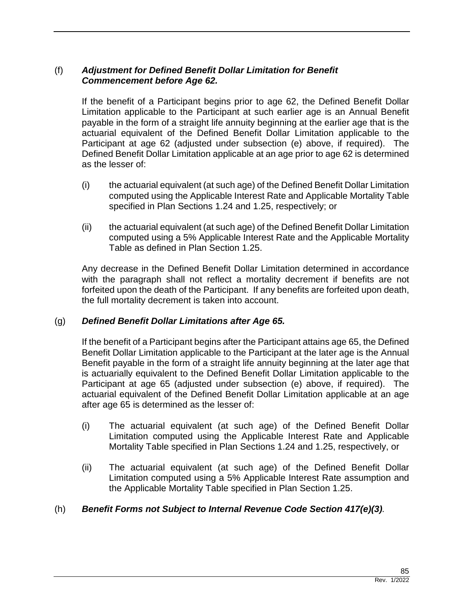# (f) *Adjustment for Defined Benefit Dollar Limitation for Benefit Commencement before Age 62.*

If the benefit of a Participant begins prior to age 62, the Defined Benefit Dollar Limitation applicable to the Participant at such earlier age is an Annual Benefit payable in the form of a straight life annuity beginning at the earlier age that is the actuarial equivalent of the Defined Benefit Dollar Limitation applicable to the Participant at age 62 (adjusted under subsection (e) above, if required). The Defined Benefit Dollar Limitation applicable at an age prior to age 62 is determined as the lesser of:

- (i) the actuarial equivalent (at such age) of the Defined Benefit Dollar Limitation computed using the Applicable Interest Rate and Applicable Mortality Table specified in Plan Sections 1.24 and 1.25, respectively; or
- (ii) the actuarial equivalent (at such age) of the Defined Benefit Dollar Limitation computed using a 5% Applicable Interest Rate and the Applicable Mortality Table as defined in Plan Section 1.25.

Any decrease in the Defined Benefit Dollar Limitation determined in accordance with the paragraph shall not reflect a mortality decrement if benefits are not forfeited upon the death of the Participant. If any benefits are forfeited upon death, the full mortality decrement is taken into account.

## (g) *Defined Benefit Dollar Limitations after Age 65.*

If the benefit of a Participant begins after the Participant attains age 65, the Defined Benefit Dollar Limitation applicable to the Participant at the later age is the Annual Benefit payable in the form of a straight life annuity beginning at the later age that is actuarially equivalent to the Defined Benefit Dollar Limitation applicable to the Participant at age 65 (adjusted under subsection (e) above, if required). The actuarial equivalent of the Defined Benefit Dollar Limitation applicable at an age after age 65 is determined as the lesser of:

- (i) The actuarial equivalent (at such age) of the Defined Benefit Dollar Limitation computed using the Applicable Interest Rate and Applicable Mortality Table specified in Plan Sections 1.24 and 1.25, respectively, or
- (ii) The actuarial equivalent (at such age) of the Defined Benefit Dollar Limitation computed using a 5% Applicable Interest Rate assumption and the Applicable Mortality Table specified in Plan Section 1.25.

## (h) *Benefit Forms not Subject to Internal Revenue Code Section 417(e)(3).*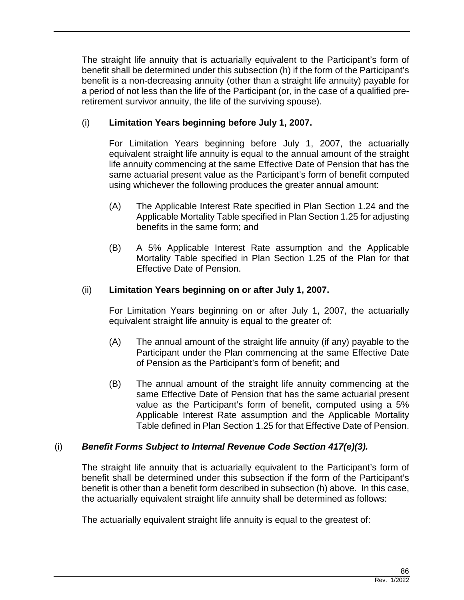The straight life annuity that is actuarially equivalent to the Participant's form of benefit shall be determined under this subsection (h) if the form of the Participant's benefit is a non-decreasing annuity (other than a straight life annuity) payable for a period of not less than the life of the Participant (or, in the case of a qualified preretirement survivor annuity, the life of the surviving spouse).

# (i) **Limitation Years beginning before July 1, 2007.**

For Limitation Years beginning before July 1, 2007, the actuarially equivalent straight life annuity is equal to the annual amount of the straight life annuity commencing at the same Effective Date of Pension that has the same actuarial present value as the Participant's form of benefit computed using whichever the following produces the greater annual amount:

- (A) The Applicable Interest Rate specified in Plan Section 1.24 and the Applicable Mortality Table specified in Plan Section 1.25 for adjusting benefits in the same form; and
- (B) A 5% Applicable Interest Rate assumption and the Applicable Mortality Table specified in Plan Section 1.25 of the Plan for that Effective Date of Pension.

# (ii) **Limitation Years beginning on or after July 1, 2007.**

For Limitation Years beginning on or after July 1, 2007, the actuarially equivalent straight life annuity is equal to the greater of:

- (A) The annual amount of the straight life annuity (if any) payable to the Participant under the Plan commencing at the same Effective Date of Pension as the Participant's form of benefit; and
- (B) The annual amount of the straight life annuity commencing at the same Effective Date of Pension that has the same actuarial present value as the Participant's form of benefit, computed using a 5% Applicable Interest Rate assumption and the Applicable Mortality Table defined in Plan Section 1.25 for that Effective Date of Pension.

# (i) *Benefit Forms Subject to Internal Revenue Code Section 417(e)(3).*

The straight life annuity that is actuarially equivalent to the Participant's form of benefit shall be determined under this subsection if the form of the Participant's benefit is other than a benefit form described in subsection (h) above. In this case, the actuarially equivalent straight life annuity shall be determined as follows:

The actuarially equivalent straight life annuity is equal to the greatest of: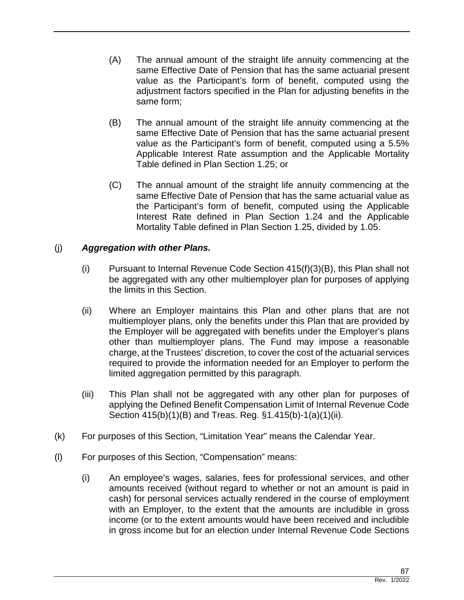- (A) The annual amount of the straight life annuity commencing at the same Effective Date of Pension that has the same actuarial present value as the Participant's form of benefit, computed using the adjustment factors specified in the Plan for adjusting benefits in the same form;
- (B) The annual amount of the straight life annuity commencing at the same Effective Date of Pension that has the same actuarial present value as the Participant's form of benefit, computed using a 5.5% Applicable Interest Rate assumption and the Applicable Mortality Table defined in Plan Section 1.25; or
- (C) The annual amount of the straight life annuity commencing at the same Effective Date of Pension that has the same actuarial value as the Participant's form of benefit, computed using the Applicable Interest Rate defined in Plan Section 1.24 and the Applicable Mortality Table defined in Plan Section 1.25, divided by 1.05.

# (j) *Aggregation with other Plans.*

- (i) Pursuant to Internal Revenue Code Section 415(f)(3)(B), this Plan shall not be aggregated with any other multiemployer plan for purposes of applying the limits in this Section.
- (ii) Where an Employer maintains this Plan and other plans that are not multiemployer plans, only the benefits under this Plan that are provided by the Employer will be aggregated with benefits under the Employer's plans other than multiemployer plans. The Fund may impose a reasonable charge, at the Trustees' discretion, to cover the cost of the actuarial services required to provide the information needed for an Employer to perform the limited aggregation permitted by this paragraph.
- (iii) This Plan shall not be aggregated with any other plan for purposes of applying the Defined Benefit Compensation Limit of Internal Revenue Code Section 415(b)(1)(B) and Treas. Reg. §1.415(b)-1(a)(1)(ii).
- (k) For purposes of this Section, "Limitation Year" means the Calendar Year.
- (l) For purposes of this Section, "Compensation" means:
	- (i) An employee's wages, salaries, fees for professional services, and other amounts received (without regard to whether or not an amount is paid in cash) for personal services actually rendered in the course of employment with an Employer, to the extent that the amounts are includible in gross income (or to the extent amounts would have been received and includible in gross income but for an election under Internal Revenue Code Sections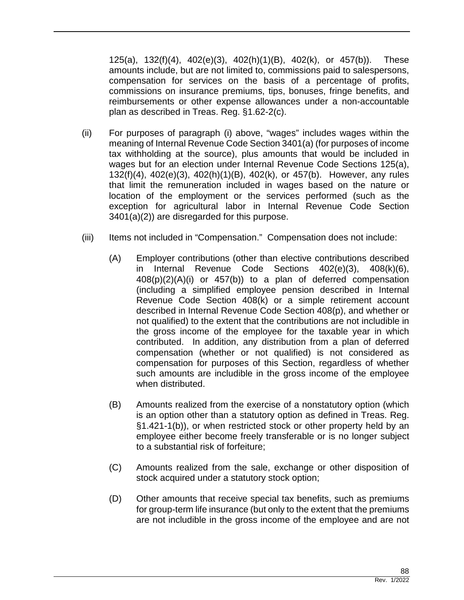125(a), 132(f)(4), 402(e)(3), 402(h)(1)(B), 402(k), or 457(b)). These amounts include, but are not limited to, commissions paid to salespersons, compensation for services on the basis of a percentage of profits, commissions on insurance premiums, tips, bonuses, fringe benefits, and reimbursements or other expense allowances under a non-accountable plan as described in Treas. Reg. §1.62-2(c).

- (ii) For purposes of paragraph (i) above, "wages" includes wages within the meaning of Internal Revenue Code Section 3401(a) (for purposes of income tax withholding at the source), plus amounts that would be included in wages but for an election under Internal Revenue Code Sections 125(a), 132(f)(4), 402(e)(3), 402(h)(1)(B), 402(k), or 457(b). However, any rules that limit the remuneration included in wages based on the nature or location of the employment or the services performed (such as the exception for agricultural labor in Internal Revenue Code Section 3401(a)(2)) are disregarded for this purpose.
- (iii) Items not included in "Compensation." Compensation does not include:
	- (A) Employer contributions (other than elective contributions described in Internal Revenue Code Sections 402(e)(3), 408(k)(6), 408(p)(2)(A)(i) or 457(b)) to a plan of deferred compensation (including a simplified employee pension described in Internal Revenue Code Section 408(k) or a simple retirement account described in Internal Revenue Code Section 408(p), and whether or not qualified) to the extent that the contributions are not includible in the gross income of the employee for the taxable year in which contributed. In addition, any distribution from a plan of deferred compensation (whether or not qualified) is not considered as compensation for purposes of this Section, regardless of whether such amounts are includible in the gross income of the employee when distributed.
	- (B) Amounts realized from the exercise of a nonstatutory option (which is an option other than a statutory option as defined in Treas. Reg. §1.421-1(b)), or when restricted stock or other property held by an employee either become freely transferable or is no longer subject to a substantial risk of forfeiture;
	- (C) Amounts realized from the sale, exchange or other disposition of stock acquired under a statutory stock option;
	- (D) Other amounts that receive special tax benefits, such as premiums for group-term life insurance (but only to the extent that the premiums are not includible in the gross income of the employee and are not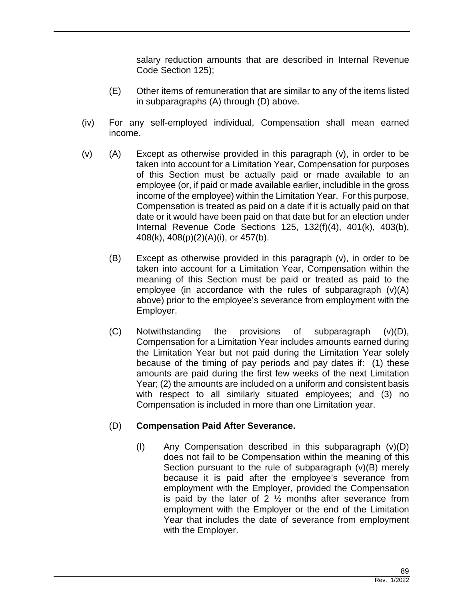salary reduction amounts that are described in Internal Revenue Code Section 125);

- (E) Other items of remuneration that are similar to any of the items listed in subparagraphs (A) through (D) above.
- (iv) For any self-employed individual, Compensation shall mean earned income.
- (v) (A) Except as otherwise provided in this paragraph (v), in order to be taken into account for a Limitation Year, Compensation for purposes of this Section must be actually paid or made available to an employee (or, if paid or made available earlier, includible in the gross income of the employee) within the Limitation Year. For this purpose, Compensation is treated as paid on a date if it is actually paid on that date or it would have been paid on that date but for an election under Internal Revenue Code Sections 125, 132(f)(4), 401(k), 403(b), 408(k), 408(p)(2)(A)(i), or 457(b).
	- (B) Except as otherwise provided in this paragraph (v), in order to be taken into account for a Limitation Year, Compensation within the meaning of this Section must be paid or treated as paid to the employee (in accordance with the rules of subparagraph (v)(A) above) prior to the employee's severance from employment with the Employer.
	- (C) Notwithstanding the provisions of subparagraph (v)(D), Compensation for a Limitation Year includes amounts earned during the Limitation Year but not paid during the Limitation Year solely because of the timing of pay periods and pay dates if: (1) these amounts are paid during the first few weeks of the next Limitation Year; (2) the amounts are included on a uniform and consistent basis with respect to all similarly situated employees; and (3) no Compensation is included in more than one Limitation year.

## (D) **Compensation Paid After Severance.**

(I) Any Compensation described in this subparagraph (v)(D) does not fail to be Compensation within the meaning of this Section pursuant to the rule of subparagraph (v)(B) merely because it is paid after the employee's severance from employment with the Employer, provided the Compensation is paid by the later of 2  $\frac{1}{2}$  months after severance from employment with the Employer or the end of the Limitation Year that includes the date of severance from employment with the Employer.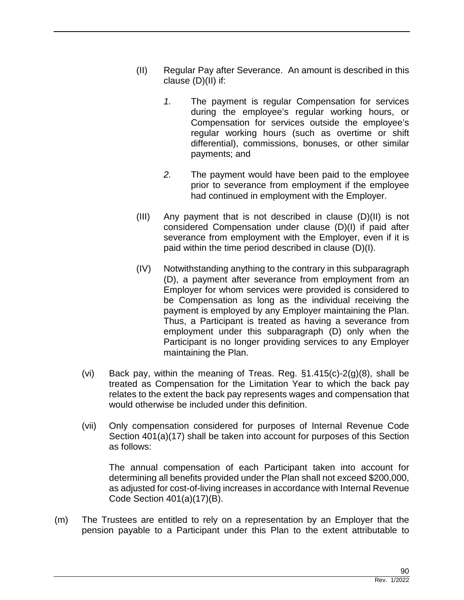- (II) Regular Pay after Severance. An amount is described in this clause (D)(II) if:
	- *1.* The payment is regular Compensation for services during the employee's regular working hours, or Compensation for services outside the employee's regular working hours (such as overtime or shift differential), commissions, bonuses, or other similar payments; and
	- *2.* The payment would have been paid to the employee prior to severance from employment if the employee had continued in employment with the Employer.
- (III) Any payment that is not described in clause (D)(II) is not considered Compensation under clause (D)(I) if paid after severance from employment with the Employer, even if it is paid within the time period described in clause (D)(I).
- (IV) Notwithstanding anything to the contrary in this subparagraph (D), a payment after severance from employment from an Employer for whom services were provided is considered to be Compensation as long as the individual receiving the payment is employed by any Employer maintaining the Plan. Thus, a Participant is treated as having a severance from employment under this subparagraph (D) only when the Participant is no longer providing services to any Employer maintaining the Plan.
- (vi) Back pay, within the meaning of Treas. Reg.  $\S$ 1.415(c)-2(g)(8), shall be treated as Compensation for the Limitation Year to which the back pay relates to the extent the back pay represents wages and compensation that would otherwise be included under this definition.
- (vii) Only compensation considered for purposes of Internal Revenue Code Section 401(a)(17) shall be taken into account for purposes of this Section as follows:

The annual compensation of each Participant taken into account for determining all benefits provided under the Plan shall not exceed \$200,000, as adjusted for cost-of-living increases in accordance with Internal Revenue Code Section 401(a)(17)(B).

(m) The Trustees are entitled to rely on a representation by an Employer that the pension payable to a Participant under this Plan to the extent attributable to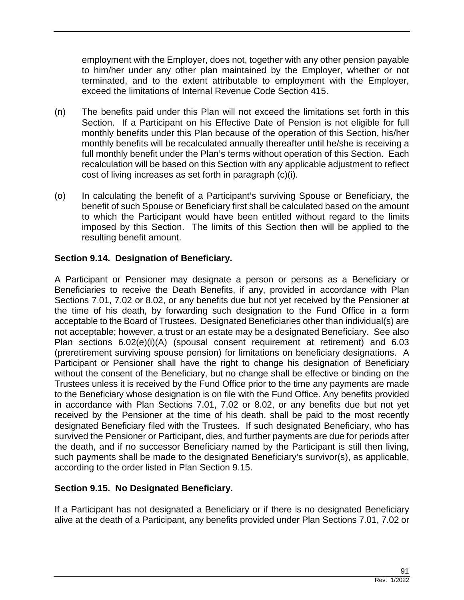employment with the Employer, does not, together with any other pension payable to him/her under any other plan maintained by the Employer, whether or not terminated, and to the extent attributable to employment with the Employer, exceed the limitations of Internal Revenue Code Section 415.

- (n) The benefits paid under this Plan will not exceed the limitations set forth in this Section. If a Participant on his Effective Date of Pension is not eligible for full monthly benefits under this Plan because of the operation of this Section, his/her monthly benefits will be recalculated annually thereafter until he/she is receiving a full monthly benefit under the Plan's terms without operation of this Section. Each recalculation will be based on this Section with any applicable adjustment to reflect cost of living increases as set forth in paragraph (c)(i).
- (o) In calculating the benefit of a Participant's surviving Spouse or Beneficiary, the benefit of such Spouse or Beneficiary first shall be calculated based on the amount to which the Participant would have been entitled without regard to the limits imposed by this Section. The limits of this Section then will be applied to the resulting benefit amount.

# **Section 9.14. Designation of Beneficiary.**

A Participant or Pensioner may designate a person or persons as a Beneficiary or Beneficiaries to receive the Death Benefits, if any, provided in accordance with Plan Sections 7.01, 7.02 or 8.02, or any benefits due but not yet received by the Pensioner at the time of his death, by forwarding such designation to the Fund Office in a form acceptable to the Board of Trustees. Designated Beneficiaries other than individual(s) are not acceptable; however, a trust or an estate may be a designated Beneficiary. See also Plan sections 6.02(e)(i)(A) (spousal consent requirement at retirement) and 6.03 (preretirement surviving spouse pension) for limitations on beneficiary designations. A Participant or Pensioner shall have the right to change his designation of Beneficiary without the consent of the Beneficiary, but no change shall be effective or binding on the Trustees unless it is received by the Fund Office prior to the time any payments are made to the Beneficiary whose designation is on file with the Fund Office. Any benefits provided in accordance with Plan Sections 7.01, 7.02 or 8.02, or any benefits due but not yet received by the Pensioner at the time of his death, shall be paid to the most recently designated Beneficiary filed with the Trustees. If such designated Beneficiary, who has survived the Pensioner or Participant, dies, and further payments are due for periods after the death, and if no successor Beneficiary named by the Participant is still then living, such payments shall be made to the designated Beneficiary's survivor(s), as applicable, according to the order listed in Plan Section 9.15.

## **Section 9.15. No Designated Beneficiary.**

If a Participant has not designated a Beneficiary or if there is no designated Beneficiary alive at the death of a Participant, any benefits provided under Plan Sections 7.01, 7.02 or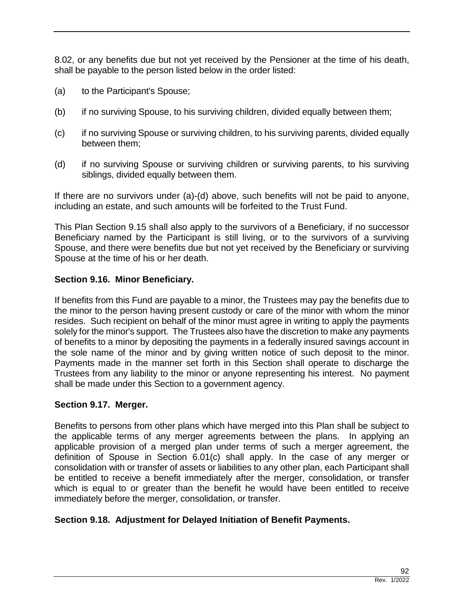8.02, or any benefits due but not yet received by the Pensioner at the time of his death, shall be payable to the person listed below in the order listed:

- (a) to the Participant's Spouse;
- (b) if no surviving Spouse, to his surviving children, divided equally between them;
- (c) if no surviving Spouse or surviving children, to his surviving parents, divided equally between them;
- (d) if no surviving Spouse or surviving children or surviving parents, to his surviving siblings, divided equally between them.

If there are no survivors under (a)-(d) above, such benefits will not be paid to anyone, including an estate, and such amounts will be forfeited to the Trust Fund.

This Plan Section 9.15 shall also apply to the survivors of a Beneficiary, if no successor Beneficiary named by the Participant is still living, or to the survivors of a surviving Spouse, and there were benefits due but not yet received by the Beneficiary or surviving Spouse at the time of his or her death.

### **Section 9.16. Minor Beneficiary.**

If benefits from this Fund are payable to a minor, the Trustees may pay the benefits due to the minor to the person having present custody or care of the minor with whom the minor resides. Such recipient on behalf of the minor must agree in writing to apply the payments solely for the minor's support. The Trustees also have the discretion to make any payments of benefits to a minor by depositing the payments in a federally insured savings account in the sole name of the minor and by giving written notice of such deposit to the minor. Payments made in the manner set forth in this Section shall operate to discharge the Trustees from any liability to the minor or anyone representing his interest. No payment shall be made under this Section to a government agency.

### **Section 9.17. Merger.**

Benefits to persons from other plans which have merged into this Plan shall be subject to the applicable terms of any merger agreements between the plans. In applying an applicable provision of a merged plan under terms of such a merger agreement, the definition of Spouse in Section 6.01(c) shall apply. In the case of any merger or consolidation with or transfer of assets or liabilities to any other plan, each Participant shall be entitled to receive a benefit immediately after the merger, consolidation, or transfer which is equal to or greater than the benefit he would have been entitled to receive immediately before the merger, consolidation, or transfer.

## **Section 9.18. Adjustment for Delayed Initiation of Benefit Payments.**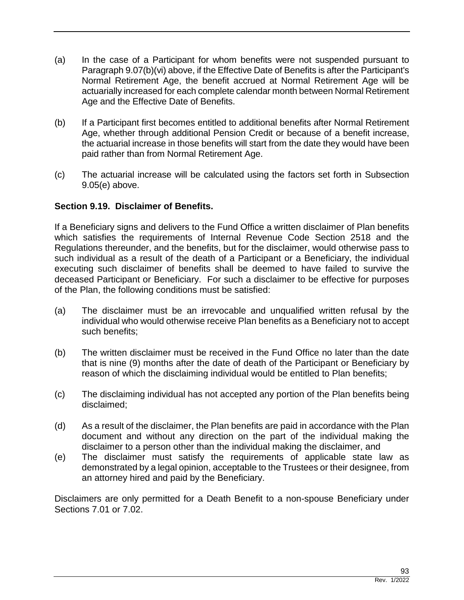- (a) In the case of a Participant for whom benefits were not suspended pursuant to Paragraph 9.07(b)(vi) above, if the Effective Date of Benefits is after the Participant's Normal Retirement Age, the benefit accrued at Normal Retirement Age will be actuarially increased for each complete calendar month between Normal Retirement Age and the Effective Date of Benefits.
- (b) If a Participant first becomes entitled to additional benefits after Normal Retirement Age, whether through additional Pension Credit or because of a benefit increase, the actuarial increase in those benefits will start from the date they would have been paid rather than from Normal Retirement Age.
- (c) The actuarial increase will be calculated using the factors set forth in Subsection 9.05(e) above.

## **Section 9.19. Disclaimer of Benefits.**

If a Beneficiary signs and delivers to the Fund Office a written disclaimer of Plan benefits which satisfies the requirements of Internal Revenue Code Section 2518 and the Regulations thereunder, and the benefits, but for the disclaimer, would otherwise pass to such individual as a result of the death of a Participant or a Beneficiary, the individual executing such disclaimer of benefits shall be deemed to have failed to survive the deceased Participant or Beneficiary. For such a disclaimer to be effective for purposes of the Plan, the following conditions must be satisfied:

- (a) The disclaimer must be an irrevocable and unqualified written refusal by the individual who would otherwise receive Plan benefits as a Beneficiary not to accept such benefits;
- (b) The written disclaimer must be received in the Fund Office no later than the date that is nine (9) months after the date of death of the Participant or Beneficiary by reason of which the disclaiming individual would be entitled to Plan benefits;
- (c) The disclaiming individual has not accepted any portion of the Plan benefits being disclaimed;
- (d) As a result of the disclaimer, the Plan benefits are paid in accordance with the Plan document and without any direction on the part of the individual making the disclaimer to a person other than the individual making the disclaimer, and
- (e) The disclaimer must satisfy the requirements of applicable state law as demonstrated by a legal opinion, acceptable to the Trustees or their designee, from an attorney hired and paid by the Beneficiary.

Disclaimers are only permitted for a Death Benefit to a non-spouse Beneficiary under Sections 7.01 or 7.02.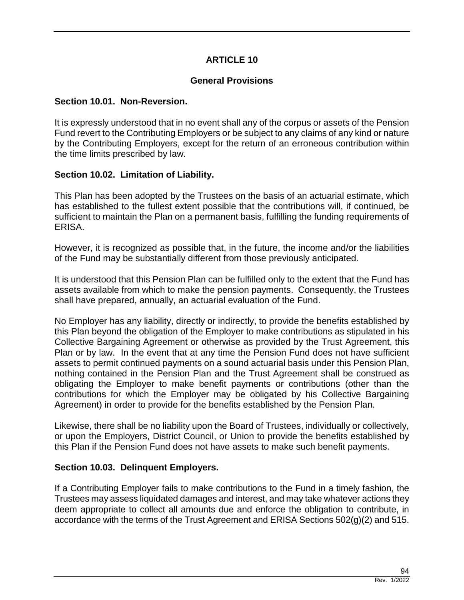## **ARTICLE 10**

### **General Provisions**

#### **Section 10.01. Non-Reversion.**

It is expressly understood that in no event shall any of the corpus or assets of the Pension Fund revert to the Contributing Employers or be subject to any claims of any kind or nature by the Contributing Employers, except for the return of an erroneous contribution within the time limits prescribed by law.

### **Section 10.02. Limitation of Liability.**

This Plan has been adopted by the Trustees on the basis of an actuarial estimate, which has established to the fullest extent possible that the contributions will, if continued, be sufficient to maintain the Plan on a permanent basis, fulfilling the funding requirements of ERISA.

However, it is recognized as possible that, in the future, the income and/or the liabilities of the Fund may be substantially different from those previously anticipated.

It is understood that this Pension Plan can be fulfilled only to the extent that the Fund has assets available from which to make the pension payments. Consequently, the Trustees shall have prepared, annually, an actuarial evaluation of the Fund.

No Employer has any liability, directly or indirectly, to provide the benefits established by this Plan beyond the obligation of the Employer to make contributions as stipulated in his Collective Bargaining Agreement or otherwise as provided by the Trust Agreement, this Plan or by law. In the event that at any time the Pension Fund does not have sufficient assets to permit continued payments on a sound actuarial basis under this Pension Plan, nothing contained in the Pension Plan and the Trust Agreement shall be construed as obligating the Employer to make benefit payments or contributions (other than the contributions for which the Employer may be obligated by his Collective Bargaining Agreement) in order to provide for the benefits established by the Pension Plan.

Likewise, there shall be no liability upon the Board of Trustees, individually or collectively, or upon the Employers, District Council, or Union to provide the benefits established by this Plan if the Pension Fund does not have assets to make such benefit payments.

### **Section 10.03. Delinquent Employers.**

If a Contributing Employer fails to make contributions to the Fund in a timely fashion, the Trustees may assess liquidated damages and interest, and may take whatever actions they deem appropriate to collect all amounts due and enforce the obligation to contribute, in accordance with the terms of the Trust Agreement and ERISA Sections 502(g)(2) and 515.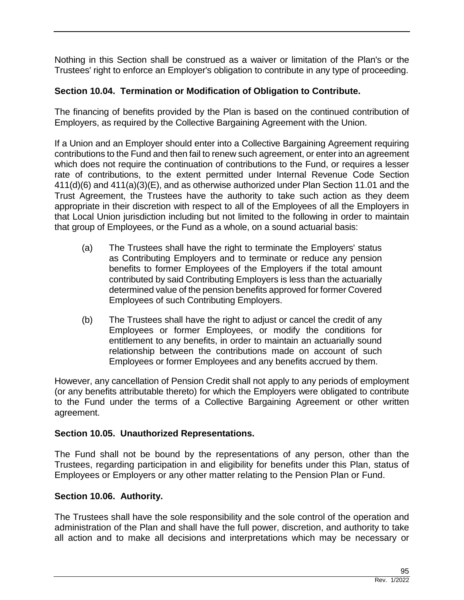Nothing in this Section shall be construed as a waiver or limitation of the Plan's or the Trustees' right to enforce an Employer's obligation to contribute in any type of proceeding.

# **Section 10.04. Termination or Modification of Obligation to Contribute.**

The financing of benefits provided by the Plan is based on the continued contribution of Employers, as required by the Collective Bargaining Agreement with the Union.

If a Union and an Employer should enter into a Collective Bargaining Agreement requiring contributions to the Fund and then fail to renew such agreement, or enter into an agreement which does not require the continuation of contributions to the Fund, or requires a lesser rate of contributions, to the extent permitted under Internal Revenue Code Section 411(d)(6) and 411(a)(3)(E), and as otherwise authorized under Plan Section 11.01 and the Trust Agreement, the Trustees have the authority to take such action as they deem appropriate in their discretion with respect to all of the Employees of all the Employers in that Local Union jurisdiction including but not limited to the following in order to maintain that group of Employees, or the Fund as a whole, on a sound actuarial basis:

- (a) The Trustees shall have the right to terminate the Employers' status as Contributing Employers and to terminate or reduce any pension benefits to former Employees of the Employers if the total amount contributed by said Contributing Employers is less than the actuarially determined value of the pension benefits approved for former Covered Employees of such Contributing Employers.
- (b) The Trustees shall have the right to adjust or cancel the credit of any Employees or former Employees, or modify the conditions for entitlement to any benefits, in order to maintain an actuarially sound relationship between the contributions made on account of such Employees or former Employees and any benefits accrued by them.

However, any cancellation of Pension Credit shall not apply to any periods of employment (or any benefits attributable thereto) for which the Employers were obligated to contribute to the Fund under the terms of a Collective Bargaining Agreement or other written agreement.

## **Section 10.05. Unauthorized Representations.**

The Fund shall not be bound by the representations of any person, other than the Trustees, regarding participation in and eligibility for benefits under this Plan, status of Employees or Employers or any other matter relating to the Pension Plan or Fund.

## **Section 10.06. Authority.**

The Trustees shall have the sole responsibility and the sole control of the operation and administration of the Plan and shall have the full power, discretion, and authority to take all action and to make all decisions and interpretations which may be necessary or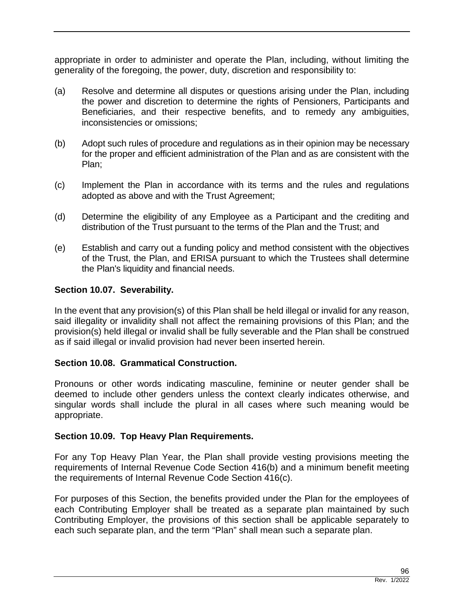appropriate in order to administer and operate the Plan, including, without limiting the generality of the foregoing, the power, duty, discretion and responsibility to:

- (a) Resolve and determine all disputes or questions arising under the Plan, including the power and discretion to determine the rights of Pensioners, Participants and Beneficiaries, and their respective benefits, and to remedy any ambiguities, inconsistencies or omissions;
- (b) Adopt such rules of procedure and regulations as in their opinion may be necessary for the proper and efficient administration of the Plan and as are consistent with the Plan;
- (c) Implement the Plan in accordance with its terms and the rules and regulations adopted as above and with the Trust Agreement;
- (d) Determine the eligibility of any Employee as a Participant and the crediting and distribution of the Trust pursuant to the terms of the Plan and the Trust; and
- (e) Establish and carry out a funding policy and method consistent with the objectives of the Trust, the Plan, and ERISA pursuant to which the Trustees shall determine the Plan's liquidity and financial needs.

## **Section 10.07. Severability.**

In the event that any provision(s) of this Plan shall be held illegal or invalid for any reason, said illegality or invalidity shall not affect the remaining provisions of this Plan; and the provision(s) held illegal or invalid shall be fully severable and the Plan shall be construed as if said illegal or invalid provision had never been inserted herein.

### **Section 10.08. Grammatical Construction.**

Pronouns or other words indicating masculine, feminine or neuter gender shall be deemed to include other genders unless the context clearly indicates otherwise, and singular words shall include the plural in all cases where such meaning would be appropriate.

### **Section 10.09. Top Heavy Plan Requirements.**

For any Top Heavy Plan Year, the Plan shall provide vesting provisions meeting the requirements of Internal Revenue Code Section 416(b) and a minimum benefit meeting the requirements of Internal Revenue Code Section 416(c).

For purposes of this Section, the benefits provided under the Plan for the employees of each Contributing Employer shall be treated as a separate plan maintained by such Contributing Employer, the provisions of this section shall be applicable separately to each such separate plan, and the term "Plan" shall mean such a separate plan.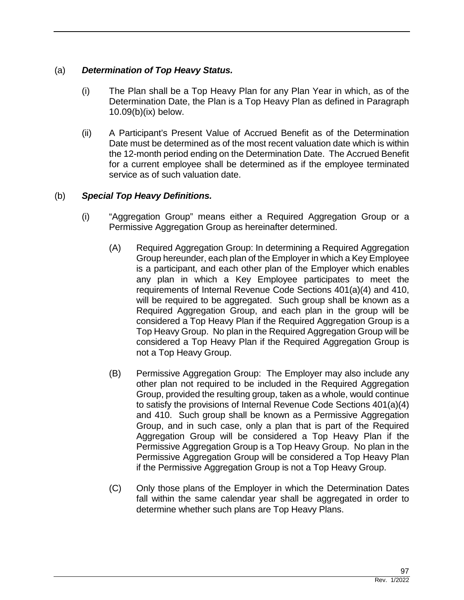# (a) *Determination of Top Heavy Status.*

- (i) The Plan shall be a Top Heavy Plan for any Plan Year in which, as of the Determination Date, the Plan is a Top Heavy Plan as defined in Paragraph 10.09(b)(ix) below.
- (ii) A Participant's Present Value of Accrued Benefit as of the Determination Date must be determined as of the most recent valuation date which is within the 12-month period ending on the Determination Date. The Accrued Benefit for a current employee shall be determined as if the employee terminated service as of such valuation date.

# (b) *Special Top Heavy Definitions.*

- (i) "Aggregation Group" means either a Required Aggregation Group or a Permissive Aggregation Group as hereinafter determined.
	- (A) Required Aggregation Group: In determining a Required Aggregation Group hereunder, each plan of the Employer in which a Key Employee is a participant, and each other plan of the Employer which enables any plan in which a Key Employee participates to meet the requirements of Internal Revenue Code Sections 401(a)(4) and 410, will be required to be aggregated. Such group shall be known as a Required Aggregation Group, and each plan in the group will be considered a Top Heavy Plan if the Required Aggregation Group is a Top Heavy Group. No plan in the Required Aggregation Group will be considered a Top Heavy Plan if the Required Aggregation Group is not a Top Heavy Group.
	- (B) Permissive Aggregation Group: The Employer may also include any other plan not required to be included in the Required Aggregation Group, provided the resulting group, taken as a whole, would continue to satisfy the provisions of Internal Revenue Code Sections 401(a)(4) and 410. Such group shall be known as a Permissive Aggregation Group, and in such case, only a plan that is part of the Required Aggregation Group will be considered a Top Heavy Plan if the Permissive Aggregation Group is a Top Heavy Group. No plan in the Permissive Aggregation Group will be considered a Top Heavy Plan if the Permissive Aggregation Group is not a Top Heavy Group.
	- (C) Only those plans of the Employer in which the Determination Dates fall within the same calendar year shall be aggregated in order to determine whether such plans are Top Heavy Plans.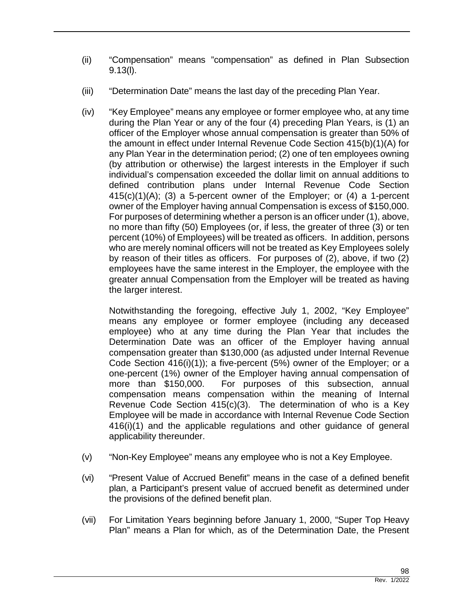- (ii) "Compensation" means "compensation" as defined in Plan Subsection 9.13(l).
- (iii) "Determination Date" means the last day of the preceding Plan Year.
- (iv) "Key Employee" means any employee or former employee who, at any time during the Plan Year or any of the four (4) preceding Plan Years, is (1) an officer of the Employer whose annual compensation is greater than 50% of the amount in effect under Internal Revenue Code Section 415(b)(1)(A) for any Plan Year in the determination period; (2) one of ten employees owning (by attribution or otherwise) the largest interests in the Employer if such individual's compensation exceeded the dollar limit on annual additions to defined contribution plans under Internal Revenue Code Section 415(c)(1)(A); (3) a 5-percent owner of the Employer; or (4) a 1-percent owner of the Employer having annual Compensation is excess of \$150,000. For purposes of determining whether a person is an officer under (1), above, no more than fifty (50) Employees (or, if less, the greater of three (3) or ten percent (10%) of Employees) will be treated as officers. In addition, persons who are merely nominal officers will not be treated as Key Employees solely by reason of their titles as officers. For purposes of (2), above, if two (2) employees have the same interest in the Employer, the employee with the greater annual Compensation from the Employer will be treated as having the larger interest.

Notwithstanding the foregoing, effective July 1, 2002, "Key Employee" means any employee or former employee (including any deceased employee) who at any time during the Plan Year that includes the Determination Date was an officer of the Employer having annual compensation greater than \$130,000 (as adjusted under Internal Revenue Code Section 416(i)(1)); a five-percent (5%) owner of the Employer; or a one-percent (1%) owner of the Employer having annual compensation of more than \$150,000. For purposes of this subsection, annual compensation means compensation within the meaning of Internal Revenue Code Section 415(c)(3). The determination of who is a Key Employee will be made in accordance with Internal Revenue Code Section 416(i)(1) and the applicable regulations and other guidance of general applicability thereunder.

- (v) "Non-Key Employee" means any employee who is not a Key Employee.
- (vi) "Present Value of Accrued Benefit" means in the case of a defined benefit plan, a Participant's present value of accrued benefit as determined under the provisions of the defined benefit plan.
- (vii) For Limitation Years beginning before January 1, 2000, "Super Top Heavy Plan" means a Plan for which, as of the Determination Date, the Present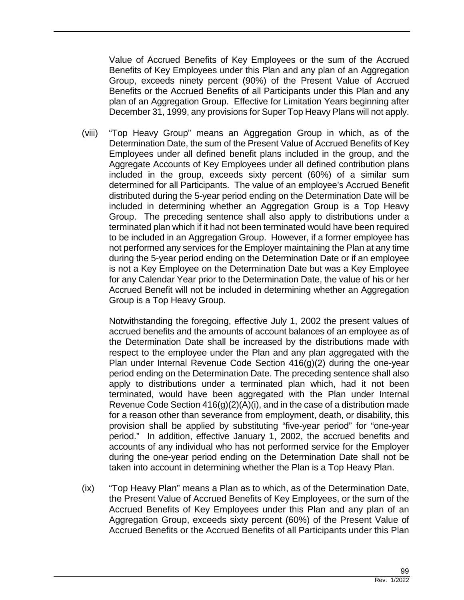Value of Accrued Benefits of Key Employees or the sum of the Accrued Benefits of Key Employees under this Plan and any plan of an Aggregation Group, exceeds ninety percent (90%) of the Present Value of Accrued Benefits or the Accrued Benefits of all Participants under this Plan and any plan of an Aggregation Group. Effective for Limitation Years beginning after December 31, 1999, any provisions for Super Top Heavy Plans will not apply.

(viii) "Top Heavy Group" means an Aggregation Group in which, as of the Determination Date, the sum of the Present Value of Accrued Benefits of Key Employees under all defined benefit plans included in the group, and the Aggregate Accounts of Key Employees under all defined contribution plans included in the group, exceeds sixty percent (60%) of a similar sum determined for all Participants. The value of an employee's Accrued Benefit distributed during the 5-year period ending on the Determination Date will be included in determining whether an Aggregation Group is a Top Heavy Group. The preceding sentence shall also apply to distributions under a terminated plan which if it had not been terminated would have been required to be included in an Aggregation Group. However, if a former employee has not performed any services for the Employer maintaining the Plan at any time during the 5-year period ending on the Determination Date or if an employee is not a Key Employee on the Determination Date but was a Key Employee for any Calendar Year prior to the Determination Date, the value of his or her Accrued Benefit will not be included in determining whether an Aggregation Group is a Top Heavy Group.

Notwithstanding the foregoing, effective July 1, 2002 the present values of accrued benefits and the amounts of account balances of an employee as of the Determination Date shall be increased by the distributions made with respect to the employee under the Plan and any plan aggregated with the Plan under Internal Revenue Code Section 416(g)(2) during the one-year period ending on the Determination Date. The preceding sentence shall also apply to distributions under a terminated plan which, had it not been terminated, would have been aggregated with the Plan under Internal Revenue Code Section 416(g)(2)(A)(i), and in the case of a distribution made for a reason other than severance from employment, death, or disability, this provision shall be applied by substituting "five-year period" for "one-year period." In addition, effective January 1, 2002, the accrued benefits and accounts of any individual who has not performed service for the Employer during the one-year period ending on the Determination Date shall not be taken into account in determining whether the Plan is a Top Heavy Plan.

(ix) "Top Heavy Plan" means a Plan as to which, as of the Determination Date, the Present Value of Accrued Benefits of Key Employees, or the sum of the Accrued Benefits of Key Employees under this Plan and any plan of an Aggregation Group, exceeds sixty percent (60%) of the Present Value of Accrued Benefits or the Accrued Benefits of all Participants under this Plan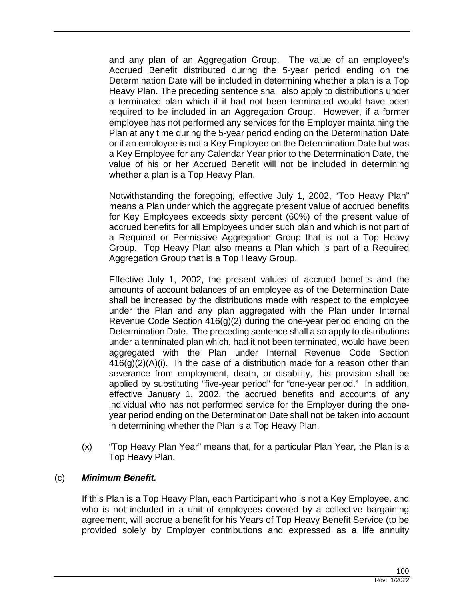and any plan of an Aggregation Group. The value of an employee's Accrued Benefit distributed during the 5-year period ending on the Determination Date will be included in determining whether a plan is a Top Heavy Plan. The preceding sentence shall also apply to distributions under a terminated plan which if it had not been terminated would have been required to be included in an Aggregation Group. However, if a former employee has not performed any services for the Employer maintaining the Plan at any time during the 5-year period ending on the Determination Date or if an employee is not a Key Employee on the Determination Date but was a Key Employee for any Calendar Year prior to the Determination Date, the value of his or her Accrued Benefit will not be included in determining whether a plan is a Top Heavy Plan.

Notwithstanding the foregoing, effective July 1, 2002, "Top Heavy Plan" means a Plan under which the aggregate present value of accrued benefits for Key Employees exceeds sixty percent (60%) of the present value of accrued benefits for all Employees under such plan and which is not part of a Required or Permissive Aggregation Group that is not a Top Heavy Group. Top Heavy Plan also means a Plan which is part of a Required Aggregation Group that is a Top Heavy Group.

Effective July 1, 2002, the present values of accrued benefits and the amounts of account balances of an employee as of the Determination Date shall be increased by the distributions made with respect to the employee under the Plan and any plan aggregated with the Plan under Internal Revenue Code Section 416(g)(2) during the one-year period ending on the Determination Date. The preceding sentence shall also apply to distributions under a terminated plan which, had it not been terminated, would have been aggregated with the Plan under Internal Revenue Code Section 416(g)(2)(A)(i). In the case of a distribution made for a reason other than severance from employment, death, or disability, this provision shall be applied by substituting "five-year period" for "one-year period." In addition, effective January 1, 2002, the accrued benefits and accounts of any individual who has not performed service for the Employer during the oneyear period ending on the Determination Date shall not be taken into account in determining whether the Plan is a Top Heavy Plan.

(x) "Top Heavy Plan Year" means that, for a particular Plan Year, the Plan is a Top Heavy Plan.

## (c) *Minimum Benefit.*

If this Plan is a Top Heavy Plan, each Participant who is not a Key Employee, and who is not included in a unit of employees covered by a collective bargaining agreement, will accrue a benefit for his Years of Top Heavy Benefit Service (to be provided solely by Employer contributions and expressed as a life annuity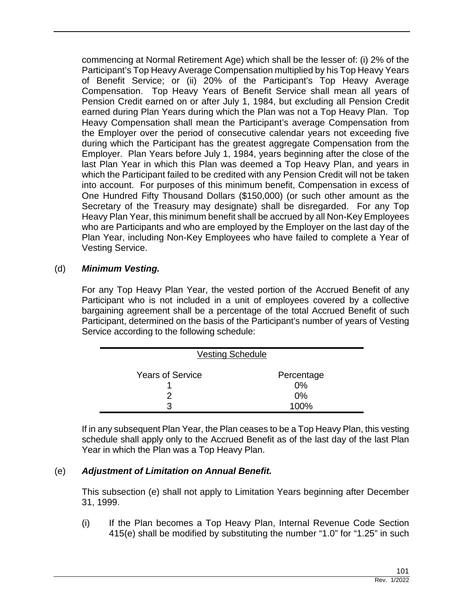commencing at Normal Retirement Age) which shall be the lesser of: (i) 2% of the Participant's Top Heavy Average Compensation multiplied by his Top Heavy Years of Benefit Service; or (ii) 20% of the Participant's Top Heavy Average Compensation. Top Heavy Years of Benefit Service shall mean all years of Pension Credit earned on or after July 1, 1984, but excluding all Pension Credit earned during Plan Years during which the Plan was not a Top Heavy Plan. Top Heavy Compensation shall mean the Participant's average Compensation from the Employer over the period of consecutive calendar years not exceeding five during which the Participant has the greatest aggregate Compensation from the Employer. Plan Years before July 1, 1984, years beginning after the close of the last Plan Year in which this Plan was deemed a Top Heavy Plan, and years in which the Participant failed to be credited with any Pension Credit will not be taken into account. For purposes of this minimum benefit, Compensation in excess of One Hundred Fifty Thousand Dollars (\$150,000) (or such other amount as the Secretary of the Treasury may designate) shall be disregarded. For any Top Heavy Plan Year, this minimum benefit shall be accrued by all Non-Key Employees who are Participants and who are employed by the Employer on the last day of the Plan Year, including Non-Key Employees who have failed to complete a Year of Vesting Service.

# (d) *Minimum Vesting.*

For any Top Heavy Plan Year, the vested portion of the Accrued Benefit of any Participant who is not included in a unit of employees covered by a collective bargaining agreement shall be a percentage of the total Accrued Benefit of such Participant, determined on the basis of the Participant's number of years of Vesting Service according to the following schedule:

| <b>Vesting Schedule</b> |                  |
|-------------------------|------------------|
| <b>Years of Service</b> | Percentage<br>0% |
|                         | 0%               |
| З                       | 100%             |

If in any subsequent Plan Year, the Plan ceases to be a Top Heavy Plan, this vesting schedule shall apply only to the Accrued Benefit as of the last day of the last Plan Year in which the Plan was a Top Heavy Plan.

# (e) *Adjustment of Limitation on Annual Benefit.*

This subsection (e) shall not apply to Limitation Years beginning after December 31, 1999.

(i) If the Plan becomes a Top Heavy Plan, Internal Revenue Code Section 415(e) shall be modified by substituting the number "1.0" for "1.25" in such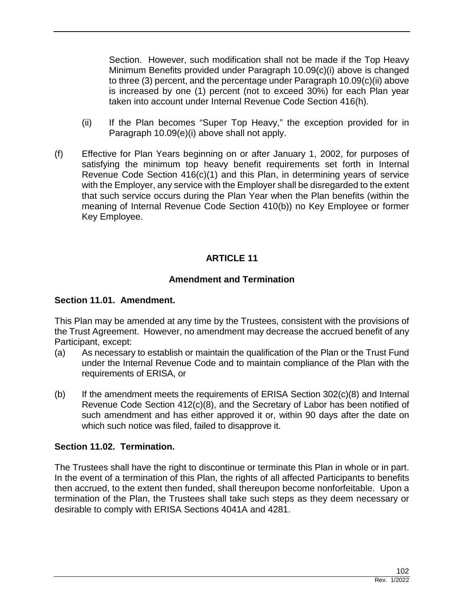Section. However, such modification shall not be made if the Top Heavy Minimum Benefits provided under Paragraph 10.09(c)(i) above is changed to three (3) percent, and the percentage under Paragraph 10.09(c)(ii) above is increased by one (1) percent (not to exceed 30%) for each Plan year taken into account under Internal Revenue Code Section 416(h).

- (ii) If the Plan becomes "Super Top Heavy," the exception provided for in Paragraph 10.09(e)(i) above shall not apply.
- (f) Effective for Plan Years beginning on or after January 1, 2002, for purposes of satisfying the minimum top heavy benefit requirements set forth in Internal Revenue Code Section 416(c)(1) and this Plan, in determining years of service with the Employer, any service with the Employer shall be disregarded to the extent that such service occurs during the Plan Year when the Plan benefits (within the meaning of Internal Revenue Code Section 410(b)) no Key Employee or former Key Employee.

# **ARTICLE 11**

### **Amendment and Termination**

### **Section 11.01. Amendment.**

This Plan may be amended at any time by the Trustees, consistent with the provisions of the Trust Agreement. However, no amendment may decrease the accrued benefit of any Participant, except:

- (a) As necessary to establish or maintain the qualification of the Plan or the Trust Fund under the Internal Revenue Code and to maintain compliance of the Plan with the requirements of ERISA, or
- (b) If the amendment meets the requirements of ERISA Section  $302(c)(8)$  and Internal Revenue Code Section 412(c)(8), and the Secretary of Labor has been notified of such amendment and has either approved it or, within 90 days after the date on which such notice was filed, failed to disapprove it.

### **Section 11.02. Termination.**

The Trustees shall have the right to discontinue or terminate this Plan in whole or in part. In the event of a termination of this Plan, the rights of all affected Participants to benefits then accrued, to the extent then funded, shall thereupon become nonforfeitable. Upon a termination of the Plan, the Trustees shall take such steps as they deem necessary or desirable to comply with ERISA Sections 4041A and 4281.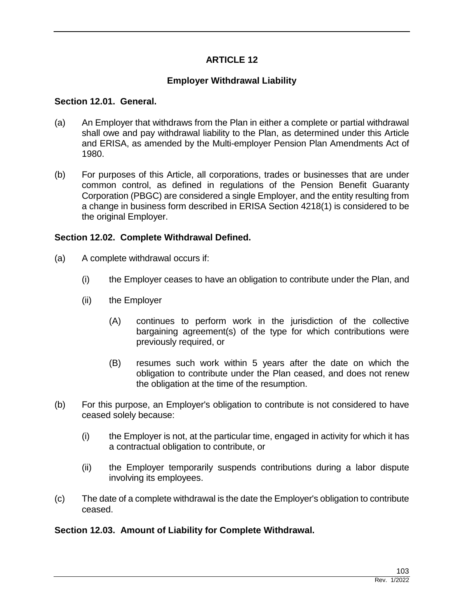# **ARTICLE 12**

# **Employer Withdrawal Liability**

#### **Section 12.01. General.**

- (a) An Employer that withdraws from the Plan in either a complete or partial withdrawal shall owe and pay withdrawal liability to the Plan, as determined under this Article and ERISA, as amended by the Multi-employer Pension Plan Amendments Act of 1980.
- (b) For purposes of this Article, all corporations, trades or businesses that are under common control, as defined in regulations of the Pension Benefit Guaranty Corporation (PBGC) are considered a single Employer, and the entity resulting from a change in business form described in ERISA Section 4218(1) is considered to be the original Employer.

## **Section 12.02. Complete Withdrawal Defined.**

- (a) A complete withdrawal occurs if:
	- (i) the Employer ceases to have an obligation to contribute under the Plan, and
	- (ii) the Employer
		- (A) continues to perform work in the jurisdiction of the collective bargaining agreement(s) of the type for which contributions were previously required, or
		- (B) resumes such work within 5 years after the date on which the obligation to contribute under the Plan ceased, and does not renew the obligation at the time of the resumption.
- (b) For this purpose, an Employer's obligation to contribute is not considered to have ceased solely because:
	- (i) the Employer is not, at the particular time, engaged in activity for which it has a contractual obligation to contribute, or
	- (ii) the Employer temporarily suspends contributions during a labor dispute involving its employees.
- (c) The date of a complete withdrawal is the date the Employer's obligation to contribute ceased.

## **Section 12.03. Amount of Liability for Complete Withdrawal.**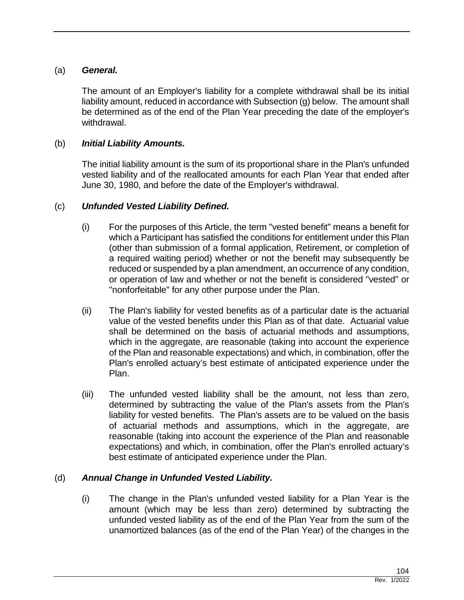## (a) *General.*

The amount of an Employer's liability for a complete withdrawal shall be its initial liability amount, reduced in accordance with Subsection (g) below. The amount shall be determined as of the end of the Plan Year preceding the date of the employer's withdrawal.

## (b) *Initial Liability Amounts.*

The initial liability amount is the sum of its proportional share in the Plan's unfunded vested liability and of the reallocated amounts for each Plan Year that ended after June 30, 1980, and before the date of the Employer's withdrawal.

## (c) *Unfunded Vested Liability Defined.*

- (i) For the purposes of this Article, the term "vested benefit" means a benefit for which a Participant has satisfied the conditions for entitlement under this Plan (other than submission of a formal application, Retirement, or completion of a required waiting period) whether or not the benefit may subsequently be reduced or suspended by a plan amendment, an occurrence of any condition, or operation of law and whether or not the benefit is considered "vested" or "nonforfeitable" for any other purpose under the Plan.
- (ii) The Plan's liability for vested benefits as of a particular date is the actuarial value of the vested benefits under this Plan as of that date. Actuarial value shall be determined on the basis of actuarial methods and assumptions, which in the aggregate, are reasonable (taking into account the experience of the Plan and reasonable expectations) and which, in combination, offer the Plan's enrolled actuary's best estimate of anticipated experience under the Plan.
- (iii) The unfunded vested liability shall be the amount, not less than zero, determined by subtracting the value of the Plan's assets from the Plan's liability for vested benefits. The Plan's assets are to be valued on the basis of actuarial methods and assumptions, which in the aggregate, are reasonable (taking into account the experience of the Plan and reasonable expectations) and which, in combination, offer the Plan's enrolled actuary's best estimate of anticipated experience under the Plan.

# (d) *Annual Change in Unfunded Vested Liability.*

(i) The change in the Plan's unfunded vested liability for a Plan Year is the amount (which may be less than zero) determined by subtracting the unfunded vested liability as of the end of the Plan Year from the sum of the unamortized balances (as of the end of the Plan Year) of the changes in the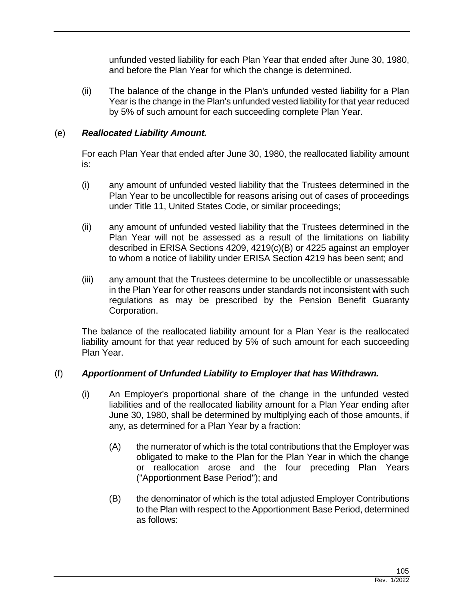unfunded vested liability for each Plan Year that ended after June 30, 1980, and before the Plan Year for which the change is determined.

(ii) The balance of the change in the Plan's unfunded vested liability for a Plan Year is the change in the Plan's unfunded vested liability for that year reduced by 5% of such amount for each succeeding complete Plan Year.

# (e) *Reallocated Liability Amount.*

For each Plan Year that ended after June 30, 1980, the reallocated liability amount is:

- (i) any amount of unfunded vested liability that the Trustees determined in the Plan Year to be uncollectible for reasons arising out of cases of proceedings under Title 11, United States Code, or similar proceedings;
- (ii) any amount of unfunded vested liability that the Trustees determined in the Plan Year will not be assessed as a result of the limitations on liability described in ERISA Sections 4209, 4219(c)(B) or 4225 against an employer to whom a notice of liability under ERISA Section 4219 has been sent; and
- (iii) any amount that the Trustees determine to be uncollectible or unassessable in the Plan Year for other reasons under standards not inconsistent with such regulations as may be prescribed by the Pension Benefit Guaranty Corporation.

The balance of the reallocated liability amount for a Plan Year is the reallocated liability amount for that year reduced by 5% of such amount for each succeeding Plan Year.

# (f) *Apportionment of Unfunded Liability to Employer that has Withdrawn.*

- (i) An Employer's proportional share of the change in the unfunded vested liabilities and of the reallocated liability amount for a Plan Year ending after June 30, 1980, shall be determined by multiplying each of those amounts, if any, as determined for a Plan Year by a fraction:
	- (A) the numerator of which is the total contributions that the Employer was obligated to make to the Plan for the Plan Year in which the change or reallocation arose and the four preceding Plan Years ("Apportionment Base Period"); and
	- (B) the denominator of which is the total adjusted Employer Contributions to the Plan with respect to the Apportionment Base Period, determined as follows: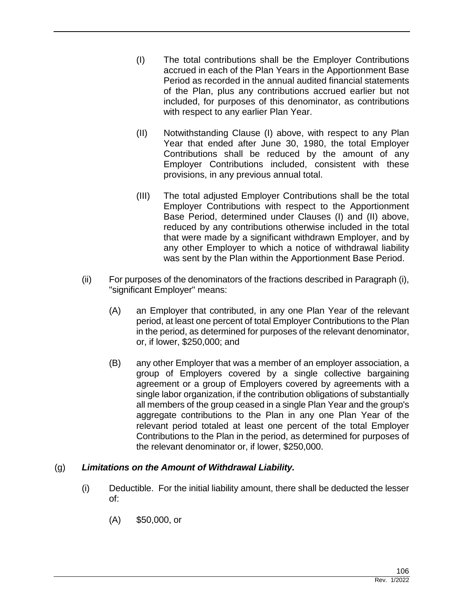- (I) The total contributions shall be the Employer Contributions accrued in each of the Plan Years in the Apportionment Base Period as recorded in the annual audited financial statements of the Plan, plus any contributions accrued earlier but not included, for purposes of this denominator, as contributions with respect to any earlier Plan Year.
- (II) Notwithstanding Clause (I) above, with respect to any Plan Year that ended after June 30, 1980, the total Employer Contributions shall be reduced by the amount of any Employer Contributions included, consistent with these provisions, in any previous annual total.
- (III) The total adjusted Employer Contributions shall be the total Employer Contributions with respect to the Apportionment Base Period, determined under Clauses (I) and (II) above, reduced by any contributions otherwise included in the total that were made by a significant withdrawn Employer, and by any other Employer to which a notice of withdrawal liability was sent by the Plan within the Apportionment Base Period.
- (ii) For purposes of the denominators of the fractions described in Paragraph (i), "significant Employer" means:
	- (A) an Employer that contributed, in any one Plan Year of the relevant period, at least one percent of total Employer Contributions to the Plan in the period, as determined for purposes of the relevant denominator, or, if lower, \$250,000; and
	- (B) any other Employer that was a member of an employer association, a group of Employers covered by a single collective bargaining agreement or a group of Employers covered by agreements with a single labor organization, if the contribution obligations of substantially all members of the group ceased in a single Plan Year and the group's aggregate contributions to the Plan in any one Plan Year of the relevant period totaled at least one percent of the total Employer Contributions to the Plan in the period, as determined for purposes of the relevant denominator or, if lower, \$250,000.

# (g) *Limitations on the Amount of Withdrawal Liability.*

- (i) Deductible. For the initial liability amount, there shall be deducted the lesser of:
	- (A) \$50,000, or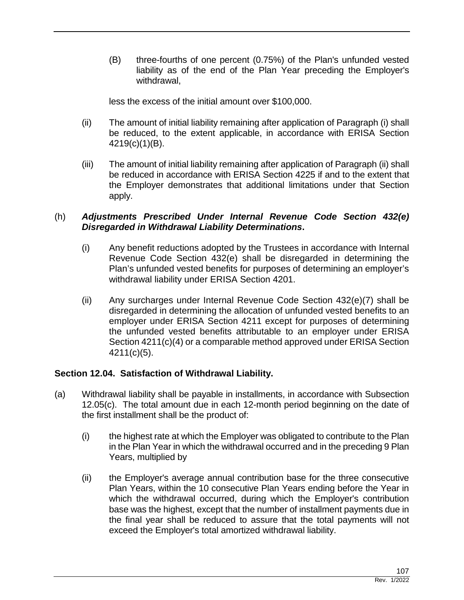(B) three-fourths of one percent (0.75%) of the Plan's unfunded vested liability as of the end of the Plan Year preceding the Employer's withdrawal,

less the excess of the initial amount over \$100,000.

- (ii) The amount of initial liability remaining after application of Paragraph (i) shall be reduced, to the extent applicable, in accordance with ERISA Section 4219(c)(1)(B).
- (iii) The amount of initial liability remaining after application of Paragraph (ii) shall be reduced in accordance with ERISA Section 4225 if and to the extent that the Employer demonstrates that additional limitations under that Section apply.

## (h) *Adjustments Prescribed Under Internal Revenue Code Section 432(e) Disregarded in Withdrawal Liability Determinations***.**

- (i) Any benefit reductions adopted by the Trustees in accordance with Internal Revenue Code Section 432(e) shall be disregarded in determining the Plan's unfunded vested benefits for purposes of determining an employer's withdrawal liability under ERISA Section 4201.
- (ii) Any surcharges under Internal Revenue Code Section 432(e)(7) shall be disregarded in determining the allocation of unfunded vested benefits to an employer under ERISA Section 4211 except for purposes of determining the unfunded vested benefits attributable to an employer under ERISA Section 4211(c)(4) or a comparable method approved under ERISA Section 4211(c)(5).

# **Section 12.04. Satisfaction of Withdrawal Liability.**

- (a) Withdrawal liability shall be payable in installments, in accordance with Subsection 12.05(c). The total amount due in each 12-month period beginning on the date of the first installment shall be the product of:
	- (i) the highest rate at which the Employer was obligated to contribute to the Plan in the Plan Year in which the withdrawal occurred and in the preceding 9 Plan Years, multiplied by
	- (ii) the Employer's average annual contribution base for the three consecutive Plan Years, within the 10 consecutive Plan Years ending before the Year in which the withdrawal occurred, during which the Employer's contribution base was the highest, except that the number of installment payments due in the final year shall be reduced to assure that the total payments will not exceed the Employer's total amortized withdrawal liability.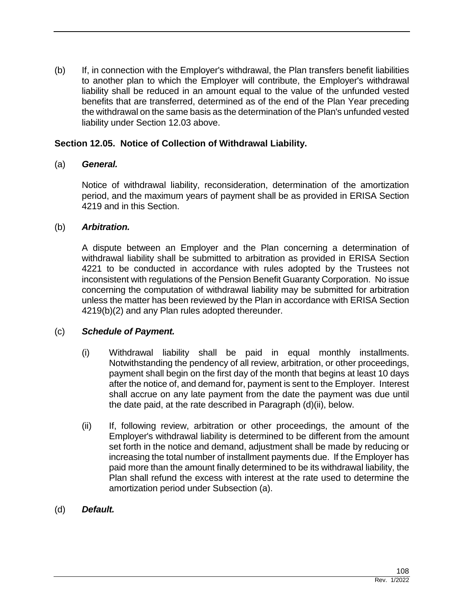(b) If, in connection with the Employer's withdrawal, the Plan transfers benefit liabilities to another plan to which the Employer will contribute, the Employer's withdrawal liability shall be reduced in an amount equal to the value of the unfunded vested benefits that are transferred, determined as of the end of the Plan Year preceding the withdrawal on the same basis as the determination of the Plan's unfunded vested liability under Section 12.03 above.

## **Section 12.05. Notice of Collection of Withdrawal Liability.**

## (a) *General.*

Notice of withdrawal liability, reconsideration, determination of the amortization period, and the maximum years of payment shall be as provided in ERISA Section 4219 and in this Section.

## (b) *Arbitration.*

A dispute between an Employer and the Plan concerning a determination of withdrawal liability shall be submitted to arbitration as provided in ERISA Section 4221 to be conducted in accordance with rules adopted by the Trustees not inconsistent with regulations of the Pension Benefit Guaranty Corporation. No issue concerning the computation of withdrawal liability may be submitted for arbitration unless the matter has been reviewed by the Plan in accordance with ERISA Section 4219(b)(2) and any Plan rules adopted thereunder.

## (c) *Schedule of Payment.*

- (i) Withdrawal liability shall be paid in equal monthly installments. Notwithstanding the pendency of all review, arbitration, or other proceedings, payment shall begin on the first day of the month that begins at least 10 days after the notice of, and demand for, payment is sent to the Employer. Interest shall accrue on any late payment from the date the payment was due until the date paid, at the rate described in Paragraph (d)(ii), below.
- (ii) If, following review, arbitration or other proceedings, the amount of the Employer's withdrawal liability is determined to be different from the amount set forth in the notice and demand, adjustment shall be made by reducing or increasing the total number of installment payments due. If the Employer has paid more than the amount finally determined to be its withdrawal liability, the Plan shall refund the excess with interest at the rate used to determine the amortization period under Subsection (a).
- (d) *Default.*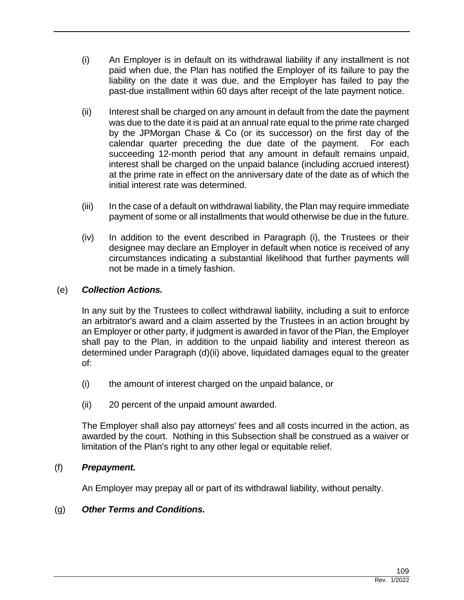- (i) An Employer is in default on its withdrawal liability if any installment is not paid when due, the Plan has notified the Employer of its failure to pay the liability on the date it was due, and the Employer has failed to pay the past-due installment within 60 days after receipt of the late payment notice.
- (ii) Interest shall be charged on any amount in default from the date the payment was due to the date it is paid at an annual rate equal to the prime rate charged by the JPMorgan Chase & Co (or its successor) on the first day of the calendar quarter preceding the due date of the payment. For each succeeding 12-month period that any amount in default remains unpaid, interest shall be charged on the unpaid balance (including accrued interest) at the prime rate in effect on the anniversary date of the date as of which the initial interest rate was determined.
- (iii) In the case of a default on withdrawal liability, the Plan may require immediate payment of some or all installments that would otherwise be due in the future.
- (iv) In addition to the event described in Paragraph (i), the Trustees or their designee may declare an Employer in default when notice is received of any circumstances indicating a substantial likelihood that further payments will not be made in a timely fashion.

# (e) *Collection Actions.*

In any suit by the Trustees to collect withdrawal liability, including a suit to enforce an arbitrator's award and a claim asserted by the Trustees in an action brought by an Employer or other party, if judgment is awarded in favor of the Plan, the Employer shall pay to the Plan, in addition to the unpaid liability and interest thereon as determined under Paragraph (d)(ii) above, liquidated damages equal to the greater of:

- (i) the amount of interest charged on the unpaid balance, or
- (ii) 20 percent of the unpaid amount awarded.

The Employer shall also pay attorneys' fees and all costs incurred in the action, as awarded by the court. Nothing in this Subsection shall be construed as a waiver or limitation of the Plan's right to any other legal or equitable relief.

## (f) *Prepayment.*

An Employer may prepay all or part of its withdrawal liability, without penalty.

## (g) *Other Terms and Conditions.*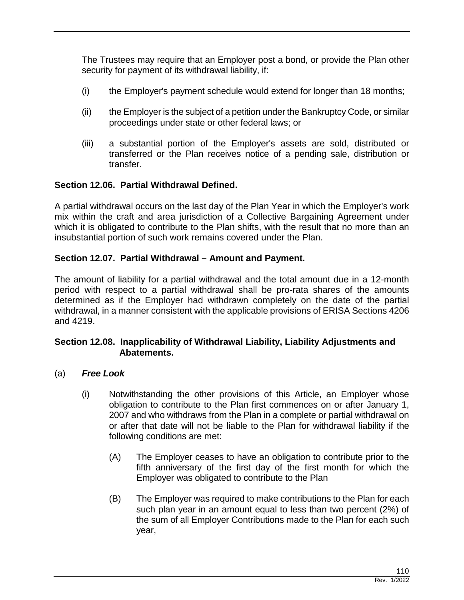The Trustees may require that an Employer post a bond, or provide the Plan other security for payment of its withdrawal liability, if:

- (i) the Employer's payment schedule would extend for longer than 18 months;
- (ii) the Employer is the subject of a petition under the Bankruptcy Code, or similar proceedings under state or other federal laws; or
- (iii) a substantial portion of the Employer's assets are sold, distributed or transferred or the Plan receives notice of a pending sale, distribution or transfer.

# **Section 12.06. Partial Withdrawal Defined.**

A partial withdrawal occurs on the last day of the Plan Year in which the Employer's work mix within the craft and area jurisdiction of a Collective Bargaining Agreement under which it is obligated to contribute to the Plan shifts, with the result that no more than an insubstantial portion of such work remains covered under the Plan.

## **Section 12.07. Partial Withdrawal – Amount and Payment.**

The amount of liability for a partial withdrawal and the total amount due in a 12-month period with respect to a partial withdrawal shall be pro-rata shares of the amounts determined as if the Employer had withdrawn completely on the date of the partial withdrawal, in a manner consistent with the applicable provisions of ERISA Sections 4206 and 4219.

## **Section 12.08. Inapplicability of Withdrawal Liability, Liability Adjustments and Abatements.**

- (a) *Free Look*
	- (i) Notwithstanding the other provisions of this Article, an Employer whose obligation to contribute to the Plan first commences on or after January 1, 2007 and who withdraws from the Plan in a complete or partial withdrawal on or after that date will not be liable to the Plan for withdrawal liability if the following conditions are met:
		- (A) The Employer ceases to have an obligation to contribute prior to the fifth anniversary of the first day of the first month for which the Employer was obligated to contribute to the Plan
		- (B) The Employer was required to make contributions to the Plan for each such plan year in an amount equal to less than two percent (2%) of the sum of all Employer Contributions made to the Plan for each such year,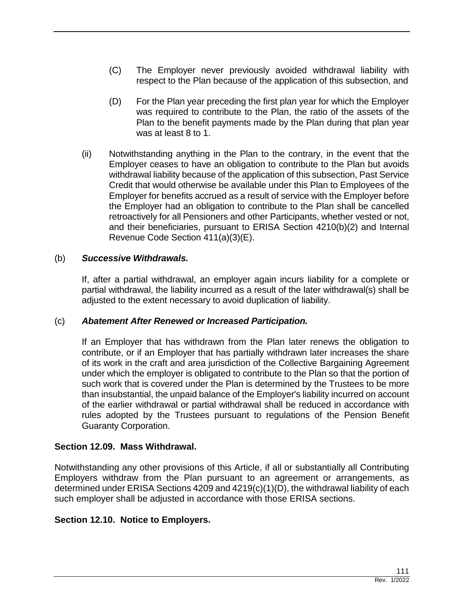- (C) The Employer never previously avoided withdrawal liability with respect to the Plan because of the application of this subsection, and
- (D) For the Plan year preceding the first plan year for which the Employer was required to contribute to the Plan, the ratio of the assets of the Plan to the benefit payments made by the Plan during that plan year was at least 8 to 1.
- (ii) Notwithstanding anything in the Plan to the contrary, in the event that the Employer ceases to have an obligation to contribute to the Plan but avoids withdrawal liability because of the application of this subsection, Past Service Credit that would otherwise be available under this Plan to Employees of the Employer for benefits accrued as a result of service with the Employer before the Employer had an obligation to contribute to the Plan shall be cancelled retroactively for all Pensioners and other Participants, whether vested or not, and their beneficiaries, pursuant to ERISA Section 4210(b)(2) and Internal Revenue Code Section 411(a)(3)(E).

## (b) *Successive Withdrawals.*

If, after a partial withdrawal, an employer again incurs liability for a complete or partial withdrawal, the liability incurred as a result of the later withdrawal(s) shall be adjusted to the extent necessary to avoid duplication of liability.

# (c) *Abatement After Renewed or Increased Participation.*

If an Employer that has withdrawn from the Plan later renews the obligation to contribute, or if an Employer that has partially withdrawn later increases the share of its work in the craft and area jurisdiction of the Collective Bargaining Agreement under which the employer is obligated to contribute to the Plan so that the portion of such work that is covered under the Plan is determined by the Trustees to be more than insubstantial, the unpaid balance of the Employer's liability incurred on account of the earlier withdrawal or partial withdrawal shall be reduced in accordance with rules adopted by the Trustees pursuant to regulations of the Pension Benefit Guaranty Corporation.

# **Section 12.09. Mass Withdrawal.**

Notwithstanding any other provisions of this Article, if all or substantially all Contributing Employers withdraw from the Plan pursuant to an agreement or arrangements, as determined under ERISA Sections 4209 and 4219(c)(1)(D), the withdrawal liability of each such employer shall be adjusted in accordance with those ERISA sections.

# **Section 12.10. Notice to Employers.**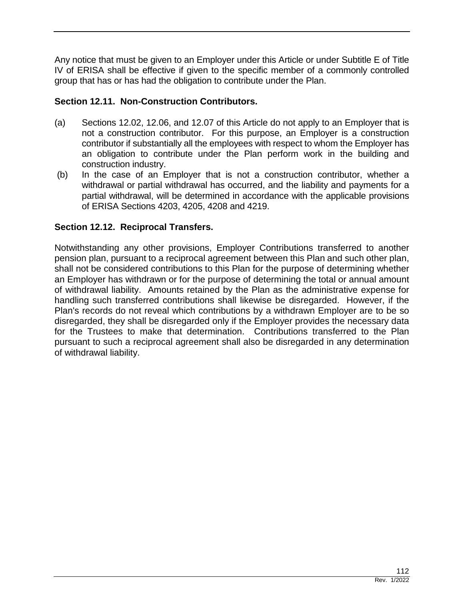Any notice that must be given to an Employer under this Article or under Subtitle E of Title IV of ERISA shall be effective if given to the specific member of a commonly controlled group that has or has had the obligation to contribute under the Plan.

# **Section 12.11. Non-Construction Contributors.**

- (a) Sections 12.02, 12.06, and 12.07 of this Article do not apply to an Employer that is not a construction contributor. For this purpose, an Employer is a construction contributor if substantially all the employees with respect to whom the Employer has an obligation to contribute under the Plan perform work in the building and construction industry.
- (b) In the case of an Employer that is not a construction contributor, whether a withdrawal or partial withdrawal has occurred, and the liability and payments for a partial withdrawal, will be determined in accordance with the applicable provisions of ERISA Sections 4203, 4205, 4208 and 4219.

# **Section 12.12. Reciprocal Transfers.**

Notwithstanding any other provisions, Employer Contributions transferred to another pension plan, pursuant to a reciprocal agreement between this Plan and such other plan, shall not be considered contributions to this Plan for the purpose of determining whether an Employer has withdrawn or for the purpose of determining the total or annual amount of withdrawal liability. Amounts retained by the Plan as the administrative expense for handling such transferred contributions shall likewise be disregarded. However, if the Plan's records do not reveal which contributions by a withdrawn Employer are to be so disregarded, they shall be disregarded only if the Employer provides the necessary data for the Trustees to make that determination. Contributions transferred to the Plan pursuant to such a reciprocal agreement shall also be disregarded in any determination of withdrawal liability.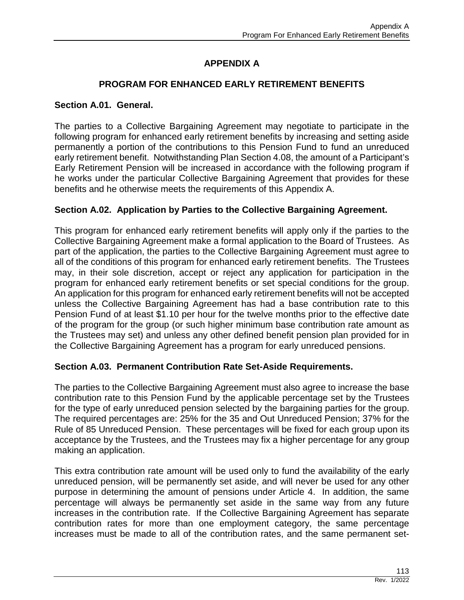# **APPENDIX A**

# **PROGRAM FOR ENHANCED EARLY RETIREMENT BENEFITS**

## **Section A.01. General.**

The parties to a Collective Bargaining Agreement may negotiate to participate in the following program for enhanced early retirement benefits by increasing and setting aside permanently a portion of the contributions to this Pension Fund to fund an unreduced early retirement benefit. Notwithstanding Plan Section 4.08, the amount of a Participant's Early Retirement Pension will be increased in accordance with the following program if he works under the particular Collective Bargaining Agreement that provides for these benefits and he otherwise meets the requirements of this Appendix A.

# **Section A.02. Application by Parties to the Collective Bargaining Agreement.**

This program for enhanced early retirement benefits will apply only if the parties to the Collective Bargaining Agreement make a formal application to the Board of Trustees. As part of the application, the parties to the Collective Bargaining Agreement must agree to all of the conditions of this program for enhanced early retirement benefits. The Trustees may, in their sole discretion, accept or reject any application for participation in the program for enhanced early retirement benefits or set special conditions for the group. An application for this program for enhanced early retirement benefits will not be accepted unless the Collective Bargaining Agreement has had a base contribution rate to this Pension Fund of at least \$1.10 per hour for the twelve months prior to the effective date of the program for the group (or such higher minimum base contribution rate amount as the Trustees may set) and unless any other defined benefit pension plan provided for in the Collective Bargaining Agreement has a program for early unreduced pensions.

# **Section A.03. Permanent Contribution Rate Set-Aside Requirements.**

The parties to the Collective Bargaining Agreement must also agree to increase the base contribution rate to this Pension Fund by the applicable percentage set by the Trustees for the type of early unreduced pension selected by the bargaining parties for the group. The required percentages are: 25% for the 35 and Out Unreduced Pension; 37% for the Rule of 85 Unreduced Pension. These percentages will be fixed for each group upon its acceptance by the Trustees, and the Trustees may fix a higher percentage for any group making an application.

This extra contribution rate amount will be used only to fund the availability of the early unreduced pension, will be permanently set aside, and will never be used for any other purpose in determining the amount of pensions under Article 4. In addition, the same percentage will always be permanently set aside in the same way from any future increases in the contribution rate. If the Collective Bargaining Agreement has separate contribution rates for more than one employment category, the same percentage increases must be made to all of the contribution rates, and the same permanent set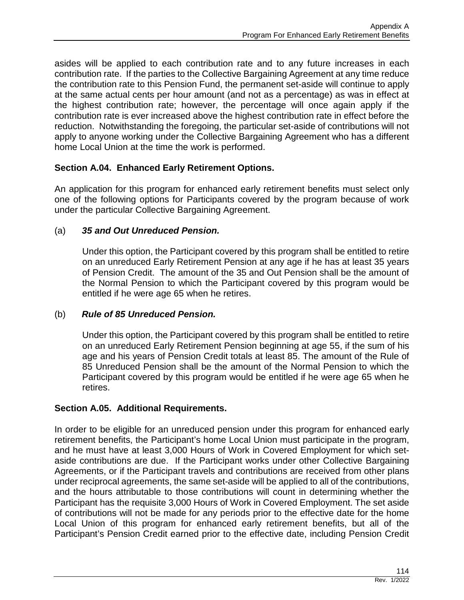asides will be applied to each contribution rate and to any future increases in each contribution rate. If the parties to the Collective Bargaining Agreement at any time reduce the contribution rate to this Pension Fund, the permanent set-aside will continue to apply at the same actual cents per hour amount (and not as a percentage) as was in effect at the highest contribution rate; however, the percentage will once again apply if the contribution rate is ever increased above the highest contribution rate in effect before the reduction. Notwithstanding the foregoing, the particular set-aside of contributions will not apply to anyone working under the Collective Bargaining Agreement who has a different home Local Union at the time the work is performed.

# **Section A.04. Enhanced Early Retirement Options.**

An application for this program for enhanced early retirement benefits must select only one of the following options for Participants covered by the program because of work under the particular Collective Bargaining Agreement.

## (a) *35 and Out Unreduced Pension.*

Under this option, the Participant covered by this program shall be entitled to retire on an unreduced Early Retirement Pension at any age if he has at least 35 years of Pension Credit. The amount of the 35 and Out Pension shall be the amount of the Normal Pension to which the Participant covered by this program would be entitled if he were age 65 when he retires.

## (b) *Rule of 85 Unreduced Pension.*

Under this option, the Participant covered by this program shall be entitled to retire on an unreduced Early Retirement Pension beginning at age 55, if the sum of his age and his years of Pension Credit totals at least 85. The amount of the Rule of 85 Unreduced Pension shall be the amount of the Normal Pension to which the Participant covered by this program would be entitled if he were age 65 when he retires.

## **Section A.05. Additional Requirements.**

In order to be eligible for an unreduced pension under this program for enhanced early retirement benefits, the Participant's home Local Union must participate in the program, and he must have at least 3,000 Hours of Work in Covered Employment for which setaside contributions are due. If the Participant works under other Collective Bargaining Agreements, or if the Participant travels and contributions are received from other plans under reciprocal agreements, the same set-aside will be applied to all of the contributions, and the hours attributable to those contributions will count in determining whether the Participant has the requisite 3,000 Hours of Work in Covered Employment. The set aside of contributions will not be made for any periods prior to the effective date for the home Local Union of this program for enhanced early retirement benefits, but all of the Participant's Pension Credit earned prior to the effective date, including Pension Credit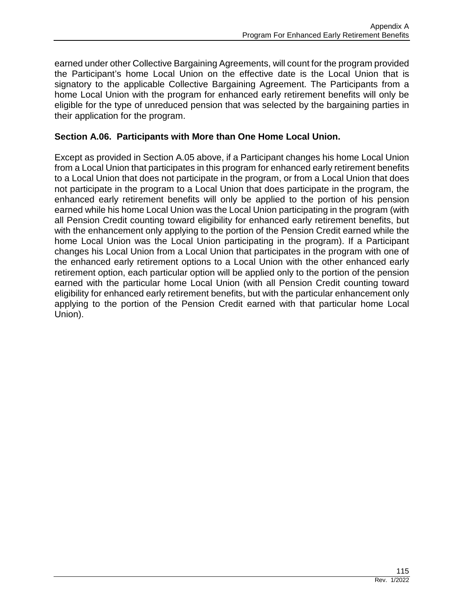earned under other Collective Bargaining Agreements, will count for the program provided the Participant's home Local Union on the effective date is the Local Union that is signatory to the applicable Collective Bargaining Agreement. The Participants from a home Local Union with the program for enhanced early retirement benefits will only be eligible for the type of unreduced pension that was selected by the bargaining parties in their application for the program.

## **Section A.06. Participants with More than One Home Local Union.**

Except as provided in Section A.05 above, if a Participant changes his home Local Union from a Local Union that participates in this program for enhanced early retirement benefits to a Local Union that does not participate in the program, or from a Local Union that does not participate in the program to a Local Union that does participate in the program, the enhanced early retirement benefits will only be applied to the portion of his pension earned while his home Local Union was the Local Union participating in the program (with all Pension Credit counting toward eligibility for enhanced early retirement benefits, but with the enhancement only applying to the portion of the Pension Credit earned while the home Local Union was the Local Union participating in the program). If a Participant changes his Local Union from a Local Union that participates in the program with one of the enhanced early retirement options to a Local Union with the other enhanced early retirement option, each particular option will be applied only to the portion of the pension earned with the particular home Local Union (with all Pension Credit counting toward eligibility for enhanced early retirement benefits, but with the particular enhancement only applying to the portion of the Pension Credit earned with that particular home Local Union).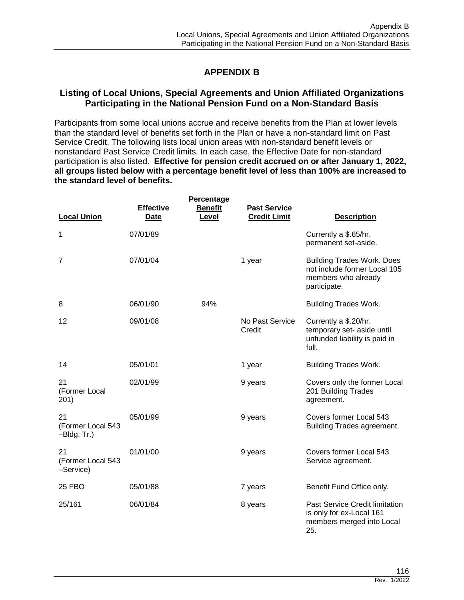# **APPENDIX B**

## **Listing of Local Unions, Special Agreements and Union Affiliated Organizations Participating in the National Pension Fund on a Non-Standard Basis**

Participants from some local unions accrue and receive benefits from the Plan at lower levels than the standard level of benefits set forth in the Plan or have a non-standard limit on Past Service Credit. The following lists local union areas with non-standard benefit levels or nonstandard Past Service Credit limits. In each case, the Effective Date for non-standard participation is also listed. **Effective for pension credit accrued on or after January 1, 2022, all groups listed below with a percentage benefit level of less than 100% are increased to the standard level of benefits.**

| <b>Local Union</b>                     | <b>Effective</b><br>Date | Percentage<br><b>Benefit</b><br>Level | <b>Past Service</b><br><b>Credit Limit</b> | <b>Description</b>                                                                                       |
|----------------------------------------|--------------------------|---------------------------------------|--------------------------------------------|----------------------------------------------------------------------------------------------------------|
| 1                                      | 07/01/89                 |                                       |                                            | Currently a \$.65/hr.<br>permanent set-aside.                                                            |
| 7                                      | 07/01/04                 |                                       | 1 year                                     | <b>Building Trades Work. Does</b><br>not include former Local 105<br>members who already<br>participate. |
| 8                                      | 06/01/90                 | 94%                                   |                                            | <b>Building Trades Work.</b>                                                                             |
| 12                                     | 09/01/08                 |                                       | No Past Service<br>Credit                  | Currently a \$.20/hr.<br>temporary set- aside until<br>unfunded liability is paid in<br>full.            |
| 14                                     | 05/01/01                 |                                       | 1 year                                     | <b>Building Trades Work.</b>                                                                             |
| 21<br>(Former Local<br>201)            | 02/01/99                 |                                       | 9 years                                    | Covers only the former Local<br>201 Building Trades<br>agreement.                                        |
| 21<br>(Former Local 543<br>-Bldg. Tr.) | 05/01/99                 |                                       | 9 years                                    | Covers former Local 543<br>Building Trades agreement.                                                    |
| 21<br>(Former Local 543<br>-Service)   | 01/01/00                 |                                       | 9 years                                    | Covers former Local 543<br>Service agreement.                                                            |
| <b>25 FBO</b>                          | 05/01/88                 |                                       | 7 years                                    | Benefit Fund Office only.                                                                                |
| 25/161                                 | 06/01/84                 |                                       | 8 years                                    | Past Service Credit limitation<br>is only for ex-Local 161<br>members merged into Local<br>25.           |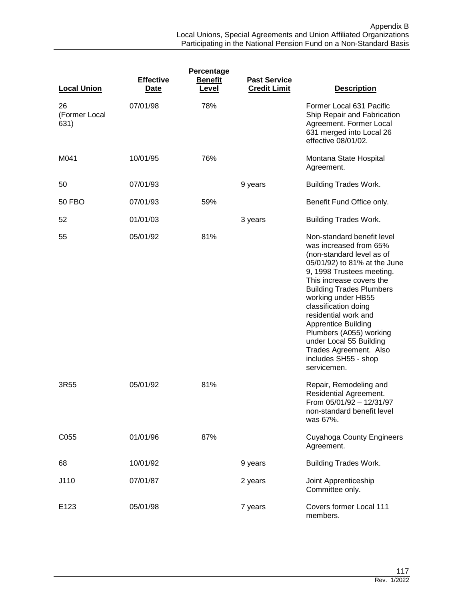| <b>Local Union</b>          | <b>Effective</b><br><b>Date</b> | Percentage<br><b>Benefit</b><br>Level | <b>Past Service</b><br><b>Credit Limit</b> | <b>Description</b>                                                                                                                                                                                                                                                                                                                                                                                                                       |
|-----------------------------|---------------------------------|---------------------------------------|--------------------------------------------|------------------------------------------------------------------------------------------------------------------------------------------------------------------------------------------------------------------------------------------------------------------------------------------------------------------------------------------------------------------------------------------------------------------------------------------|
| 26<br>(Former Local<br>631) | 07/01/98                        | 78%                                   |                                            | Former Local 631 Pacific<br>Ship Repair and Fabrication<br>Agreement. Former Local<br>631 merged into Local 26<br>effective 08/01/02.                                                                                                                                                                                                                                                                                                    |
| M041                        | 10/01/95                        | 76%                                   |                                            | Montana State Hospital<br>Agreement.                                                                                                                                                                                                                                                                                                                                                                                                     |
| 50                          | 07/01/93                        |                                       | 9 years                                    | <b>Building Trades Work.</b>                                                                                                                                                                                                                                                                                                                                                                                                             |
| 50 FBO                      | 07/01/93                        | 59%                                   |                                            | Benefit Fund Office only.                                                                                                                                                                                                                                                                                                                                                                                                                |
| 52                          | 01/01/03                        |                                       | 3 years                                    | <b>Building Trades Work.</b>                                                                                                                                                                                                                                                                                                                                                                                                             |
| 55                          | 05/01/92                        | 81%                                   |                                            | Non-standard benefit level<br>was increased from 65%<br>(non-standard level as of<br>05/01/92) to 81% at the June<br>9, 1998 Trustees meeting.<br>This increase covers the<br><b>Building Trades Plumbers</b><br>working under HB55<br>classification doing<br>residential work and<br><b>Apprentice Building</b><br>Plumbers (A055) working<br>under Local 55 Building<br>Trades Agreement. Also<br>includes SH55 - shop<br>servicemen. |
| 3R55                        | 05/01/92                        | 81%                                   |                                            | Repair, Remodeling and<br>Residential Agreement.<br>From 05/01/92 - 12/31/97<br>non-standard benefit level<br>was 67%.                                                                                                                                                                                                                                                                                                                   |
| C055                        | 01/01/96                        | 87%                                   |                                            | <b>Cuyahoga County Engineers</b><br>Agreement.                                                                                                                                                                                                                                                                                                                                                                                           |
| 68                          | 10/01/92                        |                                       | 9 years                                    | <b>Building Trades Work.</b>                                                                                                                                                                                                                                                                                                                                                                                                             |
| J110                        | 07/01/87                        |                                       | 2 years                                    | Joint Apprenticeship<br>Committee only.                                                                                                                                                                                                                                                                                                                                                                                                  |
| E123                        | 05/01/98                        |                                       | 7 years                                    | Covers former Local 111<br>members.                                                                                                                                                                                                                                                                                                                                                                                                      |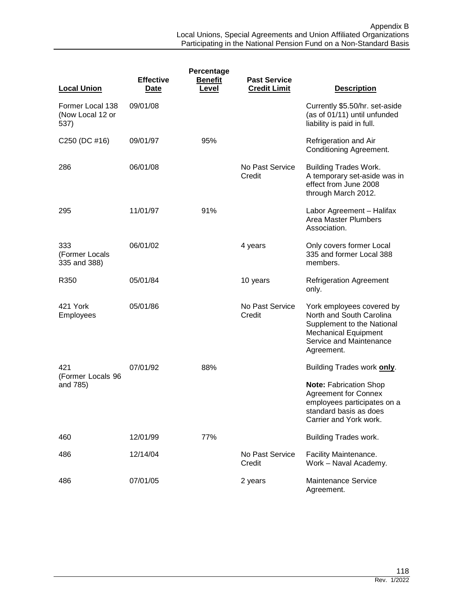| Percentage                                   |                                 |                         |                                            |                                                                                                                                                             |
|----------------------------------------------|---------------------------------|-------------------------|--------------------------------------------|-------------------------------------------------------------------------------------------------------------------------------------------------------------|
| <b>Local Union</b>                           | <b>Effective</b><br><b>Date</b> | <b>Benefit</b><br>Level | <b>Past Service</b><br><b>Credit Limit</b> | <b>Description</b>                                                                                                                                          |
| Former Local 138<br>(Now Local 12 or<br>537) | 09/01/08                        |                         |                                            | Currently \$5.50/hr. set-aside<br>(as of 01/11) until unfunded<br>liability is paid in full.                                                                |
| C250 (DC #16)                                | 09/01/97                        | 95%                     |                                            | Refrigeration and Air<br><b>Conditioning Agreement.</b>                                                                                                     |
| 286                                          | 06/01/08                        |                         | No Past Service<br>Credit                  | <b>Building Trades Work.</b><br>A temporary set-aside was in<br>effect from June 2008<br>through March 2012.                                                |
| 295                                          | 11/01/97                        | 91%                     |                                            | Labor Agreement - Halifax<br><b>Area Master Plumbers</b><br>Association.                                                                                    |
| 333<br>(Former Locals<br>335 and 388)        | 06/01/02                        |                         | 4 years                                    | Only covers former Local<br>335 and former Local 388<br>members.                                                                                            |
| R350                                         | 05/01/84                        |                         | 10 years                                   | <b>Refrigeration Agreement</b><br>only.                                                                                                                     |
| 421 York<br>Employees                        | 05/01/86                        |                         | No Past Service<br>Credit                  | York employees covered by<br>North and South Carolina<br>Supplement to the National<br><b>Mechanical Equipment</b><br>Service and Maintenance<br>Agreement. |
| 421<br>(Former Locals 96                     | 07/01/92                        | 88%                     |                                            | Building Trades work only.                                                                                                                                  |
| and 785)                                     |                                 |                         |                                            | <b>Note: Fabrication Shop</b><br><b>Agreement for Connex</b><br>employees participates on a<br>standard basis as does<br>Carrier and York work.             |
| 460                                          | 12/01/99                        | 77%                     |                                            | <b>Building Trades work.</b>                                                                                                                                |
| 486                                          | 12/14/04                        |                         | No Past Service<br>Credit                  | Facility Maintenance.<br>Work - Naval Academy.                                                                                                              |
| 486                                          | 07/01/05                        |                         | 2 years                                    | <b>Maintenance Service</b><br>Agreement.                                                                                                                    |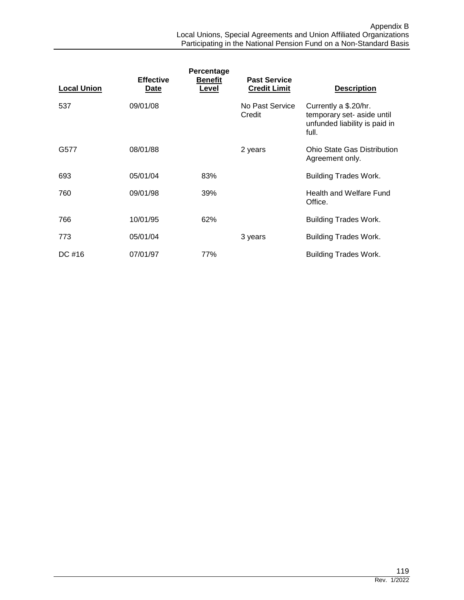| <b>Local Union</b> | <b>Effective</b><br>Date | Percentage<br><b>Benefit</b><br>Level | <b>Past Service</b><br><b>Credit Limit</b> | <b>Description</b>                                                                            |
|--------------------|--------------------------|---------------------------------------|--------------------------------------------|-----------------------------------------------------------------------------------------------|
| 537                | 09/01/08                 |                                       | No Past Service<br>Credit                  | Currently a \$.20/hr.<br>temporary set- aside until<br>unfunded liability is paid in<br>full. |
| G577               | 08/01/88                 |                                       | 2 years                                    | <b>Ohio State Gas Distribution</b><br>Agreement only.                                         |
| 693                | 05/01/04                 | 83%                                   |                                            | <b>Building Trades Work.</b>                                                                  |
| 760                | 09/01/98                 | 39%                                   |                                            | <b>Health and Welfare Fund</b><br>Office.                                                     |
| 766                | 10/01/95                 | 62%                                   |                                            | <b>Building Trades Work.</b>                                                                  |
| 773                | 05/01/04                 |                                       | 3 years                                    | <b>Building Trades Work.</b>                                                                  |
| DC #16             | 07/01/97                 | 77%                                   |                                            | <b>Building Trades Work.</b>                                                                  |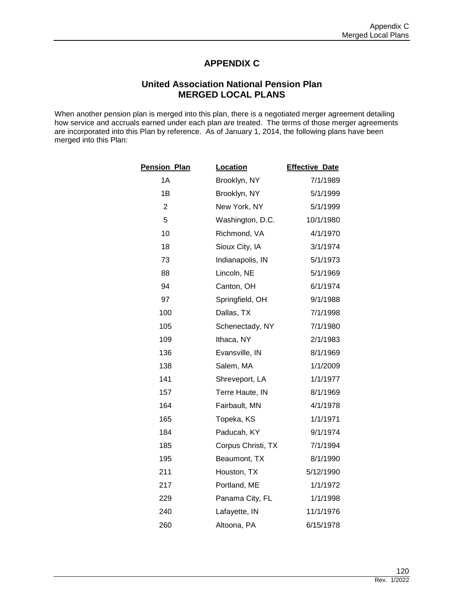# **APPENDIX C**

## **United Association National Pension Plan MERGED LOCAL PLANS**

When another pension plan is merged into this plan, there is a negotiated merger agreement detailing how service and accruals earned under each plan are treated. The terms of those merger agreements are incorporated into this Plan by reference. As of January 1, 2014, the following plans have been merged into this Plan:

| <b>Pension Plan</b> | Location           | <b>Effective Date</b> |
|---------------------|--------------------|-----------------------|
| 1A                  | Brooklyn, NY       | 7/1/1989              |
| 1B                  | Brooklyn, NY       | 5/1/1999              |
| $\overline{2}$      | New York, NY       | 5/1/1999              |
| 5                   | Washington, D.C.   | 10/1/1980             |
| 10                  | Richmond, VA       | 4/1/1970              |
| 18                  | Sioux City, IA     | 3/1/1974              |
| 73                  | Indianapolis, IN   | 5/1/1973              |
| 88                  | Lincoln, NE        | 5/1/1969              |
| 94                  | Canton, OH         | 6/1/1974              |
| 97                  | Springfield, OH    | 9/1/1988              |
| 100                 | Dallas, TX         | 7/1/1998              |
| 105                 | Schenectady, NY    | 7/1/1980              |
| 109                 | Ithaca, NY         | 2/1/1983              |
| 136                 | Evansville, IN     | 8/1/1969              |
| 138                 | Salem, MA          | 1/1/2009              |
| 141                 | Shreveport, LA     | 1/1/1977              |
| 157                 | Terre Haute, IN    | 8/1/1969              |
| 164                 | Fairbault, MN      | 4/1/1978              |
| 165                 | Topeka, KS         | 1/1/1971              |
| 184                 | Paducah, KY        | 9/1/1974              |
| 185                 | Corpus Christi, TX | 7/1/1994              |
| 195                 | Beaumont, TX       | 8/1/1990              |
| 211                 | Houston, TX        | 5/12/1990             |
| 217                 | Portland, ME       | 1/1/1972              |
| 229                 | Panama City, FL    | 1/1/1998              |
| 240                 | Lafayette, IN      | 11/1/1976             |
| 260                 | Altoona, PA        | 6/15/1978             |